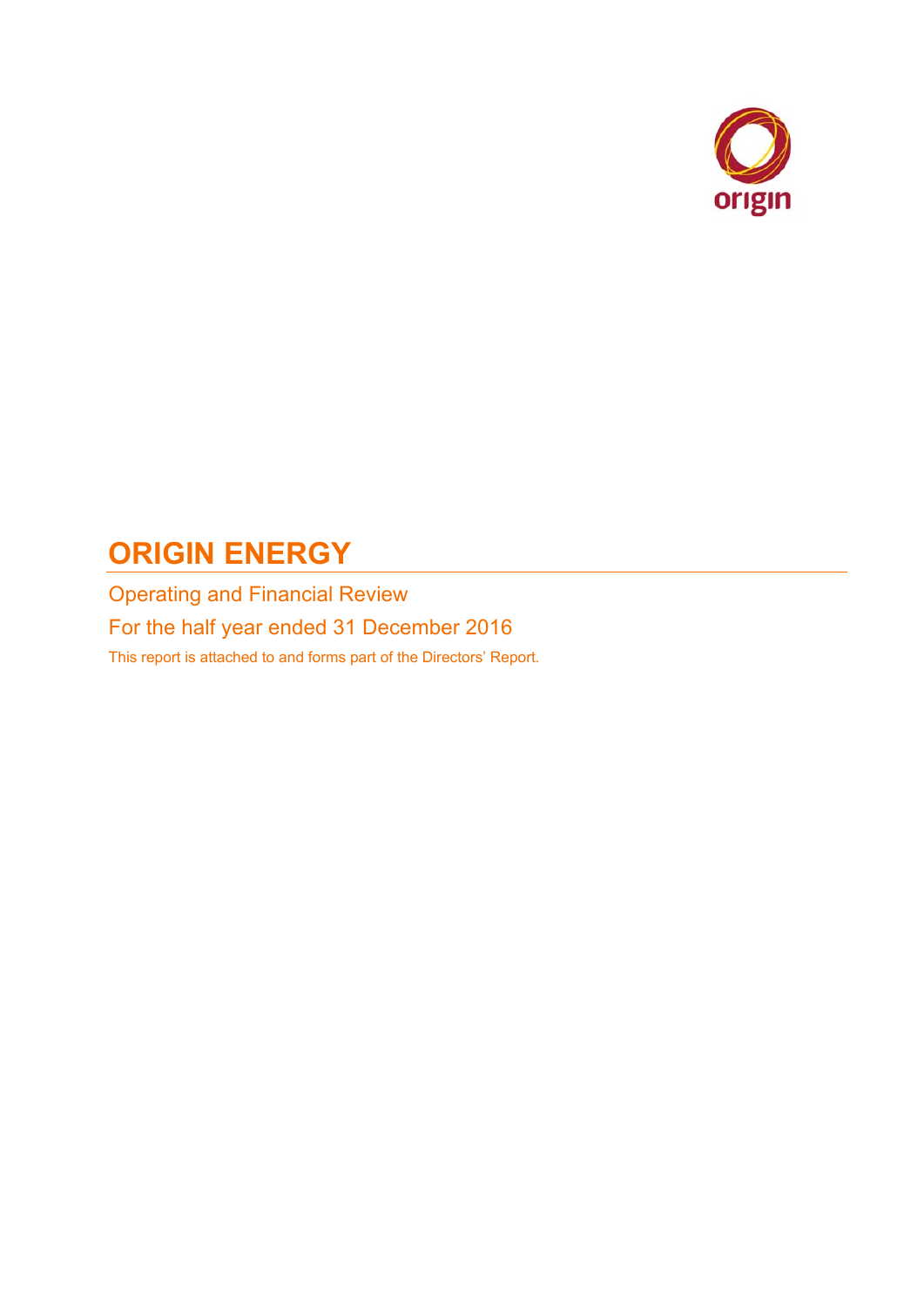

# **ORIGIN ENERGY**

Operating and Financial Review For the half year ended 31 December 2016 This report is attached to and forms part of the Directors' Report.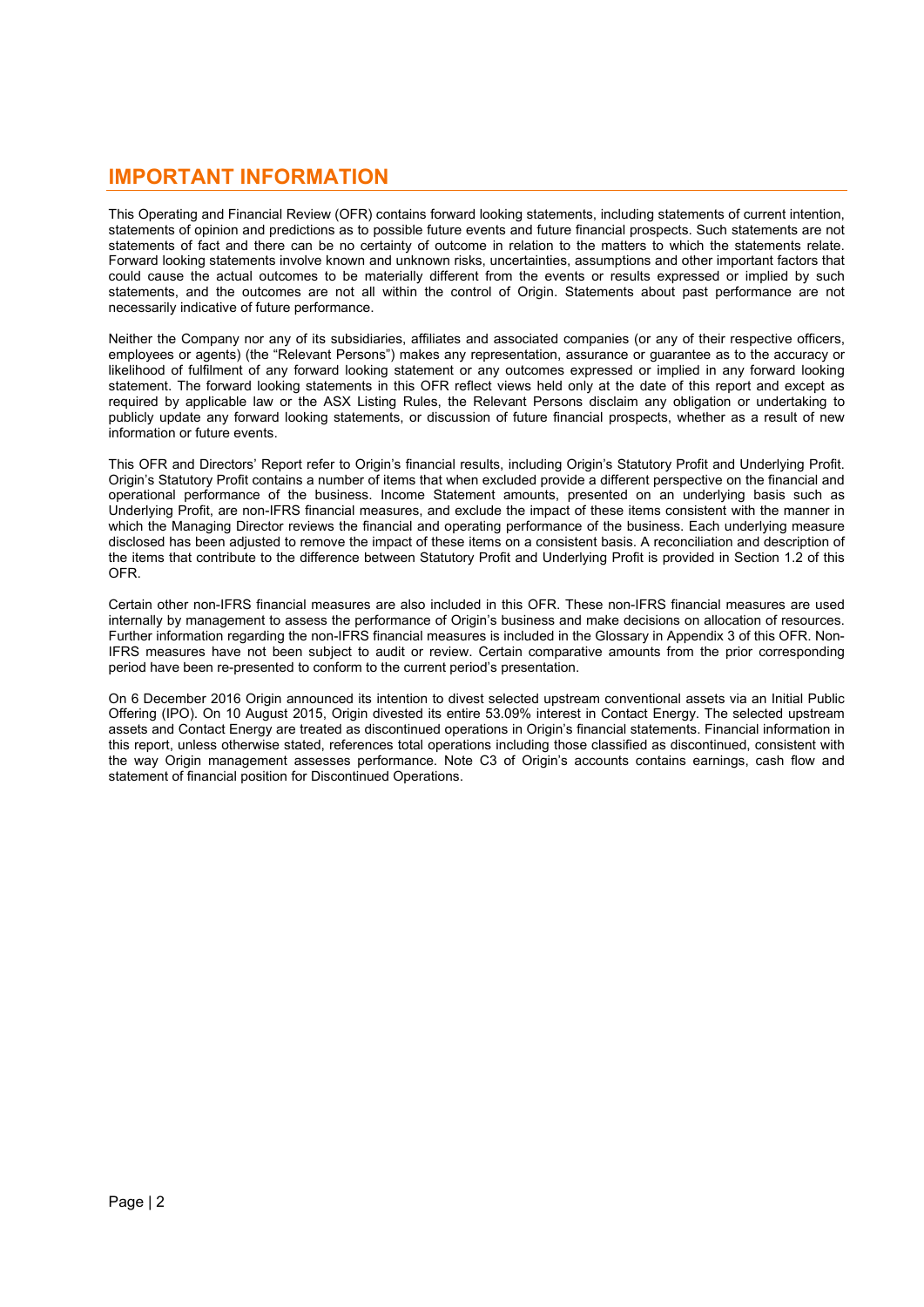# **IMPORTANT INFORMATION**

This Operating and Financial Review (OFR) contains forward looking statements, including statements of current intention, statements of opinion and predictions as to possible future events and future financial prospects. Such statements are not statements of fact and there can be no certainty of outcome in relation to the matters to which the statements relate. Forward looking statements involve known and unknown risks, uncertainties, assumptions and other important factors that could cause the actual outcomes to be materially different from the events or results expressed or implied by such statements, and the outcomes are not all within the control of Origin. Statements about past performance are not necessarily indicative of future performance.

Neither the Company nor any of its subsidiaries, affiliates and associated companies (or any of their respective officers, employees or agents) (the "Relevant Persons") makes any representation, assurance or guarantee as to the accuracy or likelihood of fulfilment of any forward looking statement or any outcomes expressed or implied in any forward looking statement. The forward looking statements in this OFR reflect views held only at the date of this report and except as required by applicable law or the ASX Listing Rules, the Relevant Persons disclaim any obligation or undertaking to publicly update any forward looking statements, or discussion of future financial prospects, whether as a result of new information or future events.

This OFR and Directors' Report refer to Origin's financial results, including Origin's Statutory Profit and Underlying Profit. Origin's Statutory Profit contains a number of items that when excluded provide a different perspective on the financial and operational performance of the business. Income Statement amounts, presented on an underlying basis such as Underlying Profit, are non-IFRS financial measures, and exclude the impact of these items consistent with the manner in which the Managing Director reviews the financial and operating performance of the business. Each underlying measure disclosed has been adjusted to remove the impact of these items on a consistent basis. A reconciliation and description of the items that contribute to the difference between Statutory Profit and Underlying Profit is provided in Section 1.2 of this OFR.

Certain other non-IFRS financial measures are also included in this OFR. These non-IFRS financial measures are used internally by management to assess the performance of Origin's business and make decisions on allocation of resources. Further information regarding the non-IFRS financial measures is included in the Glossary in Appendix 3 of this OFR. Non-IFRS measures have not been subject to audit or review. Certain comparative amounts from the prior corresponding period have been re-presented to conform to the current period's presentation.

On 6 December 2016 Origin announced its intention to divest selected upstream conventional assets via an Initial Public Offering (IPO). On 10 August 2015, Origin divested its entire 53.09% interest in Contact Energy. The selected upstream assets and Contact Energy are treated as discontinued operations in Origin's financial statements. Financial information in this report, unless otherwise stated, references total operations including those classified as discontinued, consistent with the way Origin management assesses performance. Note C3 of Origin's accounts contains earnings, cash flow and statement of financial position for Discontinued Operations.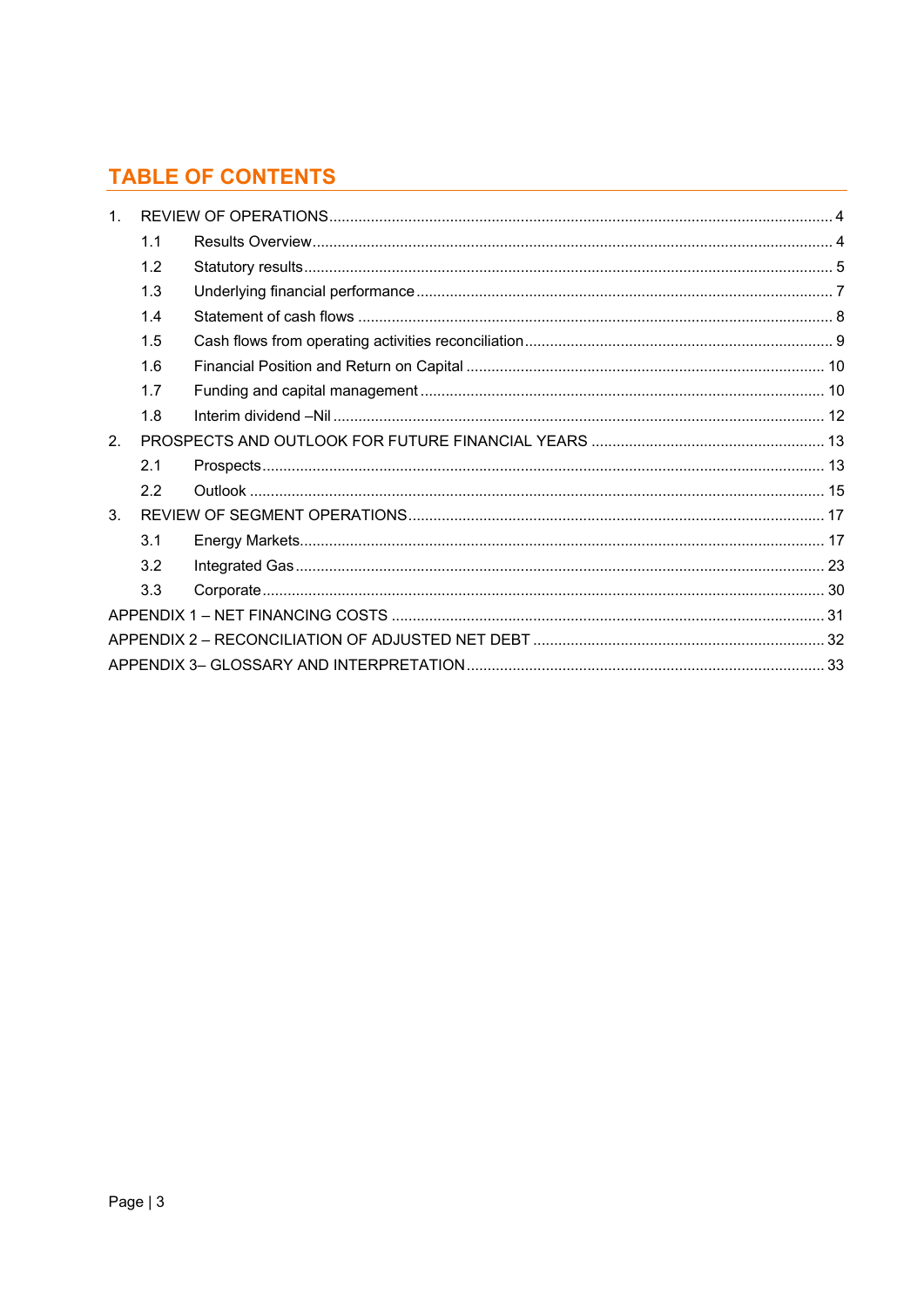# **TABLE OF CONTENTS**

| $\mathbf{1}$   |     |  |
|----------------|-----|--|
|                | 1.1 |  |
|                | 1.2 |  |
|                | 1.3 |  |
|                | 1.4 |  |
|                | 1.5 |  |
|                | 1.6 |  |
|                | 1.7 |  |
|                | 1.8 |  |
| 2.             |     |  |
|                | 2.1 |  |
|                | 2.2 |  |
| 3 <sub>1</sub> |     |  |
|                | 3.1 |  |
|                | 3.2 |  |
|                | 3.3 |  |
|                |     |  |
|                |     |  |
|                |     |  |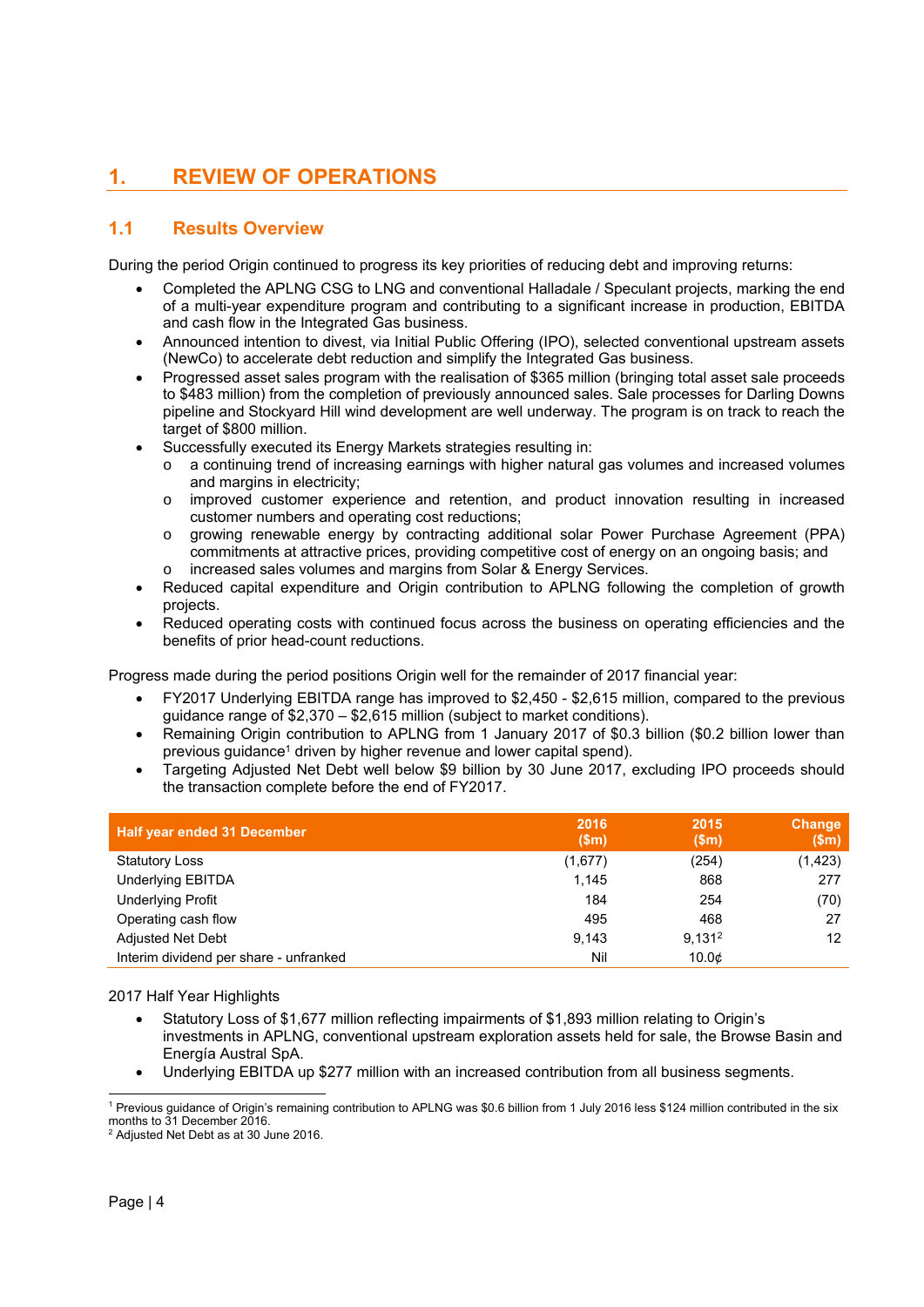# **1. REVIEW OF OPERATIONS**

# **1.1 Results Overview**

During the period Origin continued to progress its key priorities of reducing debt and improving returns:

- Completed the APLNG CSG to LNG and conventional Halladale / Speculant projects, marking the end of a multi-year expenditure program and contributing to a significant increase in production, EBITDA and cash flow in the Integrated Gas business.
- Announced intention to divest, via Initial Public Offering (IPO), selected conventional upstream assets (NewCo) to accelerate debt reduction and simplify the Integrated Gas business.
- Progressed asset sales program with the realisation of \$365 million (bringing total asset sale proceeds to \$483 million) from the completion of previously announced sales. Sale processes for Darling Downs pipeline and Stockyard Hill wind development are well underway. The program is on track to reach the target of \$800 million.
- Successfully executed its Energy Markets strategies resulting in:
	- a continuing trend of increasing earnings with higher natural gas volumes and increased volumes and margins in electricity;
	- o improved customer experience and retention, and product innovation resulting in increased customer numbers and operating cost reductions;
	- o growing renewable energy by contracting additional solar Power Purchase Agreement (PPA) commitments at attractive prices, providing competitive cost of energy on an ongoing basis; and o increased sales volumes and margins from Solar & Energy Services.
- Reduced capital expenditure and Origin contribution to APLNG following the completion of growth projects.
- Reduced operating costs with continued focus across the business on operating efficiencies and the benefits of prior head-count reductions.

Progress made during the period positions Origin well for the remainder of 2017 financial year:

- FY2017 Underlying EBITDA range has improved to \$2,450 \$2,615 million, compared to the previous guidance range of \$2,370 – \$2,615 million (subject to market conditions).
- Remaining Origin contribution to APLNG from 1 January 2017 of \$0.3 billion (\$0.2 billion lower than previous guidance<sup>1</sup> driven by higher revenue and lower capital spend).
- Targeting Adjusted Net Debt well below \$9 billion by 30 June 2017, excluding IPO proceeds should the transaction complete before the end of FY2017.

| <b>Half year ended 31 December</b>     | 2016<br>\$m\$ | 2015<br>\$m\$      | Change<br>\$m\$ |
|----------------------------------------|---------------|--------------------|-----------------|
| <b>Statutory Loss</b>                  | (1,677)       | (254)              | (1, 423)        |
| Underlying EBITDA                      | 1,145         | 868                | 277             |
| <b>Underlying Profit</b>               | 184           | 254                | (70)            |
| Operating cash flow                    | 495           | 468                | 27              |
| <b>Adjusted Net Debt</b>               | 9.143         | 9.131 <sup>2</sup> | 12              |
| Interim dividend per share - unfranked | Nil           | 10.0 <sub>¢</sub>  |                 |

2017 Half Year Highlights

- Statutory Loss of \$1,677 million reflecting impairments of \$1,893 million relating to Origin's investments in APLNG, conventional upstream exploration assets held for sale, the Browse Basin and Energía Austral SpA.
- Underlying EBITDA up \$277 million with an increased contribution from all business segments.

 $\overline{a}$ <sup>1</sup> Previous guidance of Origin's remaining contribution to APLNG was \$0.6 billion from 1 July 2016 less \$124 million contributed in the six months to 31 December 2016

<sup>&</sup>lt;sup>2</sup> Adjusted Net Debt as at 30 June 2016.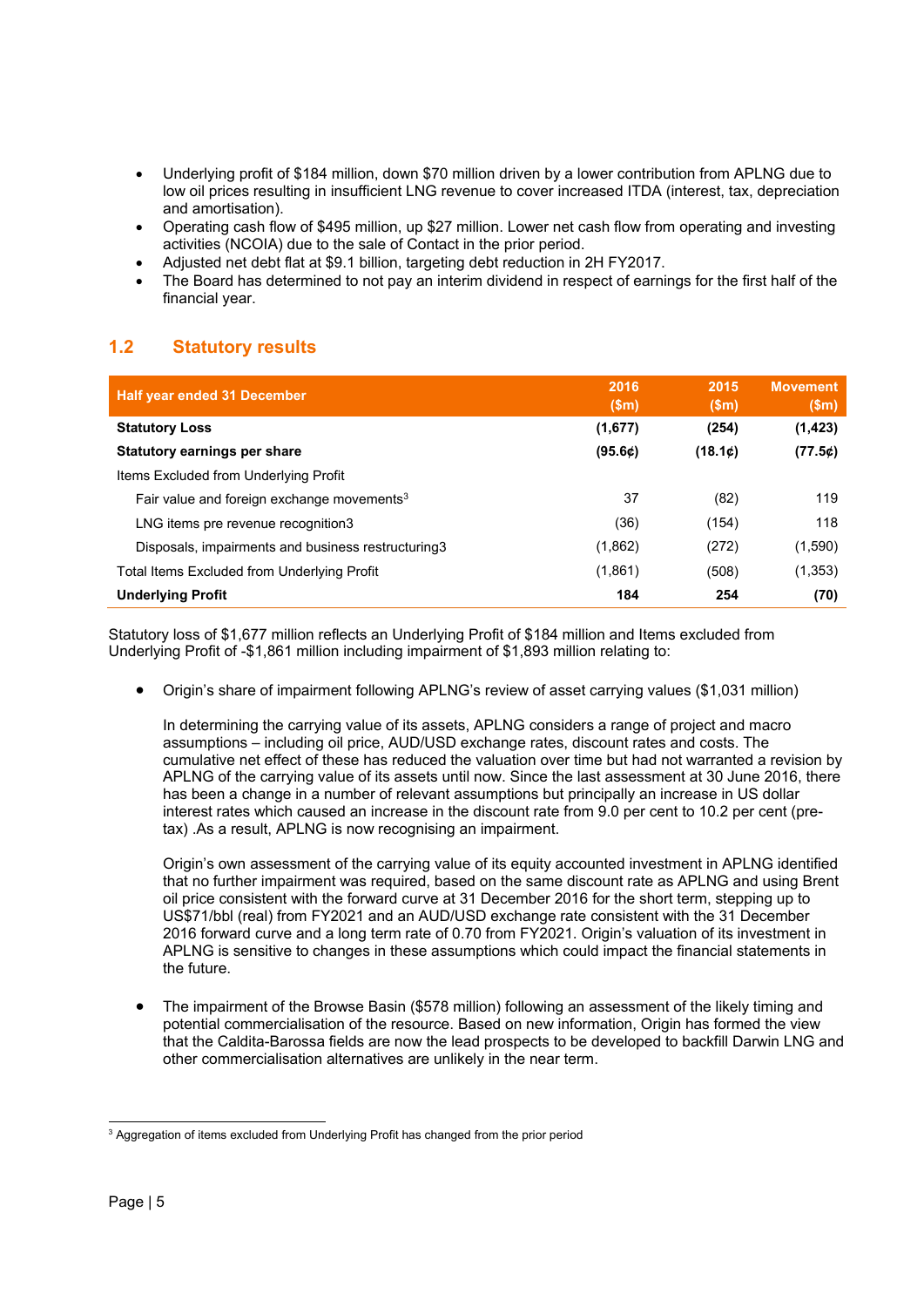- Underlying profit of \$184 million, down \$70 million driven by a lower contribution from APLNG due to low oil prices resulting in insufficient LNG revenue to cover increased ITDA (interest, tax, depreciation and amortisation).
- Operating cash flow of \$495 million, up \$27 million. Lower net cash flow from operating and investing activities (NCOIA) due to the sale of Contact in the prior period.
- Adjusted net debt flat at \$9.1 billion, targeting debt reduction in 2H FY2017.
- The Board has determined to not pay an interim dividend in respect of earnings for the first half of the financial year.

# **1.2 Statutory results**

| <b>Half year ended 31 December</b>                     | 2016<br>(Sm) | 2015<br>(Sm) | <b>Movement</b><br>\$m\$ |
|--------------------------------------------------------|--------------|--------------|--------------------------|
| <b>Statutory Loss</b>                                  | (1,677)      | (254)        | (1, 423)                 |
| <b>Statutory earnings per share</b>                    | (95.6¢)      | (18.1c)      | (77.5)                   |
| Items Excluded from Underlying Profit                  |              |              |                          |
| Fair value and foreign exchange movements <sup>3</sup> | 37           | (82)         | 119                      |
| LNG items pre revenue recognition3                     | (36)         | (154)        | 118                      |
| Disposals, impairments and business restructuring 3    | (1,862)      | (272)        | (1,590)                  |
| Total Items Excluded from Underlying Profit            | (1,861)      | (508)        | (1, 353)                 |
| <b>Underlying Profit</b>                               | 184          | 254          | (70)                     |

Statutory loss of \$1,677 million reflects an Underlying Profit of \$184 million and Items excluded from Underlying Profit of -\$1,861 million including impairment of \$1,893 million relating to:

Origin's share of impairment following APLNG's review of asset carrying values (\$1,031 million)

In determining the carrying value of its assets, APLNG considers a range of project and macro assumptions – including oil price, AUD/USD exchange rates, discount rates and costs. The cumulative net effect of these has reduced the valuation over time but had not warranted a revision by APLNG of the carrying value of its assets until now. Since the last assessment at 30 June 2016, there has been a change in a number of relevant assumptions but principally an increase in US dollar interest rates which caused an increase in the discount rate from 9.0 per cent to 10.2 per cent (pretax) .As a result, APLNG is now recognising an impairment.

Origin's own assessment of the carrying value of its equity accounted investment in APLNG identified that no further impairment was required, based on the same discount rate as APLNG and using Brent oil price consistent with the forward curve at 31 December 2016 for the short term, stepping up to US\$71/bbl (real) from FY2021 and an AUD/USD exchange rate consistent with the 31 December 2016 forward curve and a long term rate of 0.70 from FY2021. Origin's valuation of its investment in APLNG is sensitive to changes in these assumptions which could impact the financial statements in the future.

 The impairment of the Browse Basin (\$578 million) following an assessment of the likely timing and potential commercialisation of the resource. Based on new information, Origin has formed the view that the Caldita-Barossa fields are now the lead prospects to be developed to backfill Darwin LNG and other commercialisation alternatives are unlikely in the near term.

<sup>1</sup> <sup>3</sup> Aggregation of items excluded from Underlying Profit has changed from the prior period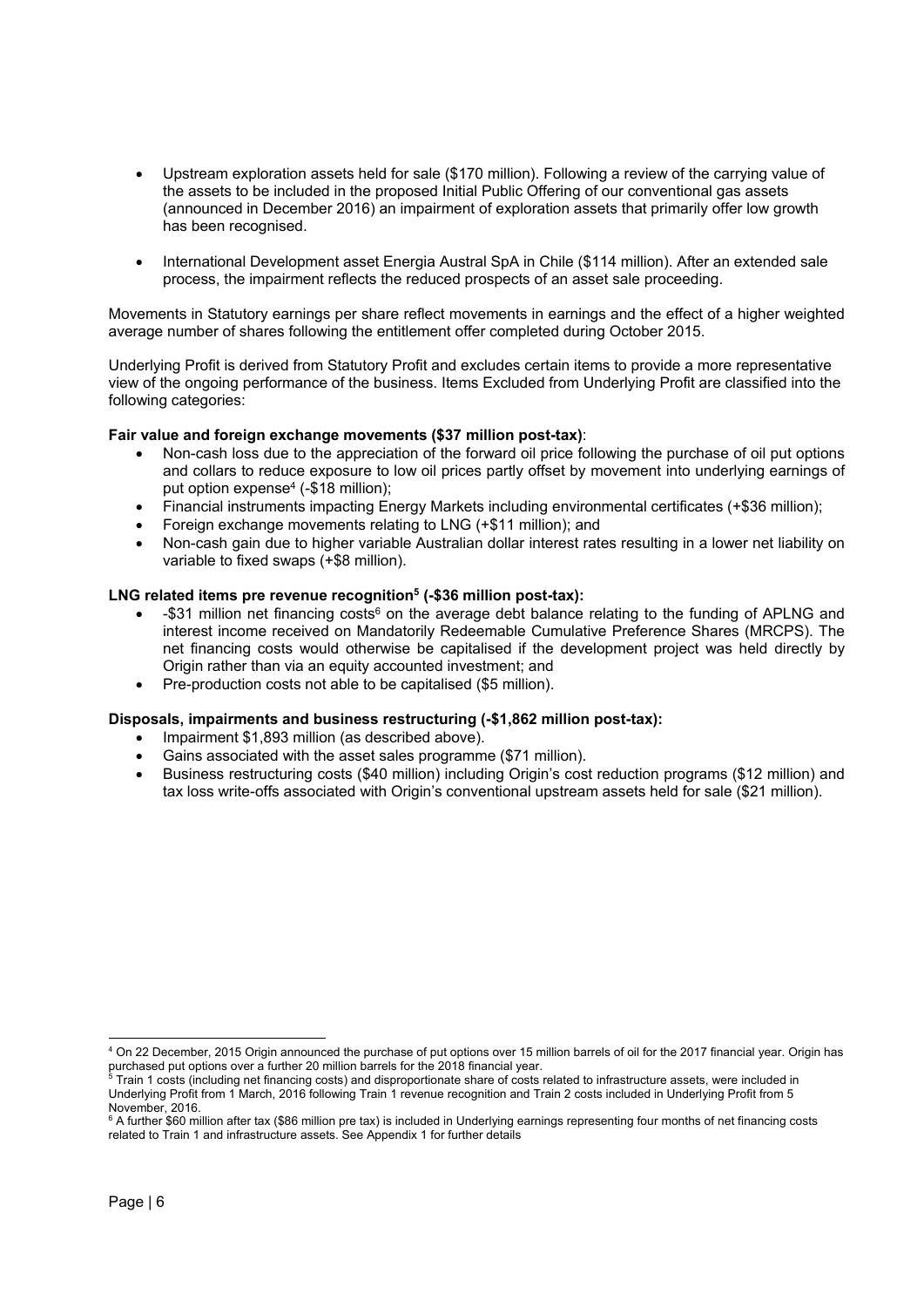- Upstream exploration assets held for sale (\$170 million). Following a review of the carrying value of the assets to be included in the proposed Initial Public Offering of our conventional gas assets (announced in December 2016) an impairment of exploration assets that primarily offer low growth has been recognised.
- International Development asset Energia Austral SpA in Chile (\$114 million). After an extended sale process, the impairment reflects the reduced prospects of an asset sale proceeding.

Movements in Statutory earnings per share reflect movements in earnings and the effect of a higher weighted average number of shares following the entitlement offer completed during October 2015.

Underlying Profit is derived from Statutory Profit and excludes certain items to provide a more representative view of the ongoing performance of the business. Items Excluded from Underlying Profit are classified into the following categories:

# **Fair value and foreign exchange movements (\$37 million post-tax)**:

- Non-cash loss due to the appreciation of the forward oil price following the purchase of oil put options and collars to reduce exposure to low oil prices partly offset by movement into underlying earnings of put option expense<sup>4</sup> (-\$18 million);
- Financial instruments impacting Energy Markets including environmental certificates (+\$36 million);
- Foreign exchange movements relating to LNG (+\$11 million); and
- Non-cash gain due to higher variable Australian dollar interest rates resulting in a lower net liability on variable to fixed swaps (+\$8 million).

# LNG related items pre revenue recognition<sup>5</sup> (-\$36 million post-tax):

- -\$31 million net financing costs<sup>6</sup> on the average debt balance relating to the funding of APLNG and interest income received on Mandatorily Redeemable Cumulative Preference Shares (MRCPS). The net financing costs would otherwise be capitalised if the development project was held directly by Origin rather than via an equity accounted investment; and
- Pre-production costs not able to be capitalised (\$5 million).

# **Disposals, impairments and business restructuring (-\$1,862 million post-tax):**

- Impairment \$1,893 million (as described above).
- Gains associated with the asset sales programme (\$71 million).
- Business restructuring costs (\$40 million) including Origin's cost reduction programs (\$12 million) and tax loss write-offs associated with Origin's conventional upstream assets held for sale (\$21 million).

1

<sup>4</sup> On 22 December, 2015 Origin announced the purchase of put options over 15 million barrels of oil for the 2017 financial year. Origin has purchased put options over a further 20 million barrels for the 2018 financial year.<br><sup>5</sup> Train 1 costs (including net financing costs) and disproportionate share of costs related to infrastructure assets, were included in

Underlying Profit from 1 March, 2016 following Train 1 revenue recognition and Train 2 costs included in Underlying Profit from 5 November, 2016.

<sup>6</sup> A further \$60 million after tax (\$86 million pre tax) is included in Underlying earnings representing four months of net financing costs related to Train 1 and infrastructure assets. See Appendix 1 for further details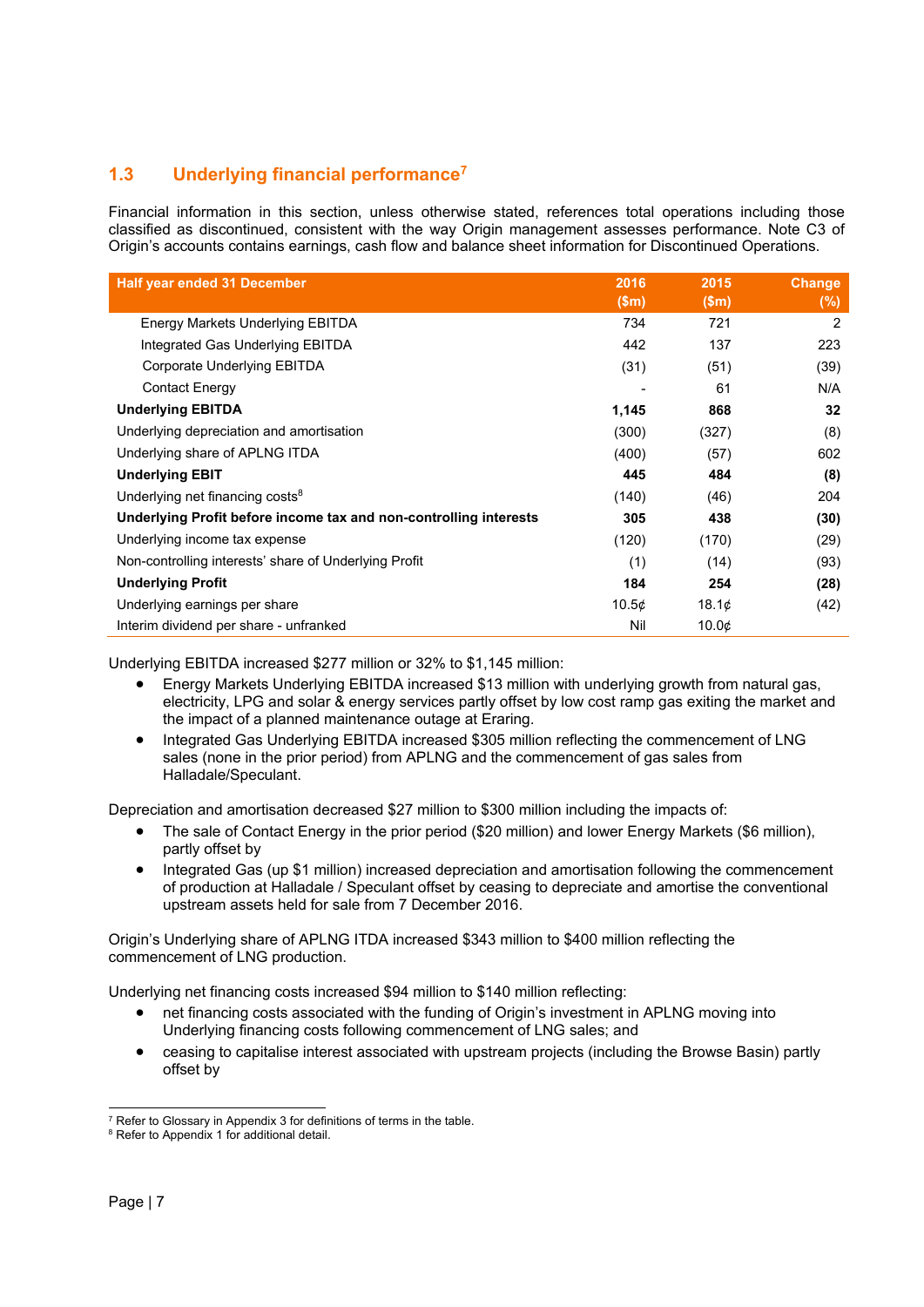# **1.3 Underlying financial performance7**

Financial information in this section, unless otherwise stated, references total operations including those classified as discontinued, consistent with the way Origin management assesses performance. Note C3 of Origin's accounts contains earnings, cash flow and balance sheet information for Discontinued Operations.

| <b>Half year ended 31 December</b>                                | 2016  | 2015              | <b>Change</b> |
|-------------------------------------------------------------------|-------|-------------------|---------------|
|                                                                   | \$m\$ | (Sm)              | $(\%)$        |
| Energy Markets Underlying EBITDA                                  | 734   | 721               | 2             |
| Integrated Gas Underlying EBITDA                                  | 442   | 137               | 223           |
| Corporate Underlying EBITDA                                       | (31)  | (51)              | (39)          |
| <b>Contact Energy</b>                                             |       | 61                | N/A           |
| <b>Underlying EBITDA</b>                                          | 1,145 | 868               | 32            |
| Underlying depreciation and amortisation                          | (300) | (327)             | (8)           |
| Underlying share of APLNG ITDA                                    | (400) | (57)              | 602           |
| <b>Underlying EBIT</b>                                            | 445   | 484               | (8)           |
| Underlying net financing costs <sup>8</sup>                       | (140) | (46)              | 204           |
| Underlying Profit before income tax and non-controlling interests | 305   | 438               | (30)          |
| Underlying income tax expense                                     | (120) | (170)             | (29)          |
| Non-controlling interests' share of Underlying Profit             | (1)   | (14)              | (93)          |
| <b>Underlying Profit</b>                                          | 184   | 254               | (28)          |
| Underlying earnings per share                                     | 10.5¢ | 18.1 <sub>¢</sub> | (42)          |
| Interim dividend per share - unfranked                            | Nil   | $10.0\mathcal{C}$ |               |

Underlying EBITDA increased \$277 million or 32% to \$1,145 million:

- Energy Markets Underlying EBITDA increased \$13 million with underlying growth from natural gas, electricity, LPG and solar & energy services partly offset by low cost ramp gas exiting the market and the impact of a planned maintenance outage at Eraring.
- Integrated Gas Underlying EBITDA increased \$305 million reflecting the commencement of LNG sales (none in the prior period) from APLNG and the commencement of gas sales from Halladale/Speculant.

Depreciation and amortisation decreased \$27 million to \$300 million including the impacts of:

- The sale of Contact Energy in the prior period (\$20 million) and lower Energy Markets (\$6 million), partly offset by
- Integrated Gas (up \$1 million) increased depreciation and amortisation following the commencement of production at Halladale / Speculant offset by ceasing to depreciate and amortise the conventional upstream assets held for sale from 7 December 2016.

Origin's Underlying share of APLNG ITDA increased \$343 million to \$400 million reflecting the commencement of LNG production.

Underlying net financing costs increased \$94 million to \$140 million reflecting:

- net financing costs associated with the funding of Origin's investment in APLNG moving into Underlying financing costs following commencement of LNG sales; and
- ceasing to capitalise interest associated with upstream projects (including the Browse Basin) partly offset by

 $\overline{a}$  $7$  Refer to Glossary in Appendix 3 for definitions of terms in the table.

 $8$  Refer to Appendix 1 for additional detail.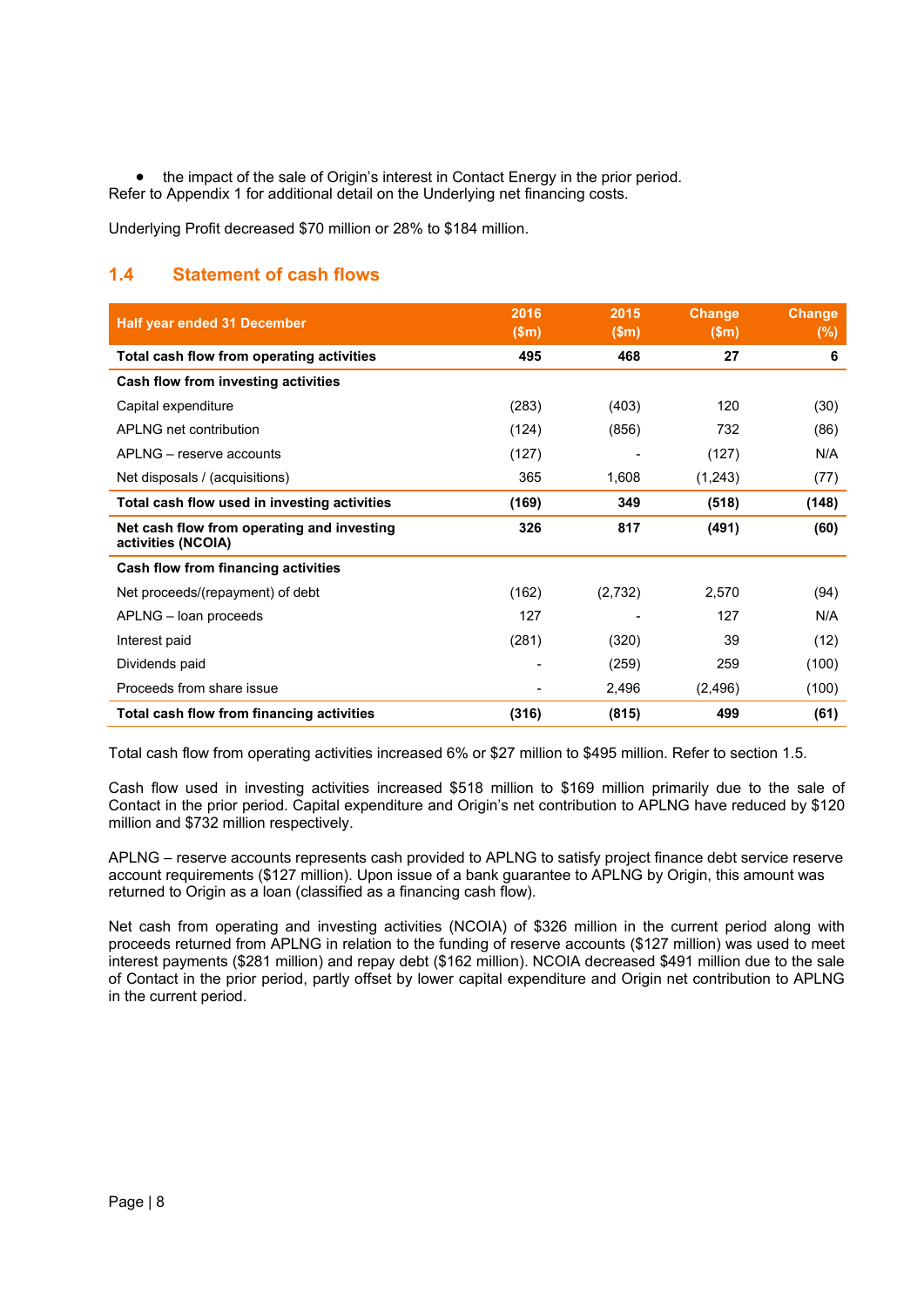the impact of the sale of Origin's interest in Contact Energy in the prior period. Refer to Appendix 1 for additional detail on the Underlying net financing costs.

Underlying Profit decreased \$70 million or 28% to \$184 million.

# **1.4 Statement of cash flows**

| <b>Half year ended 31 December</b>                               | 2016<br>\$m\$ | 2015<br>\$m\$ | <b>Change</b><br>\$m\$ | <b>Change</b><br>$(\%)$ |
|------------------------------------------------------------------|---------------|---------------|------------------------|-------------------------|
| Total cash flow from operating activities                        | 495           | 468           | 27                     | 6                       |
| Cash flow from investing activities                              |               |               |                        |                         |
| Capital expenditure                                              | (283)         | (403)         | 120                    | (30)                    |
| APLNG net contribution                                           | (124)         | (856)         | 732                    | (86)                    |
| APLNG – reserve accounts                                         | (127)         |               | (127)                  | N/A                     |
| Net disposals / (acquisitions)                                   | 365           | 1,608         | (1,243)                | (77)                    |
| Total cash flow used in investing activities                     | (169)         | 349           | (518)                  | (148)                   |
| Net cash flow from operating and investing<br>activities (NCOIA) | 326           | 817           | (491)                  | (60)                    |
| Cash flow from financing activities                              |               |               |                        |                         |
| Net proceeds/(repayment) of debt                                 | (162)         | (2,732)       | 2,570                  | (94)                    |
| APLNG - loan proceeds                                            | 127           |               | 127                    | N/A                     |
| Interest paid                                                    | (281)         | (320)         | 39                     | (12)                    |
| Dividends paid                                                   |               | (259)         | 259                    | (100)                   |
| Proceeds from share issue                                        |               | 2,496         | (2, 496)               | (100)                   |
| Total cash flow from financing activities                        | (316)         | (815)         | 499                    | (61)                    |

Total cash flow from operating activities increased 6% or \$27 million to \$495 million. Refer to section 1.5.

Cash flow used in investing activities increased \$518 million to \$169 million primarily due to the sale of Contact in the prior period. Capital expenditure and Origin's net contribution to APLNG have reduced by \$120 million and \$732 million respectively.

APLNG – reserve accounts represents cash provided to APLNG to satisfy project finance debt service reserve account requirements (\$127 million). Upon issue of a bank guarantee to APLNG by Origin, this amount was returned to Origin as a loan (classified as a financing cash flow).

Net cash from operating and investing activities (NCOIA) of \$326 million in the current period along with proceeds returned from APLNG in relation to the funding of reserve accounts (\$127 million) was used to meet interest payments (\$281 million) and repay debt (\$162 million). NCOIA decreased \$491 million due to the sale of Contact in the prior period, partly offset by lower capital expenditure and Origin net contribution to APLNG in the current period.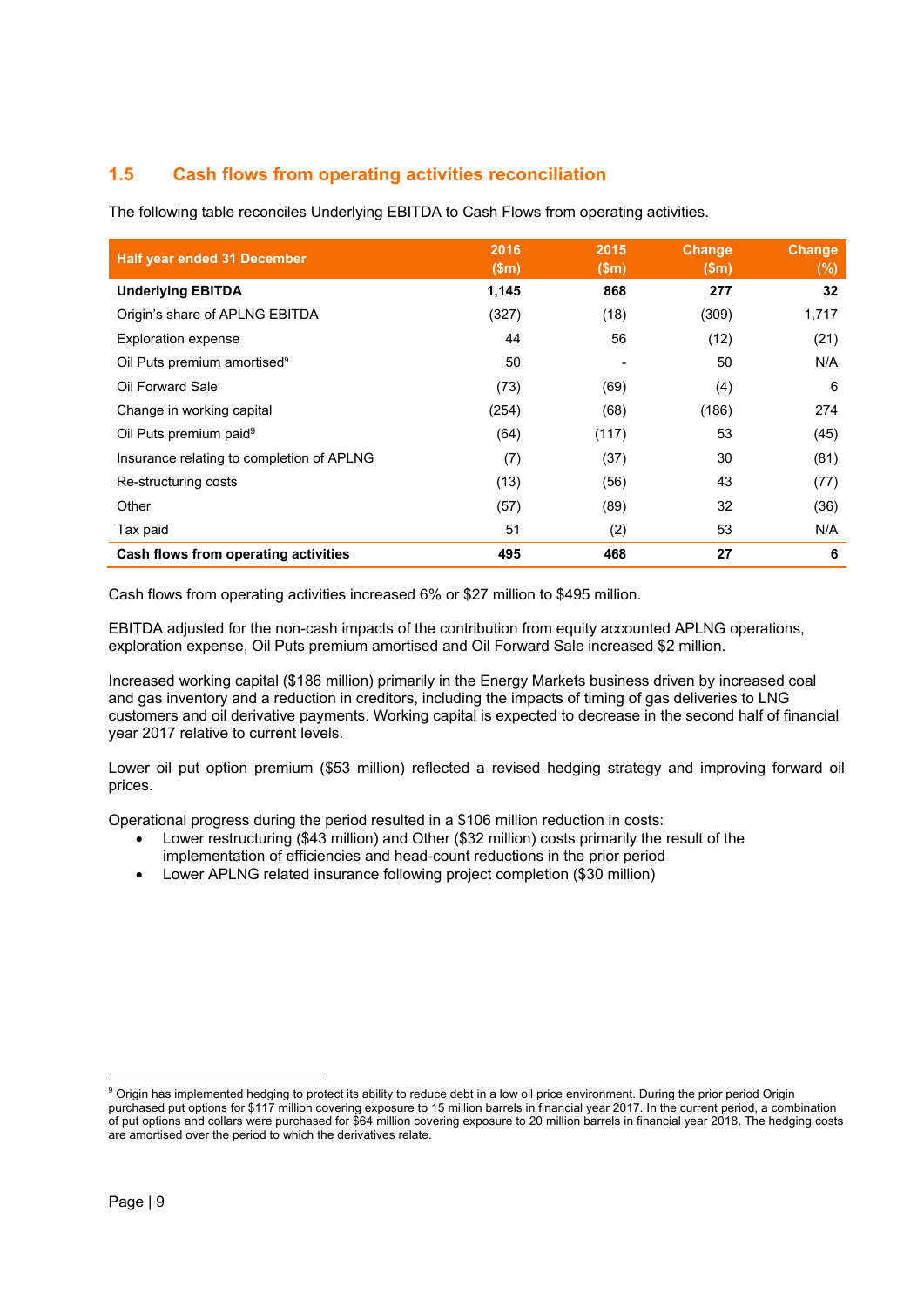# **1.5 Cash flows from operating activities reconciliation**

The following table reconciles Underlying EBITDA to Cash Flows from operating activities.

| <b>Half year ended 31 December</b>        | 2016<br>(Sm) | 2015<br>\$m\$ | <b>Change</b><br>\$m\$ | <b>Change</b><br>(%) |
|-------------------------------------------|--------------|---------------|------------------------|----------------------|
| <b>Underlying EBITDA</b>                  | 1,145        | 868           | 277                    | 32                   |
| Origin's share of APLNG EBITDA            | (327)        | (18)          | (309)                  | 1,717                |
| <b>Exploration expense</b>                | 44           | 56            | (12)                   | (21)                 |
| Oil Puts premium amortised <sup>9</sup>   | 50           | -             | 50                     | N/A                  |
| Oil Forward Sale                          | (73)         | (69)          | (4)                    | 6                    |
| Change in working capital                 | (254)        | (68)          | (186)                  | 274                  |
| Oil Puts premium paid <sup>9</sup>        | (64)         | (117)         | 53                     | (45)                 |
| Insurance relating to completion of APLNG | (7)          | (37)          | 30                     | (81)                 |
| Re-structuring costs                      | (13)         | (56)          | 43                     | (77)                 |
| Other                                     | (57)         | (89)          | 32                     | (36)                 |
| Tax paid                                  | 51           | (2)           | 53                     | N/A                  |
| Cash flows from operating activities      | 495          | 468           | 27                     | 6                    |

Cash flows from operating activities increased 6% or \$27 million to \$495 million.

EBITDA adjusted for the non-cash impacts of the contribution from equity accounted APLNG operations, exploration expense, Oil Puts premium amortised and Oil Forward Sale increased \$2 million.

Increased working capital (\$186 million) primarily in the Energy Markets business driven by increased coal and gas inventory and a reduction in creditors, including the impacts of timing of gas deliveries to LNG customers and oil derivative payments. Working capital is expected to decrease in the second half of financial year 2017 relative to current levels.

Lower oil put option premium (\$53 million) reflected a revised hedging strategy and improving forward oil prices.

Operational progress during the period resulted in a \$106 million reduction in costs:

- Lower restructuring (\$43 million) and Other (\$32 million) costs primarily the result of the implementation of efficiencies and head-count reductions in the prior period
- Lower APLNG related insurance following project completion (\$30 million)

 9 Origin has implemented hedging to protect its ability to reduce debt in a low oil price environment. During the prior period Origin purchased put options for \$117 million covering exposure to 15 million barrels in financial year 2017. In the current period, a combination of put options and collars were purchased for \$64 million covering exposure to 20 million barrels in financial year 2018. The hedging costs are amortised over the period to which the derivatives relate.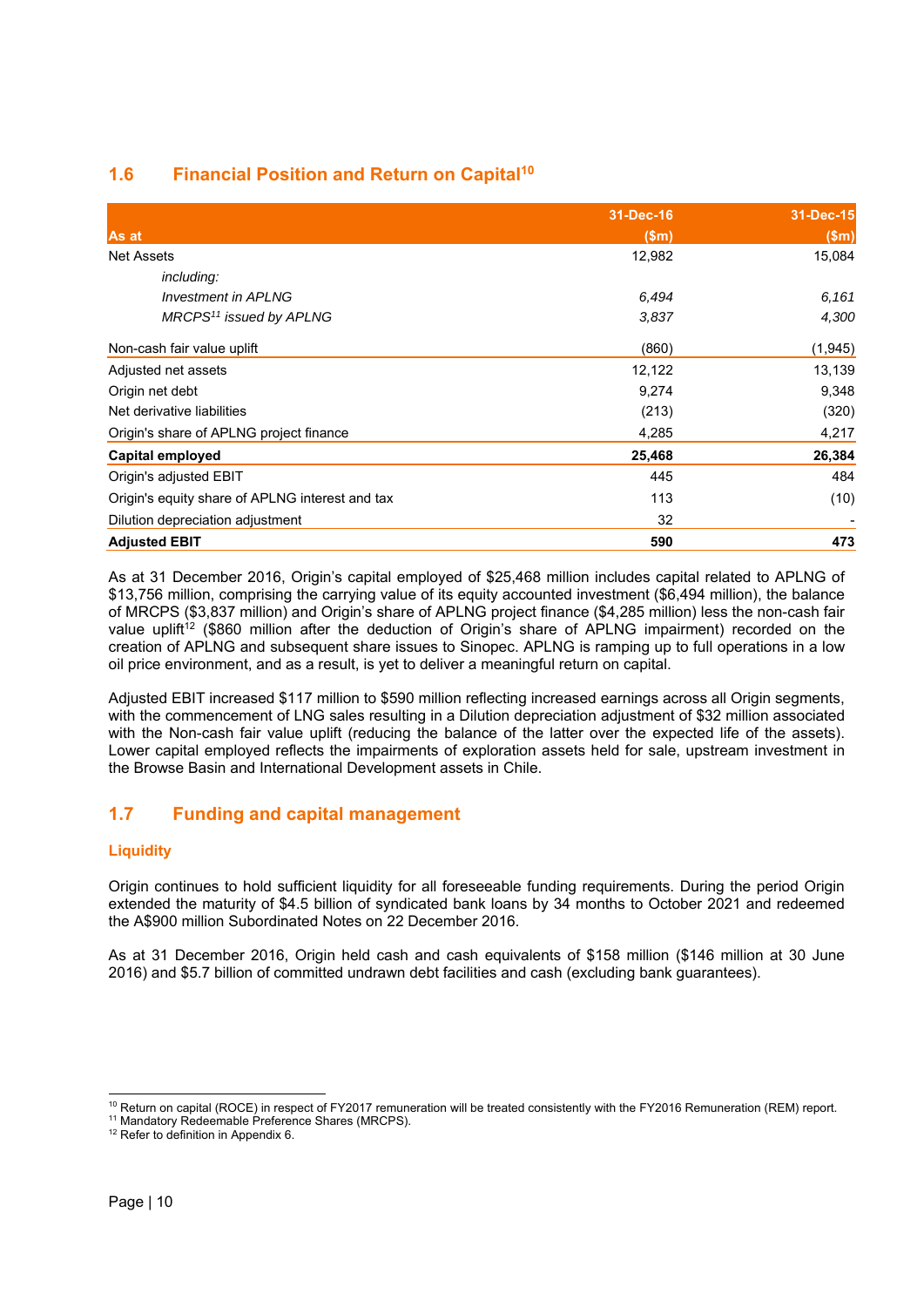# **1.6 Financial Position and Return on Capital10**

|                                                 | 31-Dec-16 | 31-Dec-15 |
|-------------------------------------------------|-----------|-----------|
| As at                                           | \$m\$     | \$m\$     |
| <b>Net Assets</b>                               | 12,982    | 15,084    |
| including:                                      |           |           |
| <b>Investment in APLNG</b>                      | 6,494     | 6,161     |
| MRCPS <sup>11</sup> issued by APLNG             | 3,837     | 4,300     |
| Non-cash fair value uplift                      | (860)     | (1, 945)  |
| Adjusted net assets                             | 12,122    | 13,139    |
| Origin net debt                                 | 9,274     | 9,348     |
| Net derivative liabilities                      | (213)     | (320)     |
| Origin's share of APLNG project finance         | 4,285     | 4,217     |
| Capital employed                                | 25,468    | 26,384    |
| Origin's adjusted EBIT                          | 445       | 484       |
| Origin's equity share of APLNG interest and tax | 113       | (10)      |
| Dilution depreciation adjustment                | 32        |           |
| <b>Adjusted EBIT</b>                            | 590       | 473       |

As at 31 December 2016, Origin's capital employed of \$25,468 million includes capital related to APLNG of \$13,756 million, comprising the carrying value of its equity accounted investment (\$6,494 million), the balance of MRCPS (\$3,837 million) and Origin's share of APLNG project finance (\$4,285 million) less the non-cash fair value uplift<sup>12</sup> (\$860 million after the deduction of Origin's share of APLNG impairment) recorded on the creation of APLNG and subsequent share issues to Sinopec. APLNG is ramping up to full operations in a low oil price environment, and as a result, is yet to deliver a meaningful return on capital.

Adjusted EBIT increased \$117 million to \$590 million reflecting increased earnings across all Origin segments, with the commencement of LNG sales resulting in a Dilution depreciation adjustment of \$32 million associated with the Non-cash fair value uplift (reducing the balance of the latter over the expected life of the assets). Lower capital employed reflects the impairments of exploration assets held for sale, upstream investment in the Browse Basin and International Development assets in Chile.

# **1.7 Funding and capital management**

# **Liquidity**

Origin continues to hold sufficient liquidity for all foreseeable funding requirements. During the period Origin extended the maturity of \$4.5 billion of syndicated bank loans by 34 months to October 2021 and redeemed the A\$900 million Subordinated Notes on 22 December 2016.

As at 31 December 2016, Origin held cash and cash equivalents of \$158 million (\$146 million at 30 June 2016) and \$5.7 billion of committed undrawn debt facilities and cash (excluding bank guarantees).

 $\overline{a}$ 

<sup>&</sup>lt;sup>10</sup> Return on capital (ROCE) in respect of FY2017 remuneration will be treated consistently with the FY2016 Remuneration (REM) report.<br><sup>11</sup> Mandatory Redeemable Preference Shares (MRCPS).

<sup>&</sup>lt;sup>12</sup> Refer to definition in Appendix 6.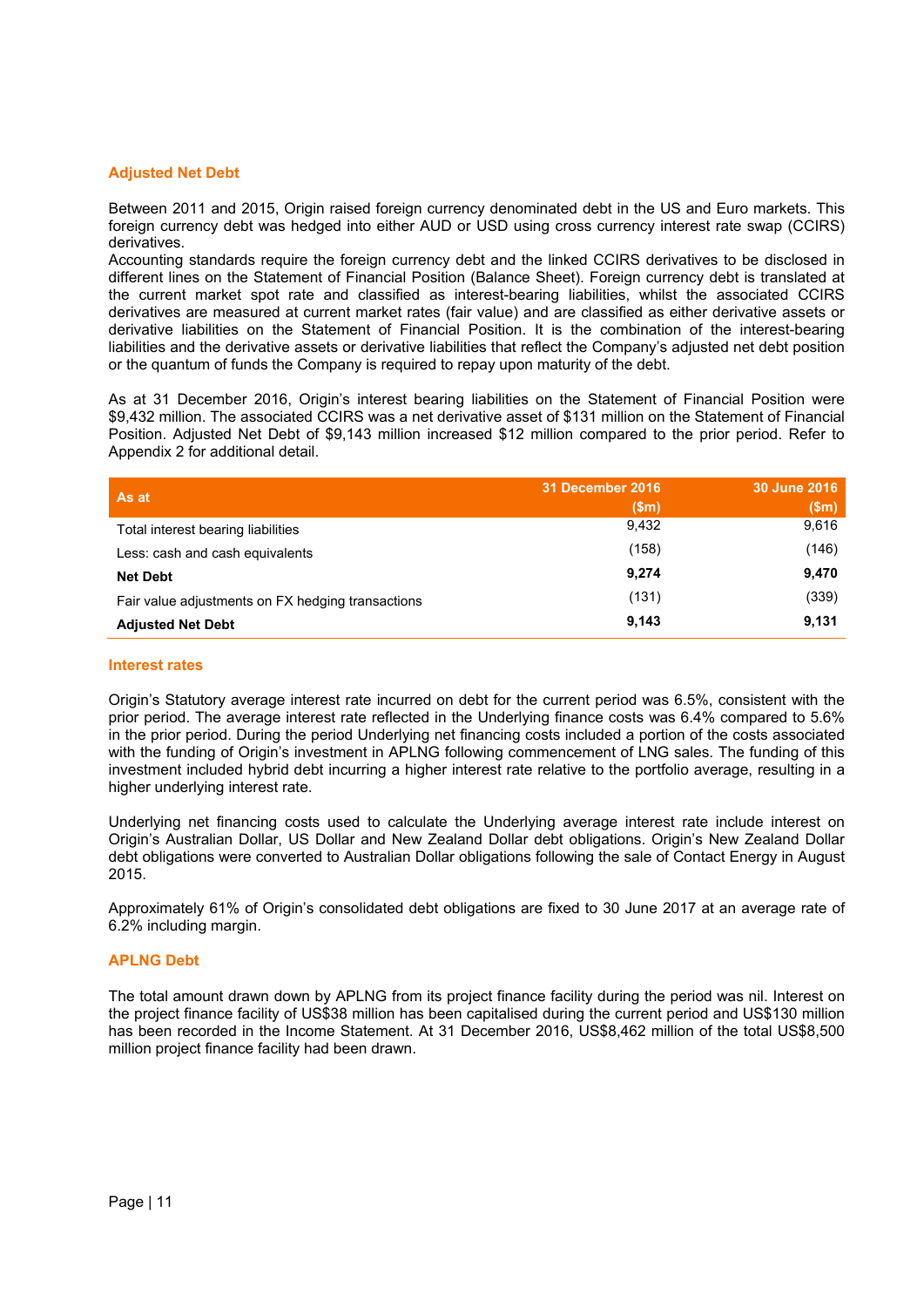# **Adjusted Net Debt**

Between 2011 and 2015, Origin raised foreign currency denominated debt in the US and Euro markets. This foreign currency debt was hedged into either AUD or USD using cross currency interest rate swap (CCIRS) derivatives.

Accounting standards require the foreign currency debt and the linked CCIRS derivatives to be disclosed in different lines on the Statement of Financial Position (Balance Sheet). Foreign currency debt is translated at the current market spot rate and classified as interest-bearing liabilities, whilst the associated CCIRS derivatives are measured at current market rates (fair value) and are classified as either derivative assets or derivative liabilities on the Statement of Financial Position. It is the combination of the interest-bearing liabilities and the derivative assets or derivative liabilities that reflect the Company's adjusted net debt position or the quantum of funds the Company is required to repay upon maturity of the debt.

As at 31 December 2016, Origin's interest bearing liabilities on the Statement of Financial Position were \$9,432 million. The associated CCIRS was a net derivative asset of \$131 million on the Statement of Financial Position. Adjusted Net Debt of \$9,143 million increased \$12 million compared to the prior period. Refer to Appendix 2 for additional detail.

| As at                                             | 31 December 2016 | 30 June 2016 |
|---------------------------------------------------|------------------|--------------|
|                                                   | \$m\$            | \$m\$        |
| Total interest bearing liabilities                | 9,432            | 9,616        |
| Less: cash and cash equivalents                   | (158)            | (146)        |
| <b>Net Debt</b>                                   | 9,274            | 9,470        |
| Fair value adjustments on FX hedging transactions | (131)            | (339)        |
| <b>Adjusted Net Debt</b>                          | 9,143            | 9,131        |

#### **Interest rates**

Origin's Statutory average interest rate incurred on debt for the current period was 6.5%, consistent with the prior period. The average interest rate reflected in the Underlying finance costs was 6.4% compared to 5.6% in the prior period. During the period Underlying net financing costs included a portion of the costs associated with the funding of Origin's investment in APLNG following commencement of LNG sales. The funding of this investment included hybrid debt incurring a higher interest rate relative to the portfolio average, resulting in a higher underlying interest rate.

Underlying net financing costs used to calculate the Underlying average interest rate include interest on Origin's Australian Dollar, US Dollar and New Zealand Dollar debt obligations. Origin's New Zealand Dollar debt obligations were converted to Australian Dollar obligations following the sale of Contact Energy in August 2015.

Approximately 61% of Origin's consolidated debt obligations are fixed to 30 June 2017 at an average rate of 6.2% including margin.

# **APLNG Debt**

The total amount drawn down by APLNG from its project finance facility during the period was nil. Interest on the project finance facility of US\$38 million has been capitalised during the current period and US\$130 million has been recorded in the Income Statement. At 31 December 2016, US\$8,462 million of the total US\$8,500 million project finance facility had been drawn.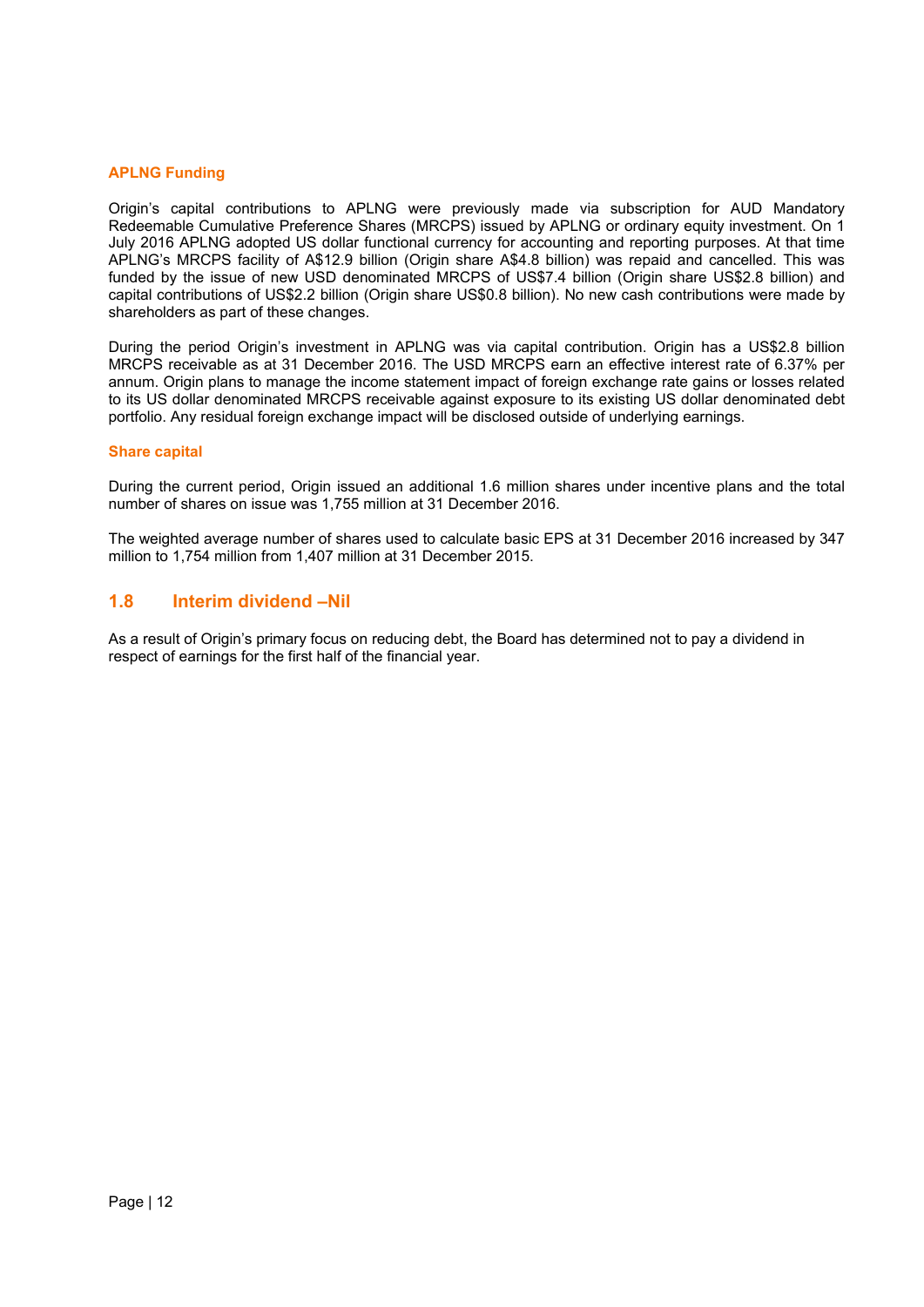# **APLNG Funding**

Origin's capital contributions to APLNG were previously made via subscription for AUD Mandatory Redeemable Cumulative Preference Shares (MRCPS) issued by APLNG or ordinary equity investment. On 1 July 2016 APLNG adopted US dollar functional currency for accounting and reporting purposes. At that time APLNG's MRCPS facility of A\$12.9 billion (Origin share A\$4.8 billion) was repaid and cancelled. This was funded by the issue of new USD denominated MRCPS of US\$7.4 billion (Origin share US\$2.8 billion) and capital contributions of US\$2.2 billion (Origin share US\$0.8 billion). No new cash contributions were made by shareholders as part of these changes.

During the period Origin's investment in APLNG was via capital contribution. Origin has a US\$2.8 billion MRCPS receivable as at 31 December 2016. The USD MRCPS earn an effective interest rate of 6.37% per annum. Origin plans to manage the income statement impact of foreign exchange rate gains or losses related to its US dollar denominated MRCPS receivable against exposure to its existing US dollar denominated debt portfolio. Any residual foreign exchange impact will be disclosed outside of underlying earnings.

#### **Share capital**

During the current period, Origin issued an additional 1.6 million shares under incentive plans and the total number of shares on issue was 1,755 million at 31 December 2016.

The weighted average number of shares used to calculate basic EPS at 31 December 2016 increased by 347 million to 1,754 million from 1,407 million at 31 December 2015.

# **1.8 Interim dividend –Nil**

As a result of Origin's primary focus on reducing debt, the Board has determined not to pay a dividend in respect of earnings for the first half of the financial year.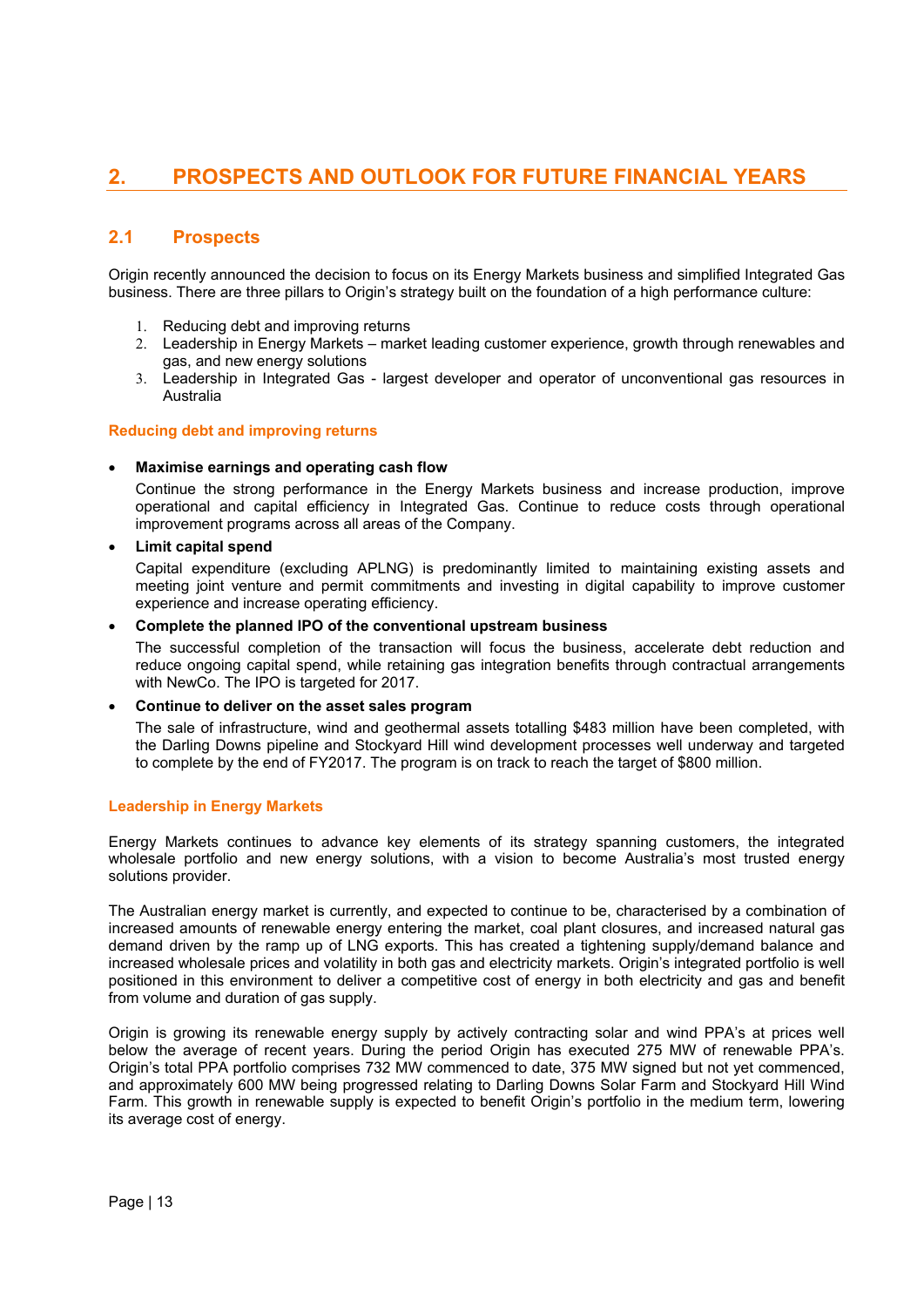# **2. PROSPECTS AND OUTLOOK FOR FUTURE FINANCIAL YEARS**

# **2.1 Prospects**

Origin recently announced the decision to focus on its Energy Markets business and simplified Integrated Gas business. There are three pillars to Origin's strategy built on the foundation of a high performance culture:

- 1. Reducing debt and improving returns
- 2. Leadership in Energy Markets market leading customer experience, growth through renewables and gas, and new energy solutions
- 3. Leadership in Integrated Gas largest developer and operator of unconventional gas resources in Australia

# **Reducing debt and improving returns**

# **Maximise earnings and operating cash flow**

Continue the strong performance in the Energy Markets business and increase production, improve operational and capital efficiency in Integrated Gas. Continue to reduce costs through operational improvement programs across all areas of the Company.

# **Limit capital spend**

Capital expenditure (excluding APLNG) is predominantly limited to maintaining existing assets and meeting joint venture and permit commitments and investing in digital capability to improve customer experience and increase operating efficiency.

# **Complete the planned IPO of the conventional upstream business**

The successful completion of the transaction will focus the business, accelerate debt reduction and reduce ongoing capital spend, while retaining gas integration benefits through contractual arrangements with NewCo. The IPO is targeted for 2017.

# **Continue to deliver on the asset sales program**

The sale of infrastructure, wind and geothermal assets totalling \$483 million have been completed, with the Darling Downs pipeline and Stockyard Hill wind development processes well underway and targeted to complete by the end of FY2017. The program is on track to reach the target of \$800 million.

# **Leadership in Energy Markets**

Energy Markets continues to advance key elements of its strategy spanning customers, the integrated wholesale portfolio and new energy solutions, with a vision to become Australia's most trusted energy solutions provider.

The Australian energy market is currently, and expected to continue to be, characterised by a combination of increased amounts of renewable energy entering the market, coal plant closures, and increased natural gas demand driven by the ramp up of LNG exports. This has created a tightening supply/demand balance and increased wholesale prices and volatility in both gas and electricity markets. Origin's integrated portfolio is well positioned in this environment to deliver a competitive cost of energy in both electricity and gas and benefit from volume and duration of gas supply.

Origin is growing its renewable energy supply by actively contracting solar and wind PPA's at prices well below the average of recent years. During the period Origin has executed 275 MW of renewable PPA's. Origin's total PPA portfolio comprises 732 MW commenced to date, 375 MW signed but not yet commenced, and approximately 600 MW being progressed relating to Darling Downs Solar Farm and Stockyard Hill Wind Farm. This growth in renewable supply is expected to benefit Origin's portfolio in the medium term, lowering its average cost of energy.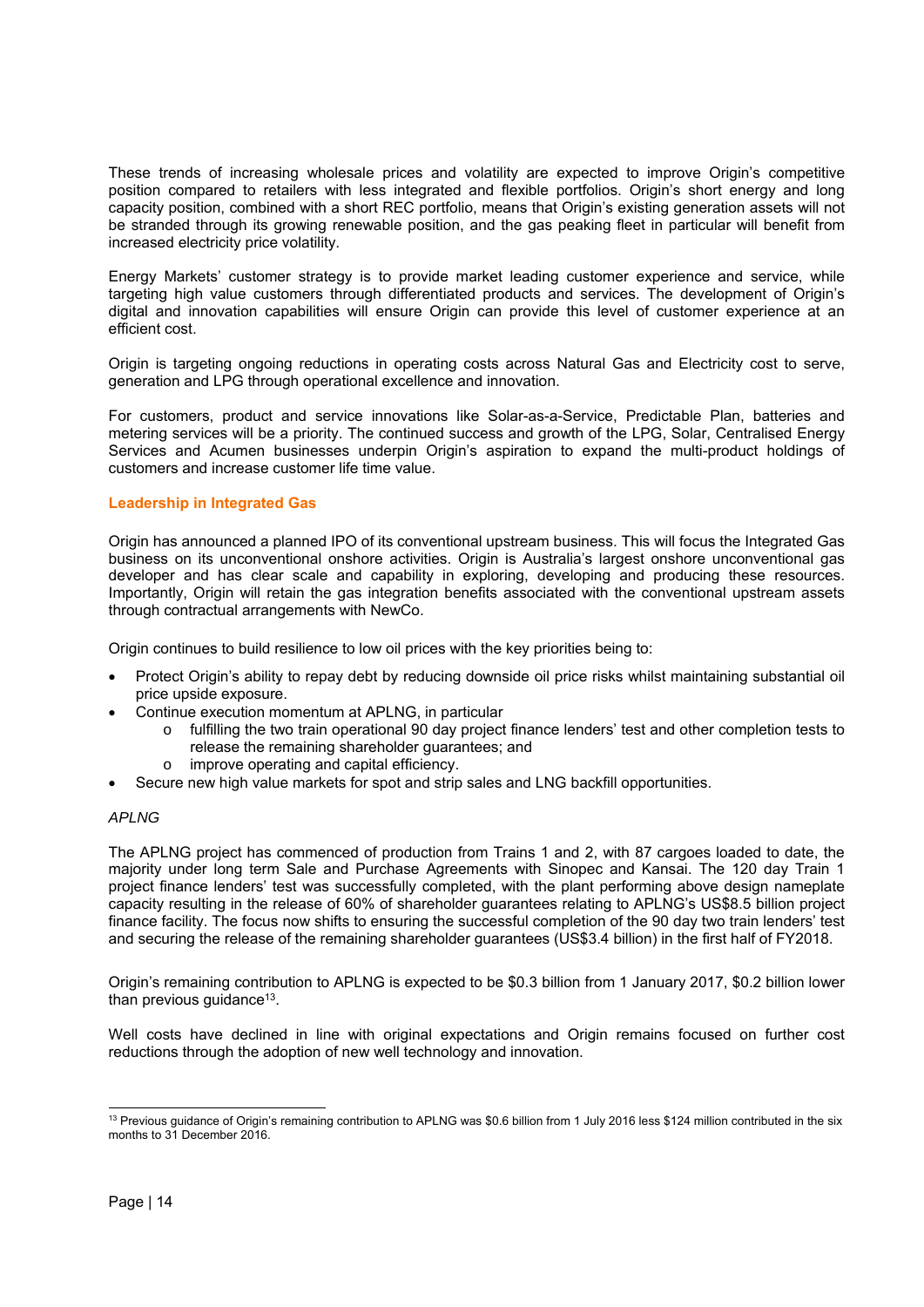These trends of increasing wholesale prices and volatility are expected to improve Origin's competitive position compared to retailers with less integrated and flexible portfolios. Origin's short energy and long capacity position, combined with a short REC portfolio, means that Origin's existing generation assets will not be stranded through its growing renewable position, and the gas peaking fleet in particular will benefit from increased electricity price volatility.

Energy Markets' customer strategy is to provide market leading customer experience and service, while targeting high value customers through differentiated products and services. The development of Origin's digital and innovation capabilities will ensure Origin can provide this level of customer experience at an efficient cost.

Origin is targeting ongoing reductions in operating costs across Natural Gas and Electricity cost to serve, generation and LPG through operational excellence and innovation.

For customers, product and service innovations like Solar-as-a-Service, Predictable Plan, batteries and metering services will be a priority. The continued success and growth of the LPG, Solar, Centralised Energy Services and Acumen businesses underpin Origin's aspiration to expand the multi-product holdings of customers and increase customer life time value.

# **Leadership in Integrated Gas**

Origin has announced a planned IPO of its conventional upstream business. This will focus the Integrated Gas business on its unconventional onshore activities. Origin is Australia's largest onshore unconventional gas developer and has clear scale and capability in exploring, developing and producing these resources. Importantly, Origin will retain the gas integration benefits associated with the conventional upstream assets through contractual arrangements with NewCo.

Origin continues to build resilience to low oil prices with the key priorities being to:

- Protect Origin's ability to repay debt by reducing downside oil price risks whilst maintaining substantial oil price upside exposure.
- Continue execution momentum at APLNG, in particular
	- o fulfilling the two train operational 90 day project finance lenders' test and other completion tests to release the remaining shareholder guarantees; and
	- o improve operating and capital efficiency.
- Secure new high value markets for spot and strip sales and LNG backfill opportunities.

#### *APLNG*

The APLNG project has commenced of production from Trains 1 and 2, with 87 cargoes loaded to date, the majority under long term Sale and Purchase Agreements with Sinopec and Kansai. The 120 day Train 1 project finance lenders' test was successfully completed, with the plant performing above design nameplate capacity resulting in the release of 60% of shareholder guarantees relating to APLNG's US\$8.5 billion project finance facility. The focus now shifts to ensuring the successful completion of the 90 day two train lenders' test and securing the release of the remaining shareholder guarantees (US\$3.4 billion) in the first half of FY2018.

Origin's remaining contribution to APLNG is expected to be \$0.3 billion from 1 January 2017, \$0.2 billion lower than previous quidance<sup>13</sup>.

Well costs have declined in line with original expectations and Origin remains focused on further cost reductions through the adoption of new well technology and innovation.

 $\overline{a}$ 

<sup>&</sup>lt;sup>13</sup> Previous quidance of Origin's remaining contribution to APLNG was \$0.6 billion from 1 July 2016 less \$124 million contributed in the six months to 31 December 2016.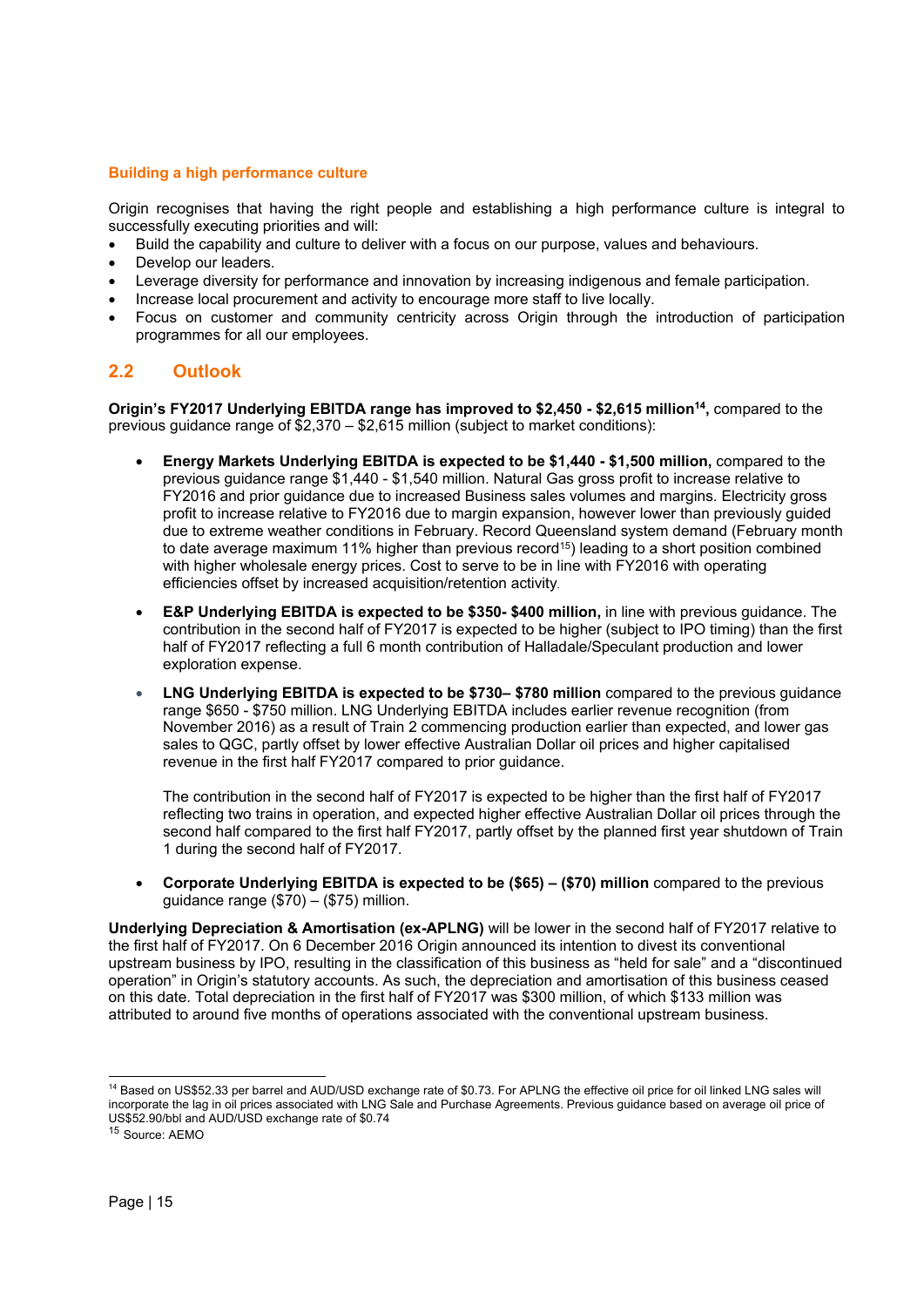# **Building a high performance culture**

Origin recognises that having the right people and establishing a high performance culture is integral to successfully executing priorities and will:

- Build the capability and culture to deliver with a focus on our purpose, values and behaviours.
- Develop our leaders.
- Leverage diversity for performance and innovation by increasing indigenous and female participation.
- Increase local procurement and activity to encourage more staff to live locally.
- Focus on customer and community centricity across Origin through the introduction of participation programmes for all our employees.

# **2.2 Outlook**

**Origin's FY2017 Underlying EBITDA range has improved to \$2,450 - \$2,615 million14,** compared to the previous guidance range of \$2,370 – \$2,615 million (subject to market conditions):

- **Energy Markets Underlying EBITDA is expected to be \$1,440 \$1,500 million,** compared to the previous guidance range \$1,440 - \$1,540 million. Natural Gas gross profit to increase relative to FY2016 and prior guidance due to increased Business sales volumes and margins. Electricity gross profit to increase relative to FY2016 due to margin expansion, however lower than previously guided due to extreme weather conditions in February. Record Queensland system demand (February month to date average maximum 11% higher than previous record<sup>15</sup>) leading to a short position combined with higher wholesale energy prices. Cost to serve to be in line with FY2016 with operating efficiencies offset by increased acquisition/retention activity.
- **E&P Underlying EBITDA is expected to be \$350- \$400 million,** in line with previous guidance. The contribution in the second half of FY2017 is expected to be higher (subject to IPO timing) than the first half of FY2017 reflecting a full 6 month contribution of Halladale/Speculant production and lower exploration expense.
- **LNG Underlying EBITDA is expected to be \$730– \$780 million** compared to the previous guidance range \$650 - \$750 million. LNG Underlying EBITDA includes earlier revenue recognition (from November 2016) as a result of Train 2 commencing production earlier than expected, and lower gas sales to QGC, partly offset by lower effective Australian Dollar oil prices and higher capitalised revenue in the first half FY2017 compared to prior guidance.

The contribution in the second half of FY2017 is expected to be higher than the first half of FY2017 reflecting two trains in operation, and expected higher effective Australian Dollar oil prices through the second half compared to the first half FY2017, partly offset by the planned first year shutdown of Train 1 during the second half of FY2017.

 **Corporate Underlying EBITDA is expected to be (\$65) – (\$70) million** compared to the previous quidance range  $(\$70) - \$75)$  million.

**Underlying Depreciation & Amortisation (ex-APLNG)** will be lower in the second half of FY2017 relative to the first half of FY2017. On 6 December 2016 Origin announced its intention to divest its conventional upstream business by IPO, resulting in the classification of this business as "held for sale" and a "discontinued operation" in Origin's statutory accounts. As such, the depreciation and amortisation of this business ceased on this date. Total depreciation in the first half of FY2017 was \$300 million, of which \$133 million was attributed to around five months of operations associated with the conventional upstream business.

 $\overline{a}$ <sup>14</sup> Based on US\$52.33 per barrel and AUD/USD exchange rate of \$0.73. For APLNG the effective oil price for oil linked LNG sales will incorporate the lag in oil prices associated with LNG Sale and Purchase Agreements. Previous guidance based on average oil price of US\$52.90/bbl and AUD/USD exchange rate of \$0.74

<sup>15</sup> Source: AEMO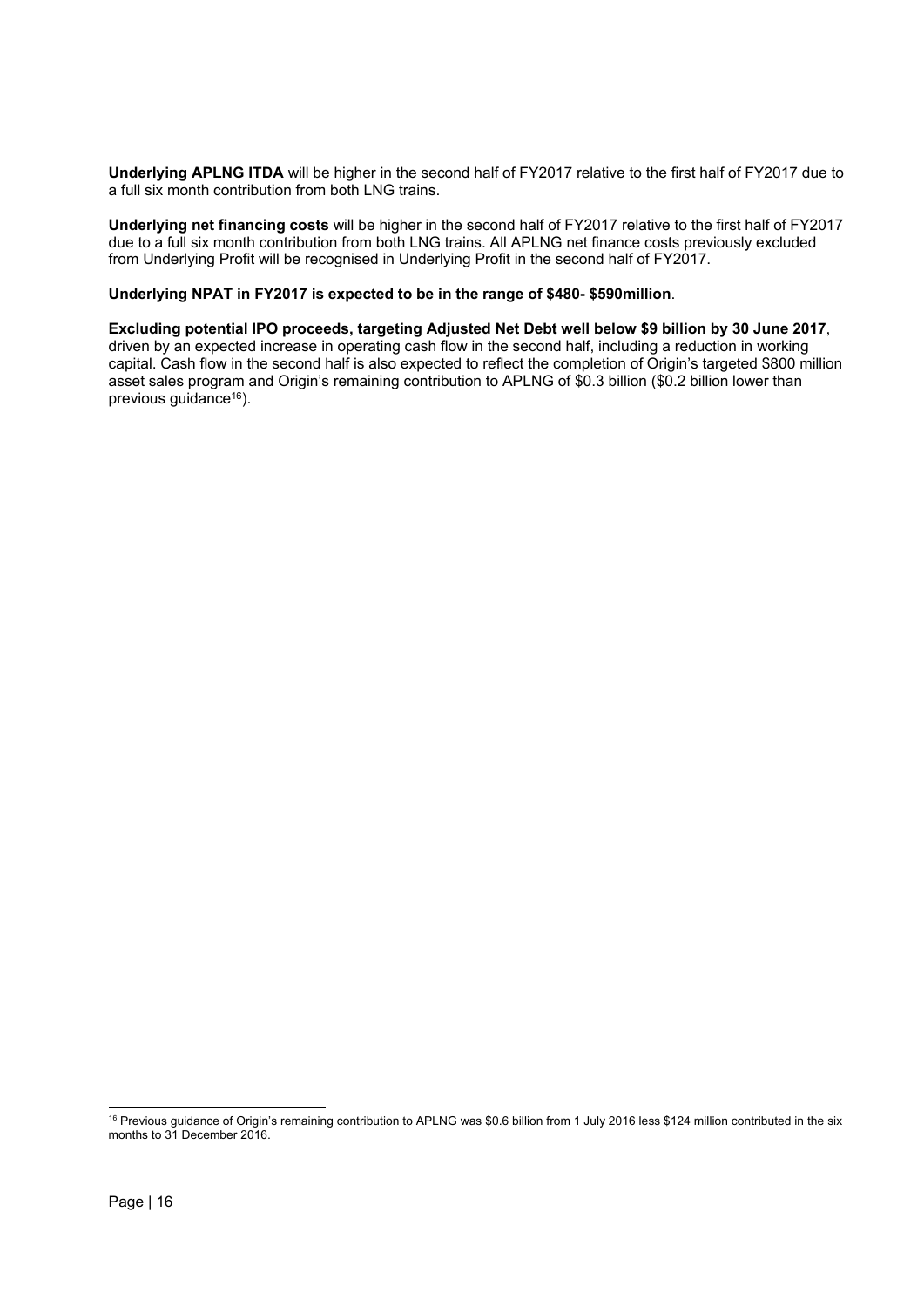**Underlying APLNG ITDA** will be higher in the second half of FY2017 relative to the first half of FY2017 due to a full six month contribution from both LNG trains.

**Underlying net financing costs** will be higher in the second half of FY2017 relative to the first half of FY2017 due to a full six month contribution from both LNG trains. All APLNG net finance costs previously excluded from Underlying Profit will be recognised in Underlying Profit in the second half of FY2017.

# **Underlying NPAT in FY2017 is expected to be in the range of \$480- \$590million**.

**Excluding potential IPO proceeds, targeting Adjusted Net Debt well below \$9 billion by 30 June 2017**, driven by an expected increase in operating cash flow in the second half, including a reduction in working capital. Cash flow in the second half is also expected to reflect the completion of Origin's targeted \$800 million asset sales program and Origin's remaining contribution to APLNG of \$0.3 billion (\$0.2 billion lower than previous guidance<sup>16</sup>).

 $\overline{a}$ 

<sup>&</sup>lt;sup>16</sup> Previous guidance of Origin's remaining contribution to APLNG was \$0.6 billion from 1 July 2016 less \$124 million contributed in the six months to 31 December 2016.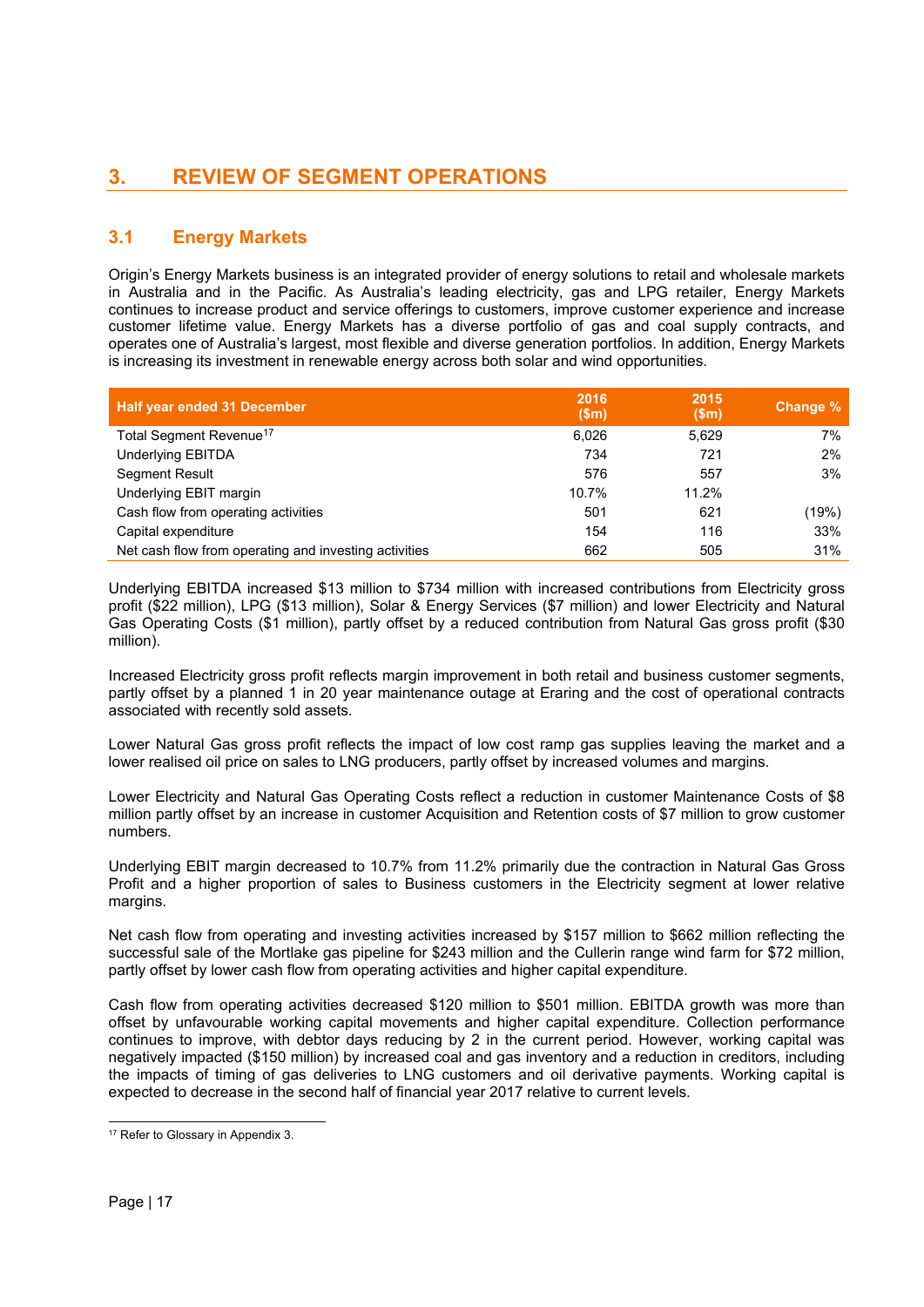# **3. REVIEW OF SEGMENT OPERATIONS**

# **3.1 Energy Markets**

Origin's Energy Markets business is an integrated provider of energy solutions to retail and wholesale markets in Australia and in the Pacific. As Australia's leading electricity, gas and LPG retailer, Energy Markets continues to increase product and service offerings to customers, improve customer experience and increase customer lifetime value. Energy Markets has a diverse portfolio of gas and coal supply contracts, and operates one of Australia's largest, most flexible and diverse generation portfolios. In addition, Energy Markets is increasing its investment in renewable energy across both solar and wind opportunities.

| <b>Half year ended 31 December</b>                    | 2016<br>(Sm) | 2015<br>\$m\$ | Change % |
|-------------------------------------------------------|--------------|---------------|----------|
| Total Segment Revenue <sup>17</sup>                   | 6.026        | 5.629         | 7%       |
| <b>Underlying EBITDA</b>                              | 734          | 721           | 2%       |
| <b>Segment Result</b>                                 | 576          | 557           | 3%       |
| Underlying EBIT margin                                | 10.7%        | 11.2%         |          |
| Cash flow from operating activities                   | 501          | 621           | (19%)    |
| Capital expenditure                                   | 154          | 116           | 33%      |
| Net cash flow from operating and investing activities | 662          | 505           | 31%      |

Underlying EBITDA increased \$13 million to \$734 million with increased contributions from Electricity gross profit (\$22 million), LPG (\$13 million), Solar & Energy Services (\$7 million) and lower Electricity and Natural Gas Operating Costs (\$1 million), partly offset by a reduced contribution from Natural Gas gross profit (\$30 million).

Increased Electricity gross profit reflects margin improvement in both retail and business customer segments, partly offset by a planned 1 in 20 year maintenance outage at Eraring and the cost of operational contracts associated with recently sold assets.

Lower Natural Gas gross profit reflects the impact of low cost ramp gas supplies leaving the market and a lower realised oil price on sales to LNG producers, partly offset by increased volumes and margins.

Lower Electricity and Natural Gas Operating Costs reflect a reduction in customer Maintenance Costs of \$8 million partly offset by an increase in customer Acquisition and Retention costs of \$7 million to grow customer numbers.

Underlying EBIT margin decreased to 10.7% from 11.2% primarily due the contraction in Natural Gas Gross Profit and a higher proportion of sales to Business customers in the Electricity segment at lower relative margins.

Net cash flow from operating and investing activities increased by \$157 million to \$662 million reflecting the successful sale of the Mortlake gas pipeline for \$243 million and the Cullerin range wind farm for \$72 million, partly offset by lower cash flow from operating activities and higher capital expenditure.

Cash flow from operating activities decreased \$120 million to \$501 million. EBITDA growth was more than offset by unfavourable working capital movements and higher capital expenditure. Collection performance continues to improve, with debtor days reducing by 2 in the current period. However, working capital was negatively impacted (\$150 million) by increased coal and gas inventory and a reduction in creditors, including the impacts of timing of gas deliveries to LNG customers and oil derivative payments. Working capital is expected to decrease in the second half of financial year 2017 relative to current levels.

<sup>1</sup> <sup>17</sup> Refer to Glossary in Appendix 3.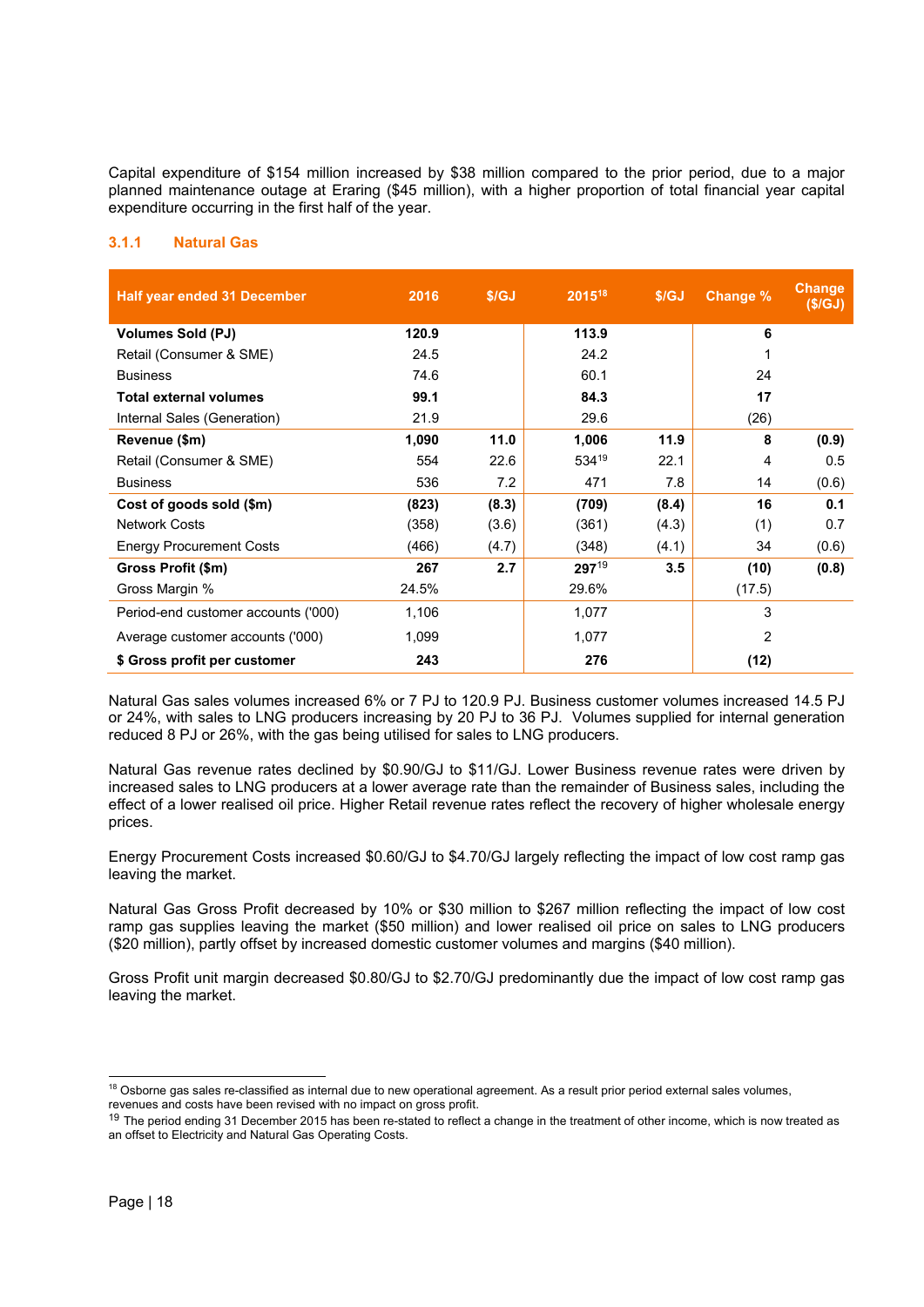Capital expenditure of \$154 million increased by \$38 million compared to the prior period, due to a major planned maintenance outage at Eraring (\$45 million), with a higher proportion of total financial year capital expenditure occurring in the first half of the year.

# **3.1.1 Natural Gas**

| <b>Half year ended 31 December</b>  | 2016  | \$/GJ | 2015 <sup>18</sup> | S/GJ  | <b>Change %</b> | <b>Change</b><br>(S/GJ) |
|-------------------------------------|-------|-------|--------------------|-------|-----------------|-------------------------|
| <b>Volumes Sold (PJ)</b>            | 120.9 |       | 113.9              |       | 6               |                         |
| Retail (Consumer & SME)             | 24.5  |       | 24.2               |       |                 |                         |
| <b>Business</b>                     | 74.6  |       | 60.1               |       | 24              |                         |
| Total external volumes              | 99.1  |       | 84.3               |       | 17              |                         |
| Internal Sales (Generation)         | 21.9  |       | 29.6               |       | (26)            |                         |
| Revenue (\$m)                       | 1,090 | 11.0  | 1,006              | 11.9  | 8               | (0.9)                   |
| Retail (Consumer & SME)             | 554   | 22.6  | 53419              | 22.1  | 4               | 0.5                     |
| <b>Business</b>                     | 536   | 7.2   | 471                | 7.8   | 14              | (0.6)                   |
| Cost of goods sold (\$m)            | (823) | (8.3) | (709)              | (8.4) | 16              | 0.1                     |
| <b>Network Costs</b>                | (358) | (3.6) | (361)              | (4.3) | (1)             | 0.7                     |
| <b>Energy Procurement Costs</b>     | (466) | (4.7) | (348)              | (4.1) | 34              | (0.6)                   |
| Gross Profit (\$m)                  | 267   | 2.7   | $297^{19}$         | 3.5   | (10)            | (0.8)                   |
| Gross Margin %                      | 24.5% |       | 29.6%              |       | (17.5)          |                         |
| Period-end customer accounts ('000) | 1,106 |       | 1,077              |       | 3               |                         |
| Average customer accounts ('000)    | 1,099 |       | 1,077              |       | $\overline{2}$  |                         |
| \$ Gross profit per customer        | 243   |       | 276                |       | (12)            |                         |

Natural Gas sales volumes increased 6% or 7 PJ to 120.9 PJ. Business customer volumes increased 14.5 PJ or 24%, with sales to LNG producers increasing by 20 PJ to 36 PJ. Volumes supplied for internal generation reduced 8 PJ or 26%, with the gas being utilised for sales to LNG producers.

Natural Gas revenue rates declined by \$0.90/GJ to \$11/GJ. Lower Business revenue rates were driven by increased sales to LNG producers at a lower average rate than the remainder of Business sales, including the effect of a lower realised oil price. Higher Retail revenue rates reflect the recovery of higher wholesale energy prices.

Energy Procurement Costs increased \$0.60/GJ to \$4.70/GJ largely reflecting the impact of low cost ramp gas leaving the market.

Natural Gas Gross Profit decreased by 10% or \$30 million to \$267 million reflecting the impact of low cost ramp gas supplies leaving the market (\$50 million) and lower realised oil price on sales to LNG producers (\$20 million), partly offset by increased domestic customer volumes and margins (\$40 million).

Gross Profit unit margin decreased \$0.80/GJ to \$2.70/GJ predominantly due the impact of low cost ramp gas leaving the market.

 $\overline{a}$ 

<sup>&</sup>lt;sup>18</sup> Osborne gas sales re-classified as internal due to new operational agreement. As a result prior period external sales volumes, revenues and costs have been revised with no impact on gross profit.

<sup>&</sup>lt;sup>19</sup> The period ending 31 December 2015 has been re-stated to reflect a change in the treatment of other income, which is now treated as an offset to Electricity and Natural Gas Operating Costs.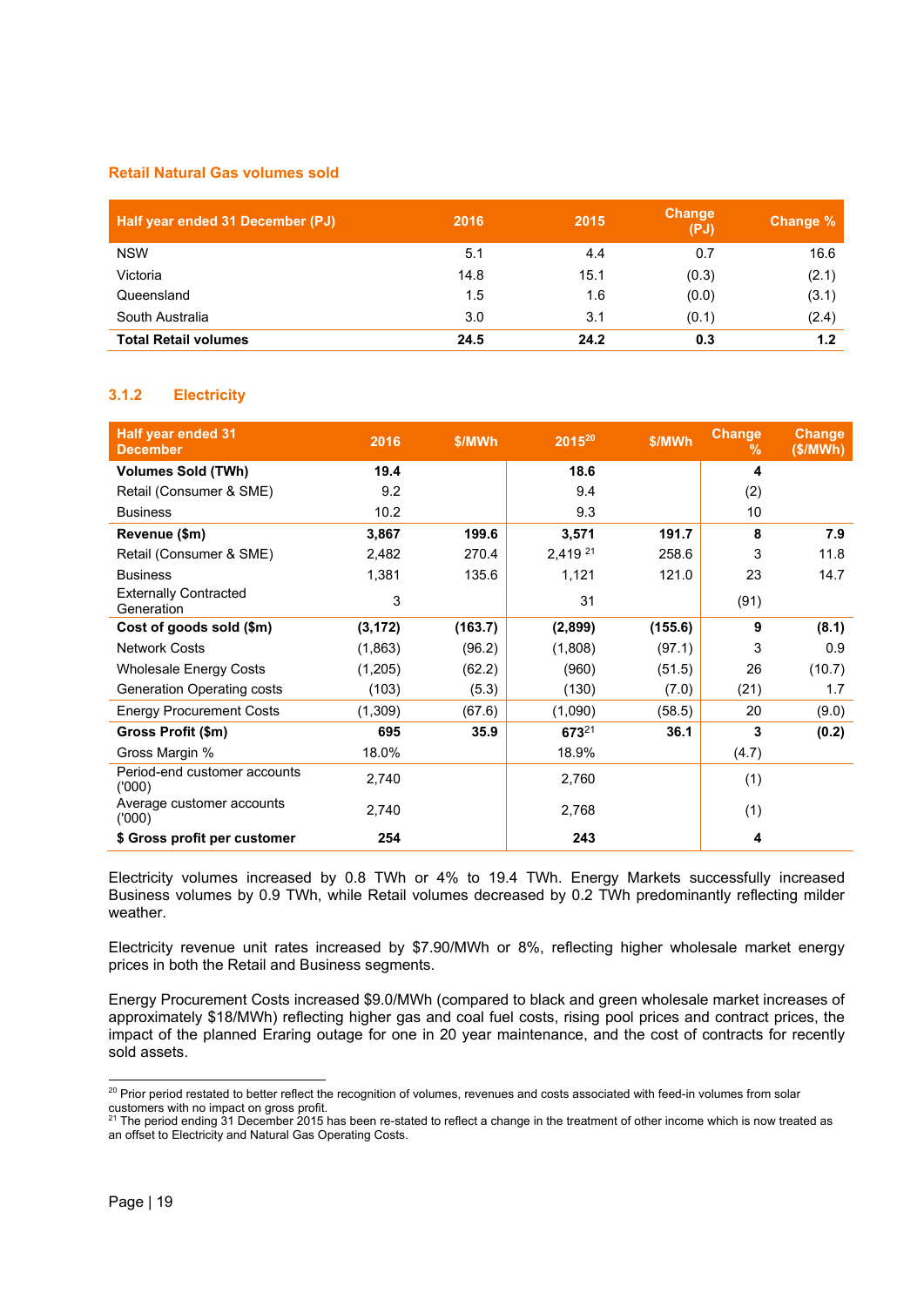# **Retail Natural Gas volumes sold**

| Half year ended 31 December (PJ) | 2016 | 2015 | Change<br>(PJ) | Change % |
|----------------------------------|------|------|----------------|----------|
| <b>NSW</b>                       | 5.1  | 4.4  | 0.7            | 16.6     |
| Victoria                         | 14.8 | 15.1 | (0.3)          | (2.1)    |
| Queensland                       | 1.5  | 1.6  | (0.0)          | (3.1)    |
| South Australia                  | 3.0  | 3.1  | (0.1)          | (2.4)    |
| <b>Total Retail volumes</b>      | 24.5 | 24.2 | 0.3            | 1.2      |

# **3.1.2 Electricity**

| <b>Half year ended 31</b><br><b>December</b> | 2016     | \$/MWh  | 2015 <sup>20</sup> | \$/MWh  | <b>Change</b><br>℅ | <b>Change</b><br>(\$/MWh) |
|----------------------------------------------|----------|---------|--------------------|---------|--------------------|---------------------------|
| <b>Volumes Sold (TWh)</b>                    | 19.4     |         | 18.6               |         | 4                  |                           |
| Retail (Consumer & SME)                      | 9.2      |         | 9.4                |         | (2)                |                           |
| <b>Business</b>                              | 10.2     |         | 9.3                |         | 10                 |                           |
| Revenue (\$m)                                | 3,867    | 199.6   | 3,571              | 191.7   | 8                  | 7.9                       |
| Retail (Consumer & SME)                      | 2,482    | 270.4   | 2,419 21           | 258.6   | 3                  | 11.8                      |
| <b>Business</b>                              | 1,381    | 135.6   | 1,121              | 121.0   | 23                 | 14.7                      |
| <b>Externally Contracted</b><br>Generation   | 3        |         | 31                 |         | (91)               |                           |
| Cost of goods sold (\$m)                     | (3, 172) | (163.7) | (2,899)            | (155.6) | 9                  | (8.1)                     |
| <b>Network Costs</b>                         | (1,863)  | (96.2)  | (1,808)            | (97.1)  | 3                  | 0.9                       |
| <b>Wholesale Energy Costs</b>                | (1,205)  | (62.2)  | (960)              | (51.5)  | 26                 | (10.7)                    |
| Generation Operating costs                   | (103)    | (5.3)   | (130)              | (7.0)   | (21)               | 1.7                       |
| <b>Energy Procurement Costs</b>              | (1,309)  | (67.6)  | (1,090)            | (58.5)  | 20                 | (9.0)                     |
| Gross Profit (\$m)                           | 695      | 35.9    | 67321              | 36.1    | 3                  | (0.2)                     |
| Gross Margin %                               | 18.0%    |         | 18.9%              |         | (4.7)              |                           |
| Period-end customer accounts<br>('000)       | 2,740    |         | 2,760              |         | (1)                |                           |
| Average customer accounts<br>(000)           | 2,740    |         | 2,768              |         | (1)                |                           |
| \$ Gross profit per customer                 | 254      |         | 243                |         | 4                  |                           |

Electricity volumes increased by 0.8 TWh or 4% to 19.4 TWh. Energy Markets successfully increased Business volumes by 0.9 TWh, while Retail volumes decreased by 0.2 TWh predominantly reflecting milder weather.

Electricity revenue unit rates increased by \$7.90/MWh or 8%, reflecting higher wholesale market energy prices in both the Retail and Business segments.

Energy Procurement Costs increased \$9.0/MWh (compared to black and green wholesale market increases of approximately \$18/MWh) reflecting higher gas and coal fuel costs, rising pool prices and contract prices, the impact of the planned Eraring outage for one in 20 year maintenance, and the cost of contracts for recently sold assets.

 $\overline{a}$  $^{20}$  Prior period restated to better reflect the recognition of volumes, revenues and costs associated with feed-in volumes from solar customers with no impact on gross profit.

 $21$  The period ending 31 December 2015 has been re-stated to reflect a change in the treatment of other income which is now treated as an offset to Electricity and Natural Gas Operating Costs.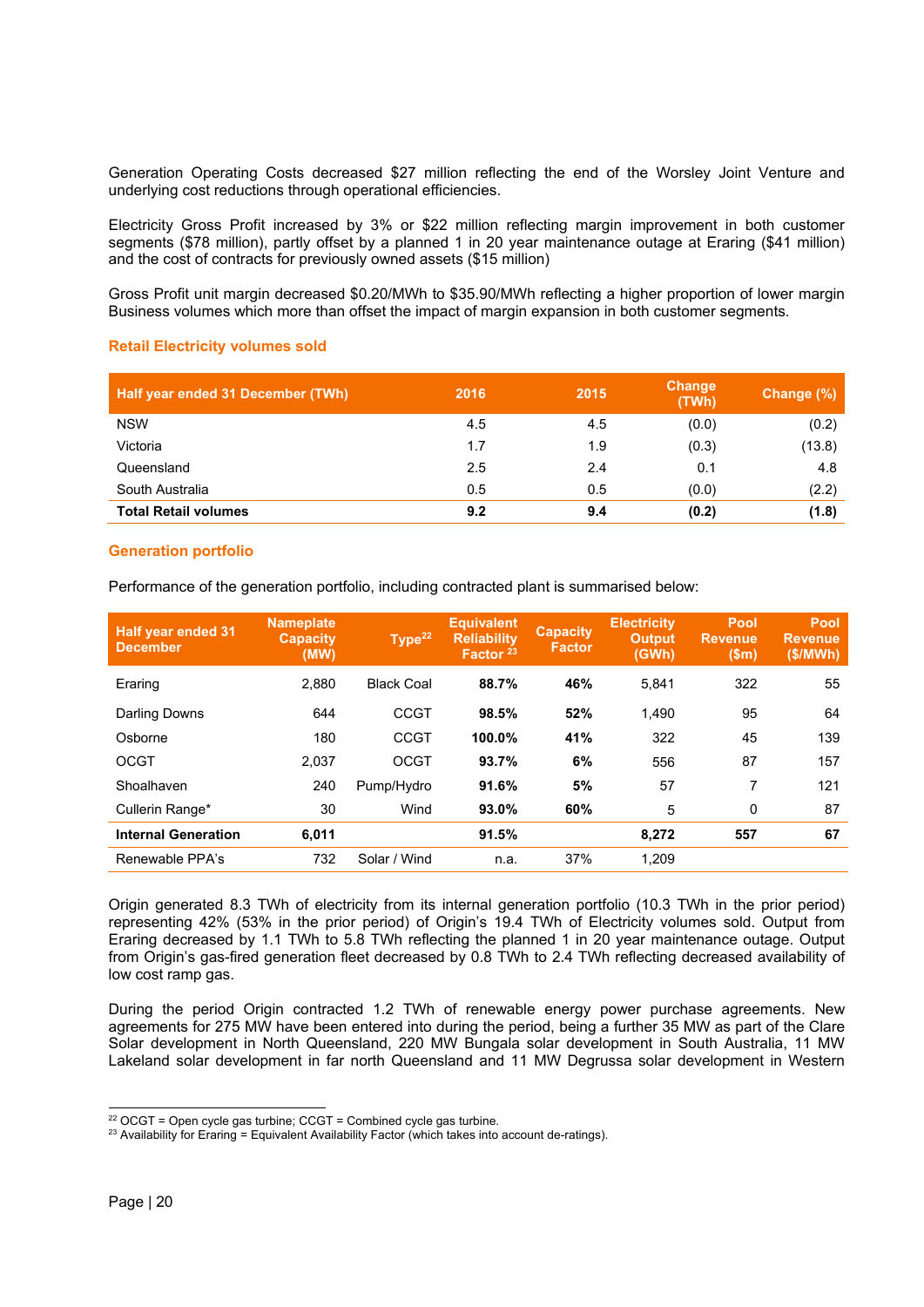Generation Operating Costs decreased \$27 million reflecting the end of the Worsley Joint Venture and underlying cost reductions through operational efficiencies.

Electricity Gross Profit increased by 3% or \$22 million reflecting margin improvement in both customer segments (\$78 million), partly offset by a planned 1 in 20 year maintenance outage at Eraring (\$41 million) and the cost of contracts for previously owned assets (\$15 million)

Gross Profit unit margin decreased \$0.20/MWh to \$35.90/MWh reflecting a higher proportion of lower margin Business volumes which more than offset the impact of margin expansion in both customer segments.

# **Retail Electricity volumes sold**

| Half year ended 31 December (TWh) | 2016 | 2015 | <b>Change</b><br>(TWh) | Change (%) |
|-----------------------------------|------|------|------------------------|------------|
| <b>NSW</b>                        | 4.5  | 4.5  | (0.0)                  | (0.2)      |
| Victoria                          | 1.7  | 1.9  | (0.3)                  | (13.8)     |
| Queensland                        | 2.5  | 2.4  | 0.1                    | 4.8        |
| South Australia                   | 0.5  | 0.5  | (0.0)                  | (2.2)      |
| <b>Total Retail volumes</b>       | 9.2  | 9.4  | (0.2)                  | (1.8)      |

#### **Generation portfolio**

Performance of the generation portfolio, including contracted plant is summarised below:

| <b>Half year ended 31</b><br><b>December</b> | <b>Nameplate</b><br><b>Capacity</b><br>(MW) | Type <sup>22</sup> | <b>Equivalent</b><br><b>Reliability</b><br>Factor <sup>23</sup> | <b>Capacity</b><br><b>Factor</b> | <b>Electricity</b><br><b>Output</b><br>(GWh) | <b>Pool</b><br><b>Revenue</b><br>(Sm) | <b>Pool</b><br><b>Revenue</b><br>(\$/MWh) |
|----------------------------------------------|---------------------------------------------|--------------------|-----------------------------------------------------------------|----------------------------------|----------------------------------------------|---------------------------------------|-------------------------------------------|
| Eraring                                      | 2.880                                       | <b>Black Coal</b>  | 88.7%                                                           | 46%                              | 5.841                                        | 322                                   | 55                                        |
| Darling Downs                                | 644                                         | <b>CCGT</b>        | 98.5%                                                           | 52%                              | 1.490                                        | 95                                    | 64                                        |
| Osborne                                      | 180                                         | <b>CCGT</b>        | 100.0%                                                          | 41%                              | 322                                          | 45                                    | 139                                       |
| <b>OCGT</b>                                  | 2,037                                       | <b>OCGT</b>        | 93.7%                                                           | 6%                               | 556                                          | 87                                    | 157                                       |
| Shoalhaven                                   | 240                                         | Pump/Hydro         | 91.6%                                                           | 5%                               | 57                                           | 7                                     | 121                                       |
| Cullerin Range*                              | 30                                          | Wind               | 93.0%                                                           | 60%                              | 5                                            | 0                                     | 87                                        |
| <b>Internal Generation</b>                   | 6,011                                       |                    | 91.5%                                                           |                                  | 8.272                                        | 557                                   | 67                                        |
| Renewable PPA's                              | 732                                         | Solar / Wind       | n.a.                                                            | 37%                              | 1,209                                        |                                       |                                           |

Origin generated 8.3 TWh of electricity from its internal generation portfolio (10.3 TWh in the prior period) representing 42% (53% in the prior period) of Origin's 19.4 TWh of Electricity volumes sold. Output from Eraring decreased by 1.1 TWh to 5.8 TWh reflecting the planned 1 in 20 year maintenance outage. Output from Origin's gas-fired generation fleet decreased by 0.8 TWh to 2.4 TWh reflecting decreased availability of low cost ramp gas.

During the period Origin contracted 1.2 TWh of renewable energy power purchase agreements. New agreements for 275 MW have been entered into during the period, being a further 35 MW as part of the Clare Solar development in North Queensland, 220 MW Bungala solar development in South Australia, 11 MW Lakeland solar development in far north Queensland and 11 MW Degrussa solar development in Western

 $22$  OCGT = Open cycle gas turbine; CCGT = Combined cycle gas turbine.

 $23$  Availability for Eraring = Equivalent Availability Factor (which takes into account de-ratings).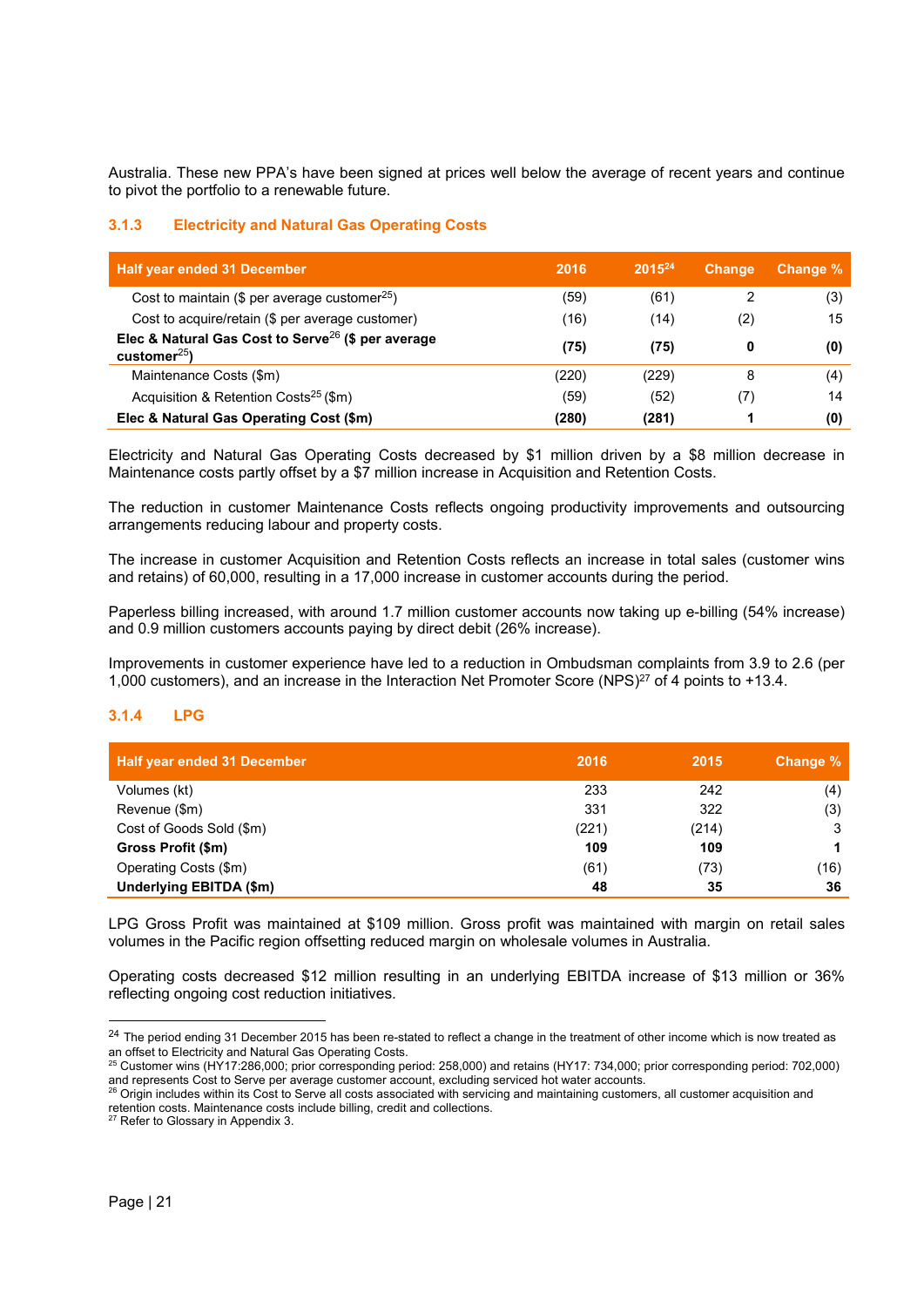Australia. These new PPA's have been signed at prices well below the average of recent years and continue to pivot the portfolio to a renewable future.

# **3.1.3 Electricity and Natural Gas Operating Costs**

| <b>Half year ended 31 December</b>                                                   | 2016  | $2015^{24}$ | <b>Change</b> | Change % |
|--------------------------------------------------------------------------------------|-------|-------------|---------------|----------|
| Cost to maintain (\$ per average customer <sup>25</sup> )                            | (59)  | (61)        |               | (3)      |
| Cost to acquire/retain (\$ per average customer)                                     | (16)  | (14)        | (2)           | 15       |
| Elec & Natural Gas Cost to Serve <sup>26</sup> (\$ per average<br>customer $^{25}$ ) | (75)  | (75)        | 0             | (0)      |
| Maintenance Costs (\$m)                                                              | (220) | (229)       | 8             | (4)      |
| Acquisition & Retention Costs <sup>25</sup> (\$m)                                    | (59)  | (52)        | (7)           | 14       |
| Elec & Natural Gas Operating Cost (\$m)                                              | (280) | (281)       |               | (0)      |

Electricity and Natural Gas Operating Costs decreased by \$1 million driven by a \$8 million decrease in Maintenance costs partly offset by a \$7 million increase in Acquisition and Retention Costs.

The reduction in customer Maintenance Costs reflects ongoing productivity improvements and outsourcing arrangements reducing labour and property costs.

The increase in customer Acquisition and Retention Costs reflects an increase in total sales (customer wins and retains) of 60,000, resulting in a 17,000 increase in customer accounts during the period.

Paperless billing increased, with around 1.7 million customer accounts now taking up e-billing (54% increase) and 0.9 million customers accounts paying by direct debit (26% increase).

Improvements in customer experience have led to a reduction in Ombudsman complaints from 3.9 to 2.6 (per 1,000 customers), and an increase in the Interaction Net Promoter Score (NPS)27 of 4 points to +13.4.

# **3.1.4 LPG**

| Half year ended 31 December | 2016  | 2015  | Change % |
|-----------------------------|-------|-------|----------|
| Volumes (kt)                | 233   | 242   | (4)      |
| Revenue (\$m)               | 331   | 322   | (3)      |
| Cost of Goods Sold (\$m)    | (221) | (214) | 3        |
| Gross Profit (\$m)          | 109   | 109   |          |
| Operating Costs (\$m)       | (61)  | (73)  | (16)     |
| Underlying EBITDA (\$m)     | 48    | 35    | 36       |

LPG Gross Profit was maintained at \$109 million. Gross profit was maintained with margin on retail sales volumes in the Pacific region offsetting reduced margin on wholesale volumes in Australia.

Operating costs decreased \$12 million resulting in an underlying EBITDA increase of \$13 million or 36% reflecting ongoing cost reduction initiatives.

1

<sup>&</sup>lt;sup>24</sup> The period ending 31 December 2015 has been re-stated to reflect a change in the treatment of other income which is now treated as an offset to Electricity and Natural Gas Operating Costs.

<sup>&</sup>lt;sup>25</sup> Customer wins (HY17:286,000; prior corresponding period: 258,000) and retains (HY17: 734,000; prior corresponding period: 702,000) and represents Cost to Serve per average customer account, excluding serviced hot water accounts.<br><sup>26</sup> Origin includes within its Cost to Serve all costs associated with servicing and maintaining customers, all customer ac

retention costs. Maintenance costs include billing, credit and collections.<br><sup>27</sup> Refer to Glossary in Appendix 3.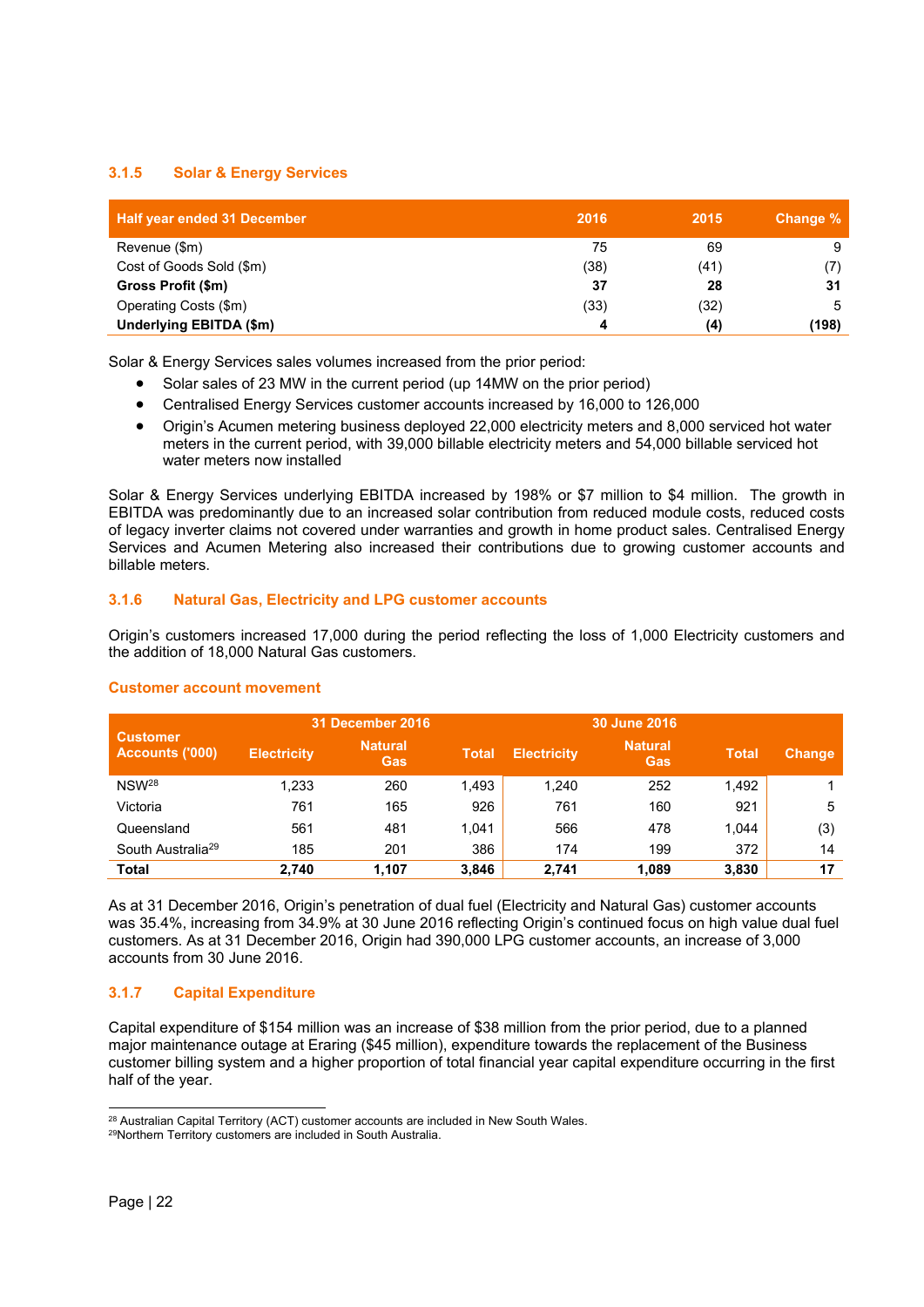# **3.1.5 Solar & Energy Services**

| <b>Half year ended 31 December</b> | 2016 | 2015 | Change % |
|------------------------------------|------|------|----------|
| Revenue (\$m)                      | 75   | 69   |          |
| Cost of Goods Sold (\$m)           | (38) | (41) |          |
| Gross Profit (\$m)                 | 37   | 28   | 31       |
| Operating Costs (\$m)              | (33) | (32) |          |
| Underlying EBITDA (\$m)            | 4    | (4)  | (198)    |

Solar & Energy Services sales volumes increased from the prior period:

- Solar sales of 23 MW in the current period (up 14MW on the prior period)
- Centralised Energy Services customer accounts increased by 16,000 to 126,000
- Origin's Acumen metering business deployed 22,000 electricity meters and 8,000 serviced hot water meters in the current period, with 39,000 billable electricity meters and 54,000 billable serviced hot water meters now installed

Solar & Energy Services underlying EBITDA increased by 198% or \$7 million to \$4 million. The growth in EBITDA was predominantly due to an increased solar contribution from reduced module costs, reduced costs of legacy inverter claims not covered under warranties and growth in home product sales. Centralised Energy Services and Acumen Metering also increased their contributions due to growing customer accounts and billable meters.

# **3.1.6 Natural Gas, Electricity and LPG customer accounts**

Origin's customers increased 17,000 during the period reflecting the loss of 1,000 Electricity customers and the addition of 18,000 Natural Gas customers.

|                                           |                    | <b>31 December 2016</b> |              |                    | 30 June 2016          |              |               |
|-------------------------------------------|--------------------|-------------------------|--------------|--------------------|-----------------------|--------------|---------------|
| <b>Customer</b><br><b>Accounts ('000)</b> | <b>Electricity</b> | <b>Natural</b><br>Gas   | <b>Total</b> | <b>Electricity</b> | <b>Natural</b><br>Gas | <b>Total</b> | <b>Change</b> |
| NSW <sup>28</sup>                         | 1.233              | 260                     | 1.493        | 1.240              | 252                   | 1.492        |               |
| Victoria                                  | 761                | 165                     | 926          | 761                | 160                   | 921          | 5             |
| Queensland                                | 561                | 481                     | 1.041        | 566                | 478                   | 1.044        | (3)           |
| South Australia <sup>29</sup>             | 185                | 201                     | 386          | 174                | 199                   | 372          | 14            |
| <b>Total</b>                              | 2.740              | 1.107                   | 3.846        | 2.741              | 1.089                 | 3,830        | 17            |

# **Customer account movement**

As at 31 December 2016, Origin's penetration of dual fuel (Electricity and Natural Gas) customer accounts was 35.4%, increasing from 34.9% at 30 June 2016 reflecting Origin's continued focus on high value dual fuel customers. As at 31 December 2016, Origin had 390,000 LPG customer accounts, an increase of 3,000 accounts from 30 June 2016.

# **3.1.7 Capital Expenditure**

Capital expenditure of \$154 million was an increase of \$38 million from the prior period, due to a planned major maintenance outage at Eraring (\$45 million), expenditure towards the replacement of the Business customer billing system and a higher proportion of total financial year capital expenditure occurring in the first half of the year.

 $\overline{a}$ <sup>28</sup> Australian Capital Territory (ACT) customer accounts are included in New South Wales.<br><sup>29</sup>Northern Territory customers are included in South Australia.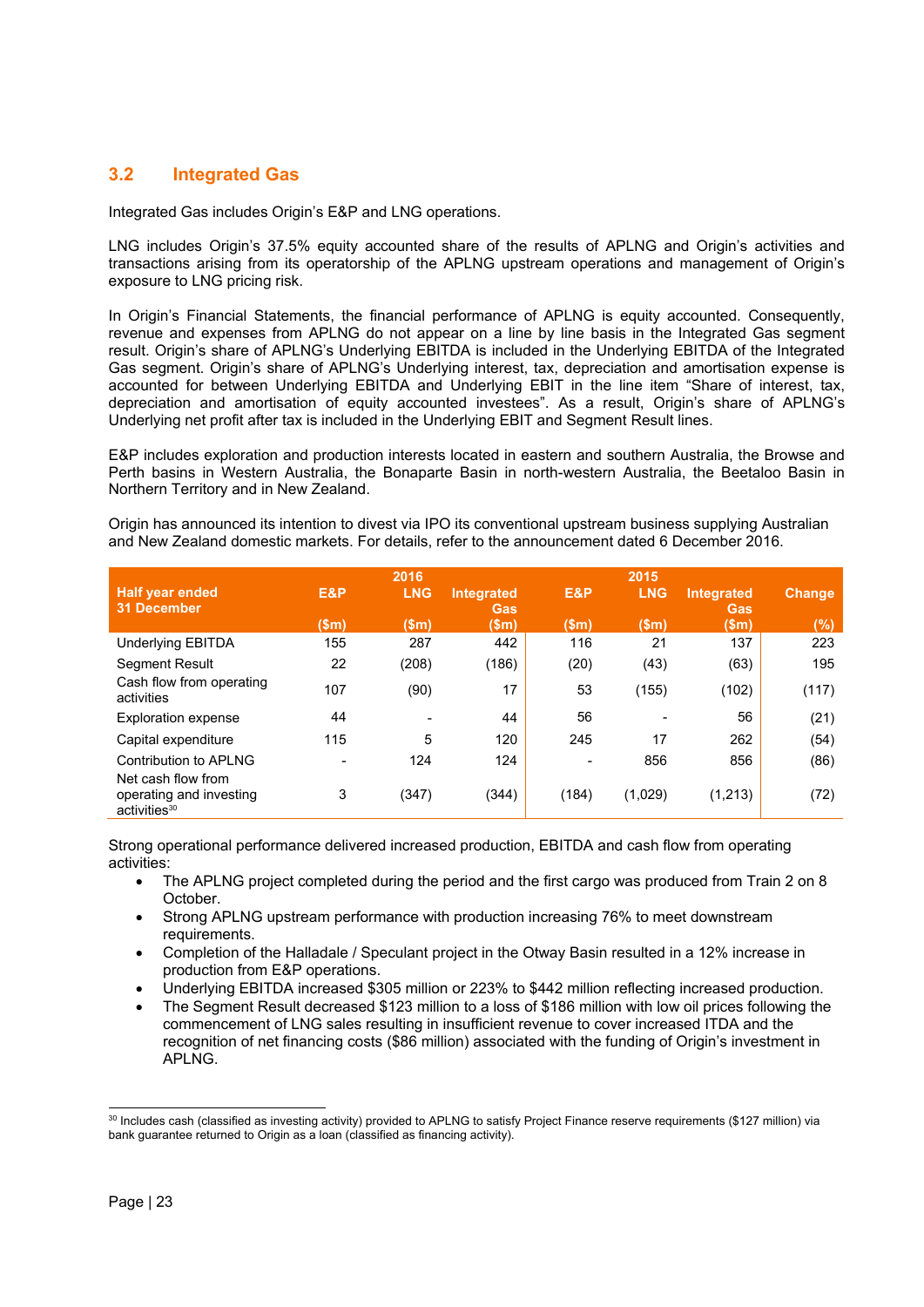# **3.2 Integrated Gas**

Integrated Gas includes Origin's E&P and LNG operations.

LNG includes Origin's 37.5% equity accounted share of the results of APLNG and Origin's activities and transactions arising from its operatorship of the APLNG upstream operations and management of Origin's exposure to LNG pricing risk.

In Origin's Financial Statements, the financial performance of APLNG is equity accounted. Consequently, revenue and expenses from APLNG do not appear on a line by line basis in the Integrated Gas segment result. Origin's share of APLNG's Underlying EBITDA is included in the Underlying EBITDA of the Integrated Gas segment. Origin's share of APLNG's Underlying interest, tax, depreciation and amortisation expense is accounted for between Underlying EBITDA and Underlying EBIT in the line item "Share of interest, tax, depreciation and amortisation of equity accounted investees". As a result, Origin's share of APLNG's Underlying net profit after tax is included in the Underlying EBIT and Segment Result lines.

E&P includes exploration and production interests located in eastern and southern Australia, the Browse and Perth basins in Western Australia, the Bonaparte Basin in north-western Australia, the Beetaloo Basin in Northern Territory and in New Zealand.

Origin has announced its intention to divest via IPO its conventional upstream business supplying Australian and New Zealand domestic markets. For details, refer to the announcement dated 6 December 2016.

|                                                                           |       | 2016                     |                   |                 | 2015       |                   |        |
|---------------------------------------------------------------------------|-------|--------------------------|-------------------|-----------------|------------|-------------------|--------|
| <b>Half year ended</b><br>31 December                                     | E&P   | <b>LNG</b>               | Integrated<br>Gas | E&P             | <b>LNG</b> | Integrated<br>Gas | Change |
|                                                                           | \$m\$ | \$m\$                    | \$m\$             | $(\mathsf{Sm})$ | \$m\$      | \$m\$             | (%)    |
| <b>Underlying EBITDA</b>                                                  | 155   | 287                      | 442               | 116             | 21         | 137               | 223    |
| <b>Segment Result</b>                                                     | 22    | (208)                    | (186)             | (20)            | (43)       | (63)              | 195    |
| Cash flow from operating<br>activities                                    | 107   | (90)                     | 17                | 53              | (155)      | (102)             | (117)  |
| <b>Exploration expense</b>                                                | 44    | $\overline{\phantom{0}}$ | 44                | 56              |            | 56                | (21)   |
| Capital expenditure                                                       | 115   | 5                        | 120               | 245             | 17         | 262               | (54)   |
| Contribution to APLNG                                                     |       | 124                      | 124               |                 | 856        | 856               | (86)   |
| Net cash flow from<br>operating and investing<br>activities <sup>30</sup> | 3     | (347)                    | (344)             | (184)           | (1,029)    | (1,213)           | (72)   |

Strong operational performance delivered increased production, EBITDA and cash flow from operating activities:

- The APLNG project completed during the period and the first cargo was produced from Train 2 on 8 October.
- Strong APLNG upstream performance with production increasing 76% to meet downstream requirements.
- Completion of the Halladale / Speculant project in the Otway Basin resulted in a 12% increase in production from E&P operations.
- Underlying EBITDA increased \$305 million or 223% to \$442 million reflecting increased production.
- The Segment Result decreased \$123 million to a loss of \$186 million with low oil prices following the commencement of LNG sales resulting in insufficient revenue to cover increased ITDA and the recognition of net financing costs (\$86 million) associated with the funding of Origin's investment in APLNG.

 $\overline{a}$ <sup>30</sup> Includes cash (classified as investing activity) provided to APLNG to satisfy Project Finance reserve requirements (\$127 million) via bank guarantee returned to Origin as a loan (classified as financing activity).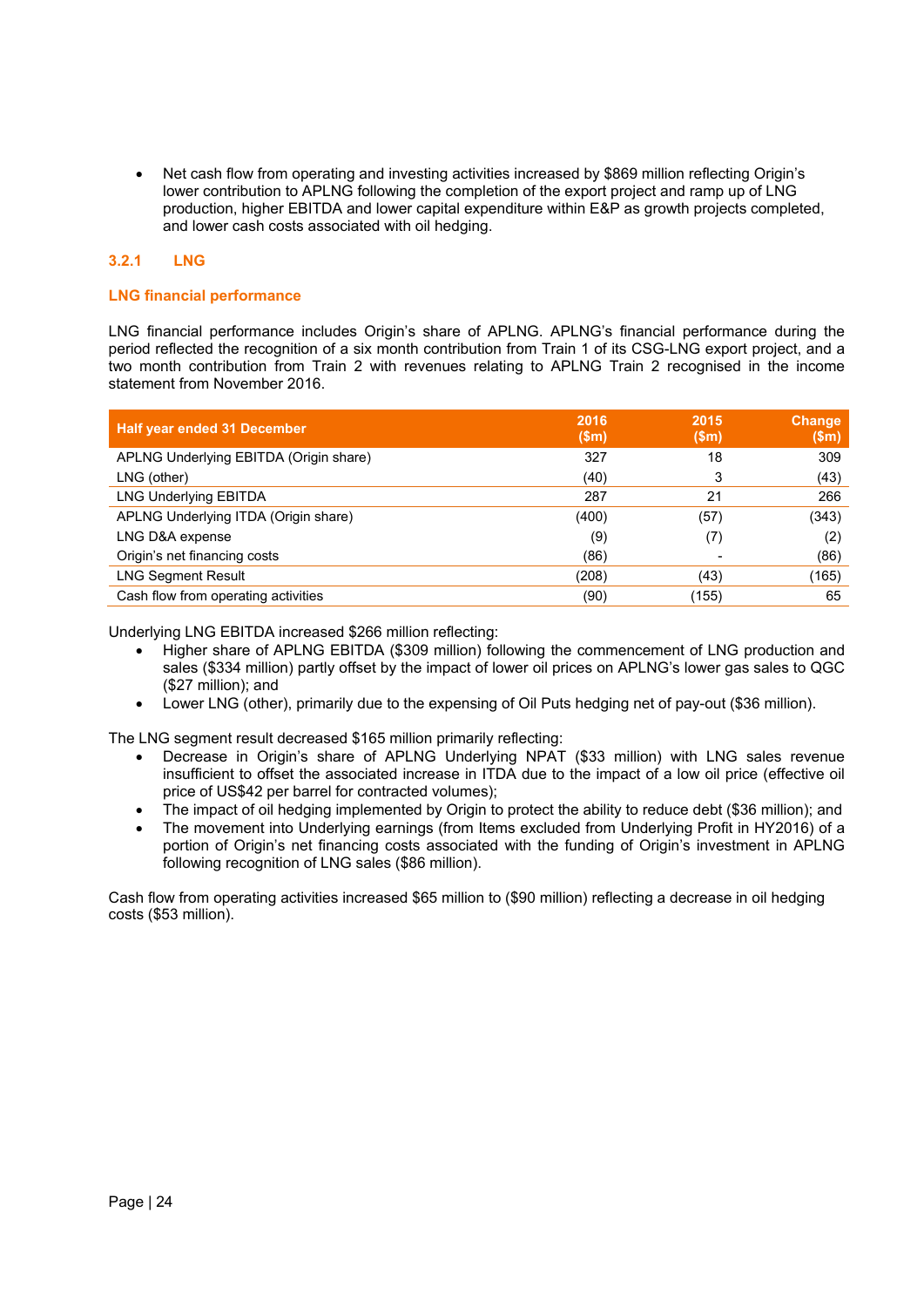Net cash flow from operating and investing activities increased by \$869 million reflecting Origin's lower contribution to APLNG following the completion of the export project and ramp up of LNG production, higher EBITDA and lower capital expenditure within E&P as growth projects completed, and lower cash costs associated with oil hedging.

# **3.2.1 LNG**

# **LNG financial performance**

LNG financial performance includes Origin's share of APLNG. APLNG's financial performance during the period reflected the recognition of a six month contribution from Train 1 of its CSG-LNG export project, and a two month contribution from Train 2 with revenues relating to APLNG Train 2 recognised in the income statement from November 2016.

| <b>Half year ended 31 December</b>     | 2016<br>\$m\$ | 2015<br>\$m\$ | Change<br>\$m\$ |
|----------------------------------------|---------------|---------------|-----------------|
| APLNG Underlying EBITDA (Origin share) | 327           | 18            | 309             |
| LNG (other)                            | (40)          | 3             | (43)            |
| <b>LNG Underlying EBITDA</b>           | 287           | 21            | 266             |
| APLNG Underlying ITDA (Origin share)   | (400)         | (57)          | (343)           |
| LNG D&A expense                        | (9)           | (7)           | (2)             |
| Origin's net financing costs           | (86)          |               | (86)            |
| <b>LNG Segment Result</b>              | (208)         | (43)          | (165)           |
| Cash flow from operating activities    | (90)          | (155)         | 65              |

Underlying LNG EBITDA increased \$266 million reflecting:

- Higher share of APLNG EBITDA (\$309 million) following the commencement of LNG production and sales (\$334 million) partly offset by the impact of lower oil prices on APLNG's lower gas sales to QGC (\$27 million); and
- Lower LNG (other), primarily due to the expensing of Oil Puts hedging net of pay-out (\$36 million).

The LNG segment result decreased \$165 million primarily reflecting:

- Decrease in Origin's share of APLNG Underlying NPAT (\$33 million) with LNG sales revenue insufficient to offset the associated increase in ITDA due to the impact of a low oil price (effective oil price of US\$42 per barrel for contracted volumes);
- The impact of oil hedging implemented by Origin to protect the ability to reduce debt (\$36 million); and
- The movement into Underlying earnings (from Items excluded from Underlying Profit in HY2016) of a portion of Origin's net financing costs associated with the funding of Origin's investment in APLNG following recognition of LNG sales (\$86 million).

Cash flow from operating activities increased \$65 million to (\$90 million) reflecting a decrease in oil hedging costs (\$53 million).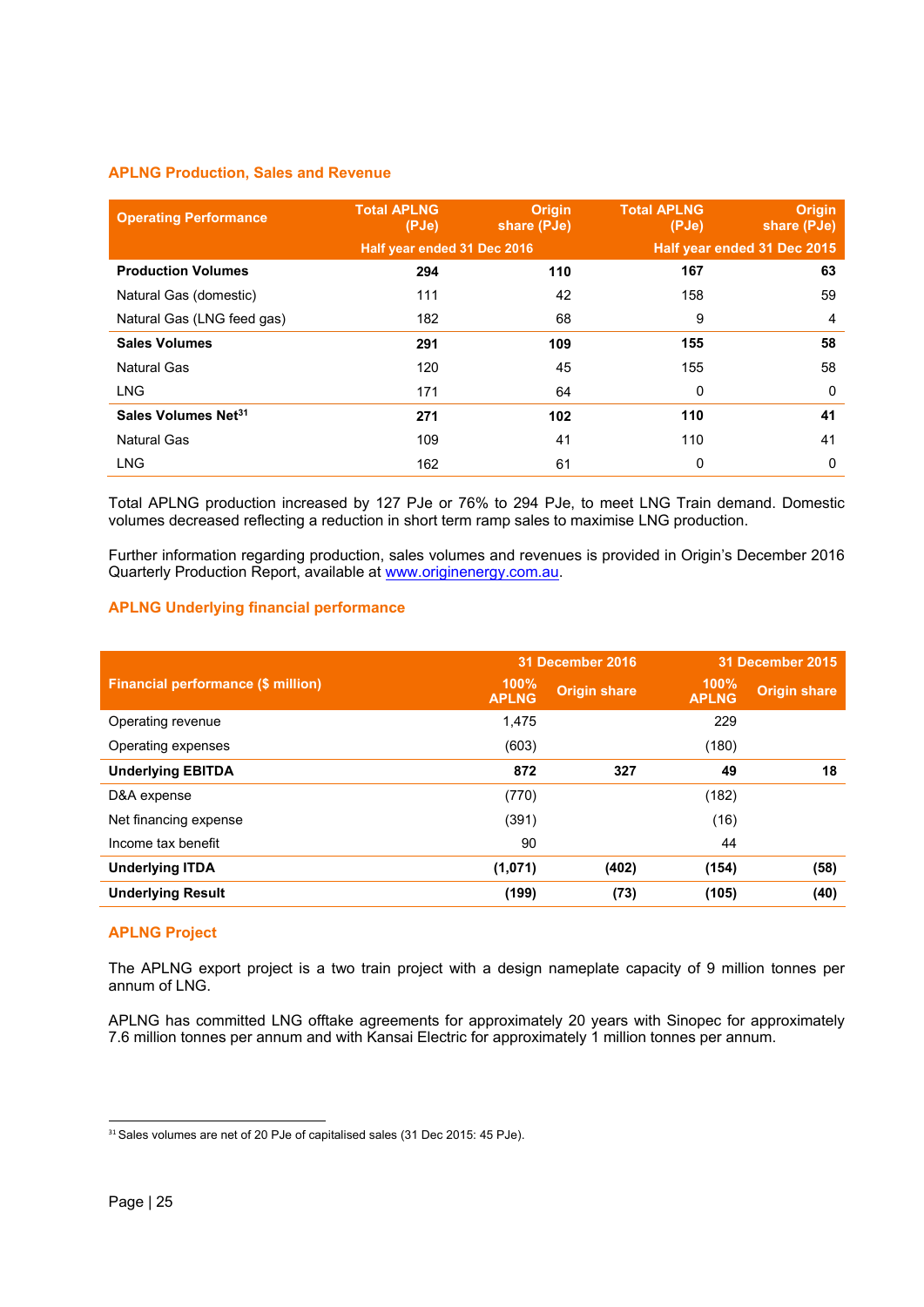# **APLNG Production, Sales and Revenue**

| <b>Operating Performance</b>    | <b>Total APLNG</b><br>(PJe) | <b>Origin</b><br>share (PJe) | <b>Total APLNG</b><br>(PJe) | <b>Origin</b><br>share (PJe) |
|---------------------------------|-----------------------------|------------------------------|-----------------------------|------------------------------|
|                                 | Half year ended 31 Dec 2016 |                              |                             | Half year ended 31 Dec 2015  |
| <b>Production Volumes</b>       | 294                         | 110                          | 167                         | 63                           |
| Natural Gas (domestic)          | 111                         | 42                           | 158                         | 59                           |
| Natural Gas (LNG feed gas)      | 182                         | 68                           | 9                           | 4                            |
| <b>Sales Volumes</b>            | 291                         | 109                          | 155                         | 58                           |
| Natural Gas                     | 120                         | 45                           | 155                         | 58                           |
| <b>LNG</b>                      | 171                         | 64                           | 0                           | 0                            |
| Sales Volumes Net <sup>31</sup> | 271                         | 102                          | 110                         | 41                           |
| <b>Natural Gas</b>              | 109                         | 41                           | 110                         | 41                           |
| <b>LNG</b>                      | 162                         | 61                           | 0                           | 0                            |

Total APLNG production increased by 127 PJe or 76% to 294 PJe, to meet LNG Train demand. Domestic volumes decreased reflecting a reduction in short term ramp sales to maximise LNG production.

Further information regarding production, sales volumes and revenues is provided in Origin's December 2016 Quarterly Production Report, available at www.originenergy.com.au.

# **APLNG Underlying financial performance**

|                                    |                      | 31 December 2016    | 31 December 2015     |                     |
|------------------------------------|----------------------|---------------------|----------------------|---------------------|
| Financial performance (\$ million) | 100%<br><b>APLNG</b> | <b>Origin share</b> | 100%<br><b>APLNG</b> | <b>Origin share</b> |
| Operating revenue                  | 1,475                |                     | 229                  |                     |
| Operating expenses                 | (603)                |                     | (180)                |                     |
| <b>Underlying EBITDA</b>           | 872                  | 327                 | 49                   | 18                  |
| D&A expense                        | (770)                |                     | (182)                |                     |
| Net financing expense              | (391)                |                     | (16)                 |                     |
| Income tax benefit                 | 90                   |                     | 44                   |                     |
| <b>Underlying ITDA</b>             | (1,071)              | (402)               | (154)                | (58)                |
| <b>Underlying Result</b>           | (199)                | (73)                | (105)                | (40)                |

# **APLNG Project**

The APLNG export project is a two train project with a design nameplate capacity of 9 million tonnes per annum of LNG.

APLNG has committed LNG offtake agreements for approximately 20 years with Sinopec for approximately 7.6 million tonnes per annum and with Kansai Electric for approximately 1 million tonnes per annum.

 $\overline{a}$ 

<sup>&</sup>lt;sup>31</sup> Sales volumes are net of 20 PJe of capitalised sales (31 Dec 2015: 45 PJe).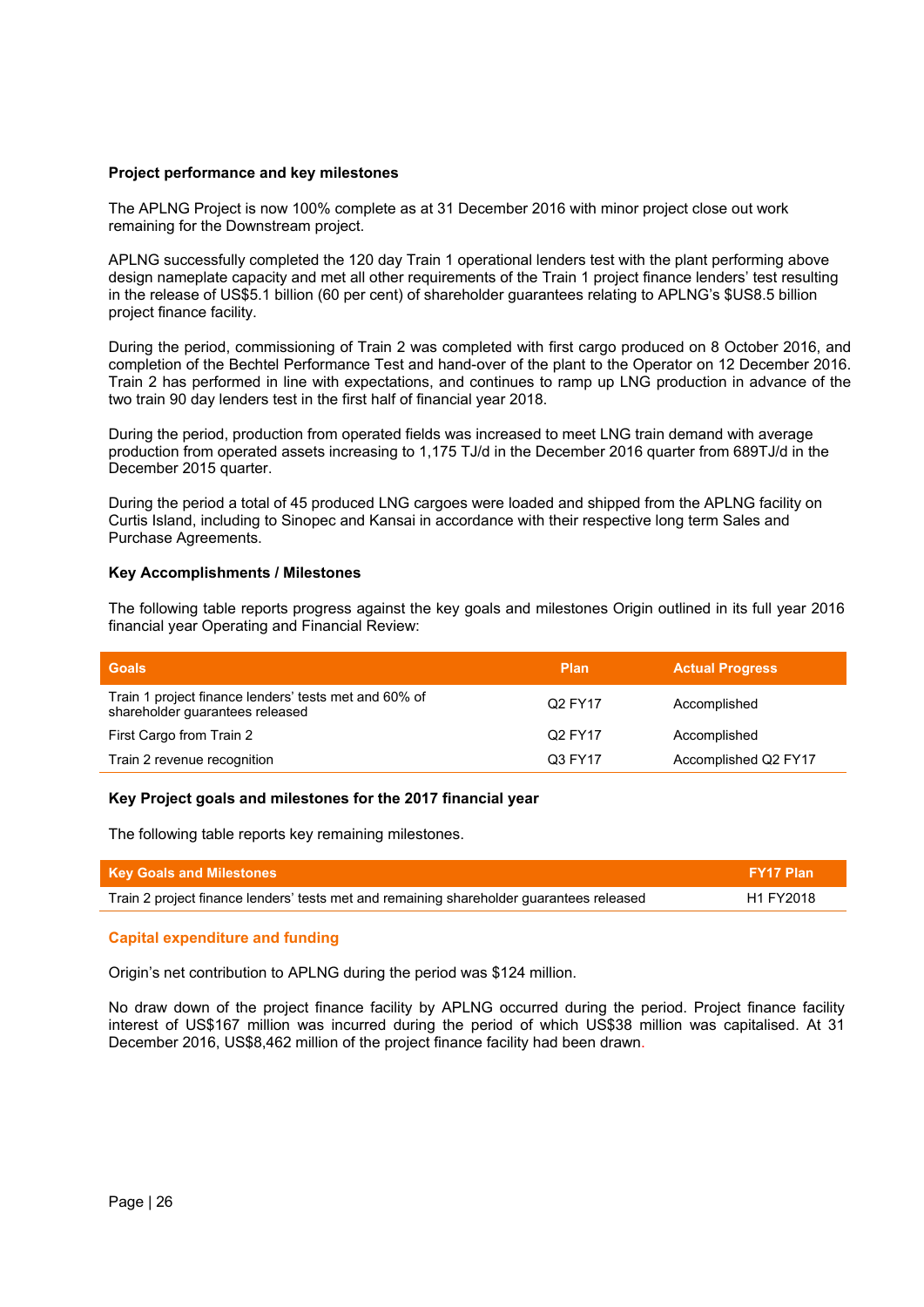#### **Project performance and key milestones**

The APLNG Project is now 100% complete as at 31 December 2016 with minor project close out work remaining for the Downstream project.

APLNG successfully completed the 120 day Train 1 operational lenders test with the plant performing above design nameplate capacity and met all other requirements of the Train 1 project finance lenders' test resulting in the release of US\$5.1 billion (60 per cent) of shareholder guarantees relating to APLNG's \$US8.5 billion project finance facility.

During the period, commissioning of Train 2 was completed with first cargo produced on 8 October 2016, and completion of the Bechtel Performance Test and hand-over of the plant to the Operator on 12 December 2016. Train 2 has performed in line with expectations, and continues to ramp up LNG production in advance of the two train 90 day lenders test in the first half of financial year 2018.

During the period, production from operated fields was increased to meet LNG train demand with average production from operated assets increasing to 1,175 TJ/d in the December 2016 quarter from 689TJ/d in the December 2015 quarter.

During the period a total of 45 produced LNG cargoes were loaded and shipped from the APLNG facility on Curtis Island, including to Sinopec and Kansai in accordance with their respective long term Sales and Purchase Agreements.

# **Key Accomplishments / Milestones**

The following table reports progress against the key goals and milestones Origin outlined in its full year 2016 financial year Operating and Financial Review:

| <b>Goals</b>                                                                             | Plan    | <b>Actual Progress</b> |
|------------------------------------------------------------------------------------------|---------|------------------------|
| Train 1 project finance lenders' tests met and 60% of<br>shareholder guarantees released | Q2 FY17 | Accomplished           |
| First Cargo from Train 2                                                                 | Q2 FY17 | Accomplished           |
| Train 2 revenue recognition                                                              | Q3 FY17 | Accomplished Q2 FY17   |

# **Key Project goals and milestones for the 2017 financial year**

The following table reports key remaining milestones.

| <b>Key Goals and Milestones</b>                                                          | <b>FY17 Plan</b> |
|------------------------------------------------------------------------------------------|------------------|
| Train 2 project finance lenders' tests met and remaining shareholder guarantees released | H1 FY2018        |

# **Capital expenditure and funding**

Origin's net contribution to APLNG during the period was \$124 million.

No draw down of the project finance facility by APLNG occurred during the period. Project finance facility interest of US\$167 million was incurred during the period of which US\$38 million was capitalised. At 31 December 2016, US\$8,462 million of the project finance facility had been drawn.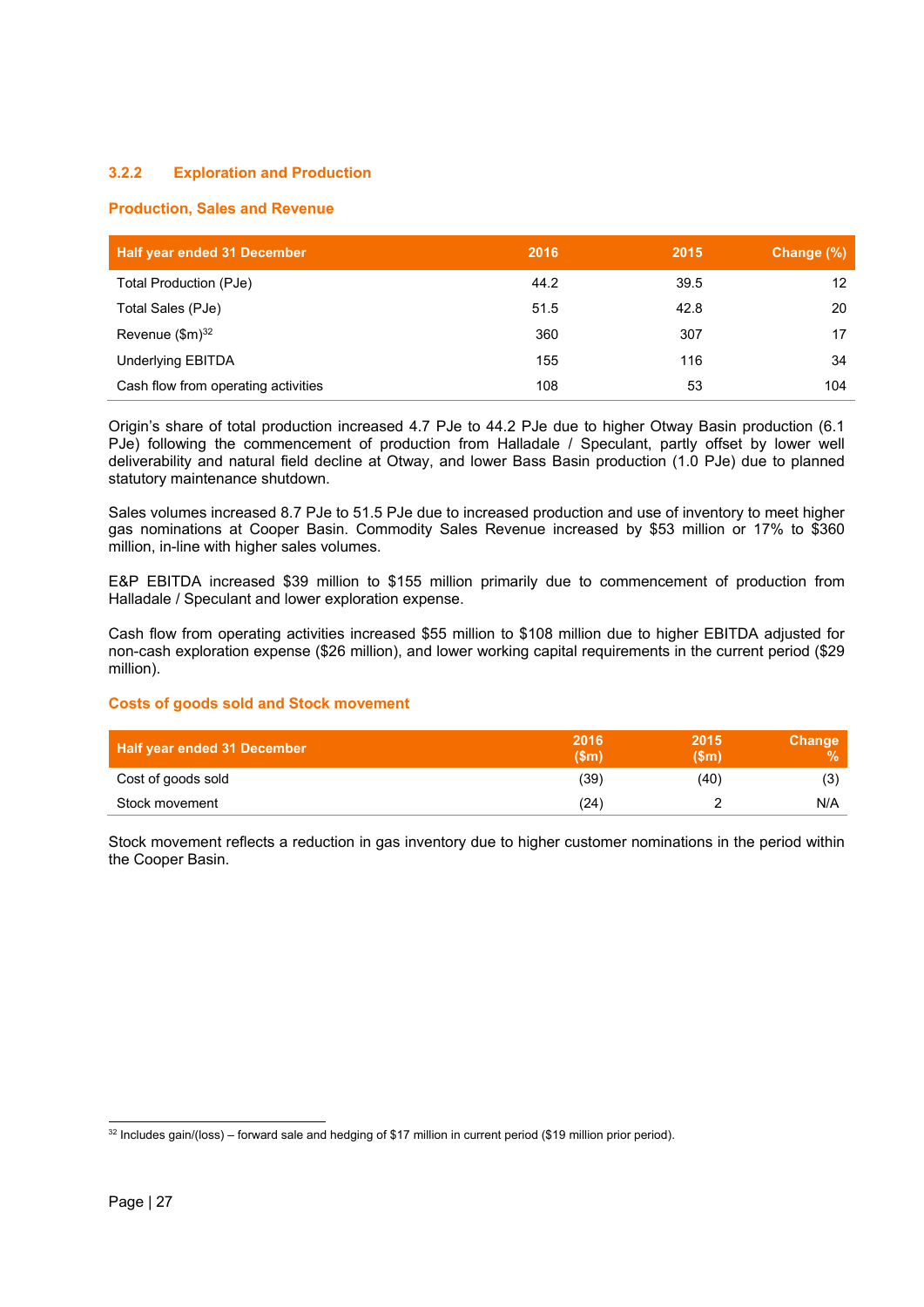# **3.2.2 Exploration and Production**

# **Production, Sales and Revenue**

| Half year ended 31 December         | 2016 | 2015 | Change (%) |
|-------------------------------------|------|------|------------|
| Total Production (PJe)              | 44.2 | 39.5 | 12         |
| Total Sales (PJe)                   | 51.5 | 42.8 | 20         |
| Revenue (\$m) <sup>32</sup>         | 360  | 307  | 17         |
| <b>Underlying EBITDA</b>            | 155  | 116  | 34         |
| Cash flow from operating activities | 108  | 53   | 104        |

Origin's share of total production increased 4.7 PJe to 44.2 PJe due to higher Otway Basin production (6.1 PJe) following the commencement of production from Halladale / Speculant, partly offset by lower well deliverability and natural field decline at Otway, and lower Bass Basin production (1.0 PJe) due to planned statutory maintenance shutdown.

Sales volumes increased 8.7 PJe to 51.5 PJe due to increased production and use of inventory to meet higher gas nominations at Cooper Basin. Commodity Sales Revenue increased by \$53 million or 17% to \$360 million, in-line with higher sales volumes.

E&P EBITDA increased \$39 million to \$155 million primarily due to commencement of production from Halladale / Speculant and lower exploration expense.

Cash flow from operating activities increased \$55 million to \$108 million due to higher EBITDA adjusted for non-cash exploration expense (\$26 million), and lower working capital requirements in the current period (\$29 million).

# **Costs of goods sold and Stock movement**

| <b>Half year ended 31 December</b> | 2016<br>$V$ \$m | 2015<br>(Sm) | <b>Change</b><br><b>VA</b> |
|------------------------------------|-----------------|--------------|----------------------------|
| Cost of goods sold                 | (39)            | (40)         | (3)                        |
| Stock movement                     | (24)            |              | N/A                        |

Stock movement reflects a reduction in gas inventory due to higher customer nominations in the period within the Cooper Basin.

<sup>1</sup>  $32$  Includes gain/(loss) – forward sale and hedging of \$17 million in current period (\$19 million prior period).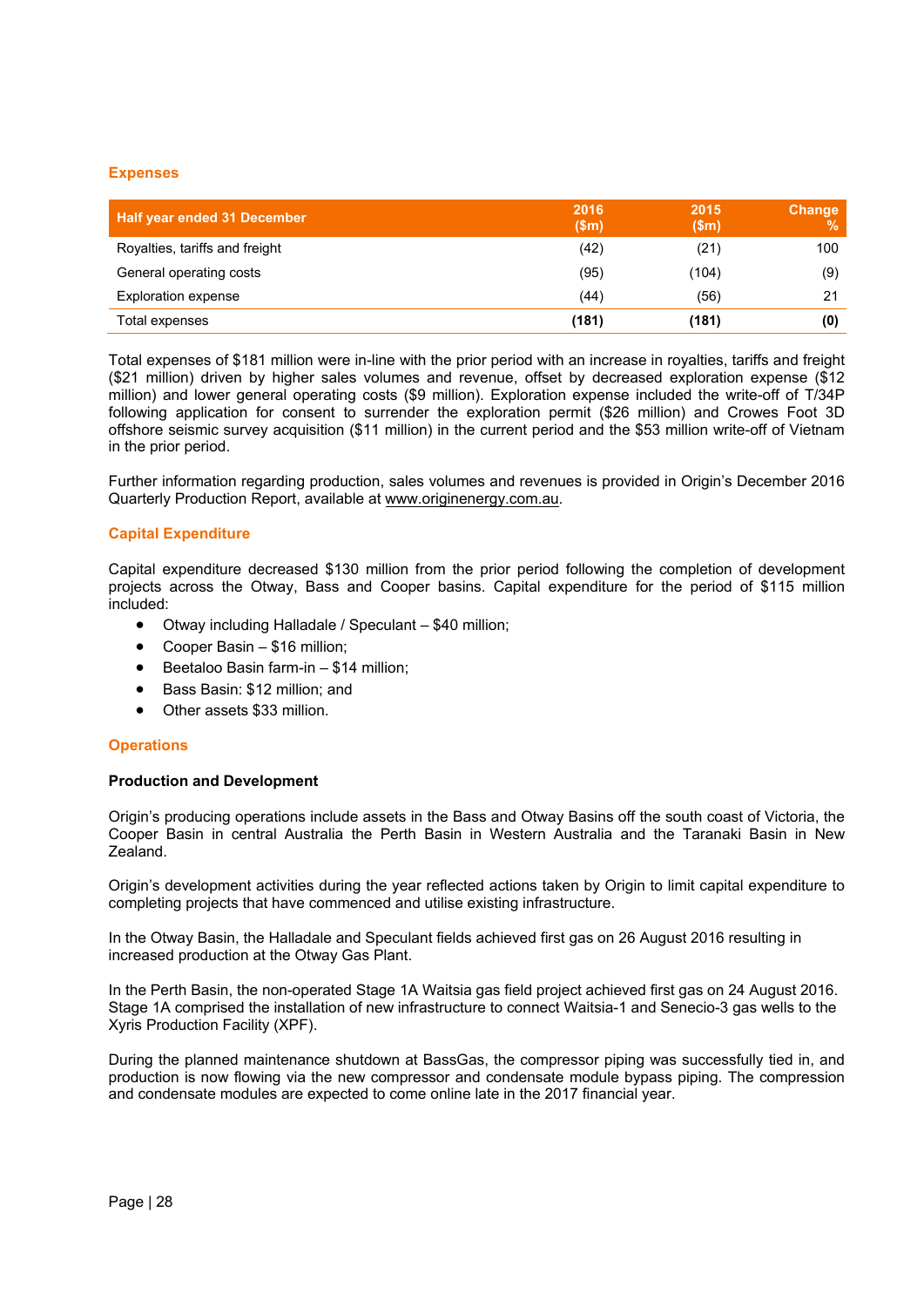#### **Expenses**

| <b>Half year ended 31 December</b> | 2016<br>\$m\$ | 2015<br>\$m\$ | Change<br>% |
|------------------------------------|---------------|---------------|-------------|
| Royalties, tariffs and freight     | (42)          | (21)          | 100         |
| General operating costs            | (95)          | (104)         | (9)         |
| <b>Exploration expense</b>         | (44)          | (56)          | 21          |
| Total expenses                     | (181)         | (181)         | (0)         |

Total expenses of \$181 million were in-line with the prior period with an increase in royalties, tariffs and freight (\$21 million) driven by higher sales volumes and revenue, offset by decreased exploration expense (\$12 million) and lower general operating costs (\$9 million). Exploration expense included the write-off of T/34P following application for consent to surrender the exploration permit (\$26 million) and Crowes Foot 3D offshore seismic survey acquisition (\$11 million) in the current period and the \$53 million write-off of Vietnam in the prior period.

Further information regarding production, sales volumes and revenues is provided in Origin's December 2016 Quarterly Production Report, available at www.originenergy.com.au.

# **Capital Expenditure**

Capital expenditure decreased \$130 million from the prior period following the completion of development projects across the Otway, Bass and Cooper basins. Capital expenditure for the period of \$115 million included:

- Otway including Halladale / Speculant \$40 million;
- Cooper Basin \$16 million;
- Beetaloo Basin farm-in \$14 million;
- Bass Basin: \$12 million; and
- Other assets \$33 million.

# **Operations**

#### **Production and Development**

Origin's producing operations include assets in the Bass and Otway Basins off the south coast of Victoria, the Cooper Basin in central Australia the Perth Basin in Western Australia and the Taranaki Basin in New Zealand.

Origin's development activities during the year reflected actions taken by Origin to limit capital expenditure to completing projects that have commenced and utilise existing infrastructure.

In the Otway Basin, the Halladale and Speculant fields achieved first gas on 26 August 2016 resulting in increased production at the Otway Gas Plant.

In the Perth Basin, the non-operated Stage 1A Waitsia gas field project achieved first gas on 24 August 2016. Stage 1A comprised the installation of new infrastructure to connect Waitsia-1 and Senecio-3 gas wells to the Xyris Production Facility (XPF).

During the planned maintenance shutdown at BassGas, the compressor piping was successfully tied in, and production is now flowing via the new compressor and condensate module bypass piping. The compression and condensate modules are expected to come online late in the 2017 financial year.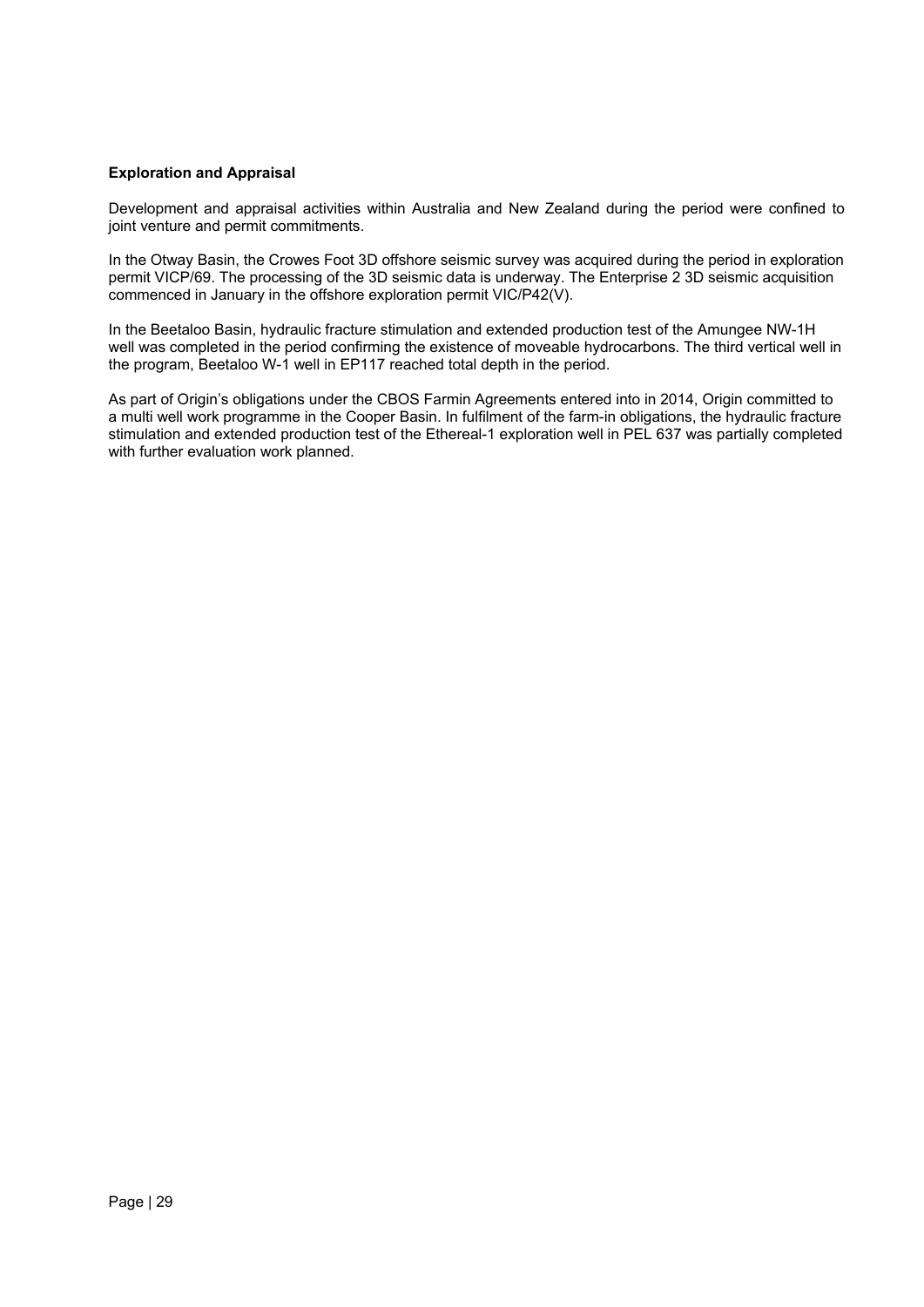# **Exploration and Appraisal**

Development and appraisal activities within Australia and New Zealand during the period were confined to joint venture and permit commitments.

In the Otway Basin, the Crowes Foot 3D offshore seismic survey was acquired during the period in exploration permit VICP/69. The processing of the 3D seismic data is underway. The Enterprise 2 3D seismic acquisition commenced in January in the offshore exploration permit VIC/P42(V).

In the Beetaloo Basin, hydraulic fracture stimulation and extended production test of the Amungee NW-1H well was completed in the period confirming the existence of moveable hydrocarbons. The third vertical well in the program, Beetaloo W-1 well in EP117 reached total depth in the period.

As part of Origin's obligations under the CBOS Farmin Agreements entered into in 2014, Origin committed to a multi well work programme in the Cooper Basin. In fulfilment of the farm-in obligations, the hydraulic fracture stimulation and extended production test of the Ethereal-1 exploration well in PEL 637 was partially completed with further evaluation work planned.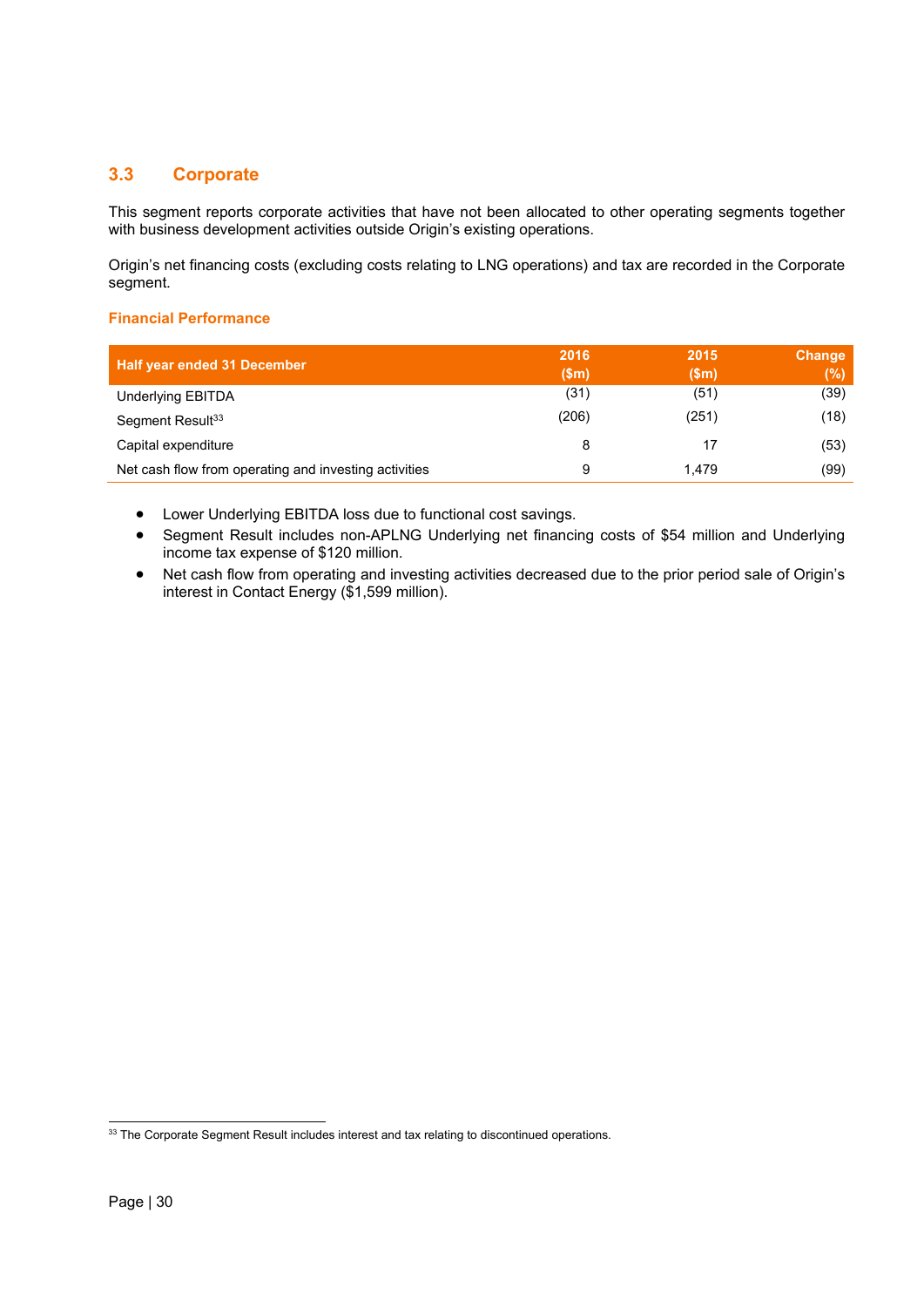# **3.3 Corporate**

This segment reports corporate activities that have not been allocated to other operating segments together with business development activities outside Origin's existing operations.

Origin's net financing costs (excluding costs relating to LNG operations) and tax are recorded in the Corporate segment.

# **Financial Performance**

| <b>Half year ended 31 December</b>                    | 2016<br>\$m\$ | 2015<br>(Sm) | Change<br>(%) |
|-------------------------------------------------------|---------------|--------------|---------------|
| Underlying EBITDA                                     | (31)          | (51)         | (39)          |
| Segment Result <sup>33</sup>                          | (206)         | (251)        | (18)          |
| Capital expenditure                                   | 8             | 17           | (53)          |
| Net cash flow from operating and investing activities | 9             | 1.479        | (99)          |

Lower Underlying EBITDA loss due to functional cost savings.

 Segment Result includes non-APLNG Underlying net financing costs of \$54 million and Underlying income tax expense of \$120 million.

 Net cash flow from operating and investing activities decreased due to the prior period sale of Origin's interest in Contact Energy (\$1,599 million).

1

 $33$  The Corporate Segment Result includes interest and tax relating to discontinued operations.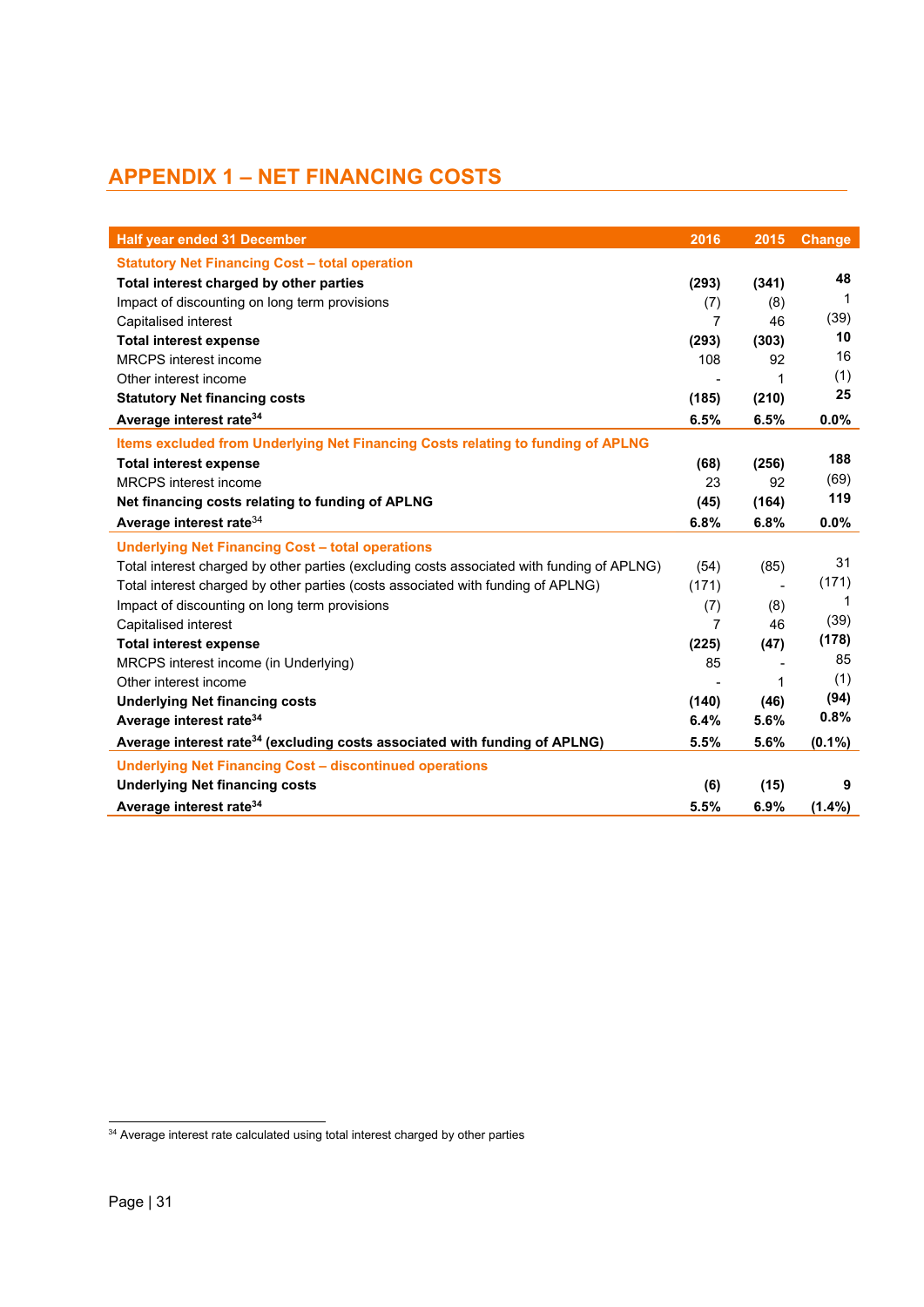# **APPENDIX 1 – NET FINANCING COSTS**

| <b>Half year ended 31 December</b>                                                         | 2016           | 2015  | Change      |
|--------------------------------------------------------------------------------------------|----------------|-------|-------------|
| <b>Statutory Net Financing Cost - total operation</b>                                      |                |       |             |
| Total interest charged by other parties                                                    | (293)          | (341) | 48          |
| Impact of discounting on long term provisions                                              | (7)            | (8)   | -1          |
| Capitalised interest                                                                       | 7              | 46    | (39)        |
| <b>Total interest expense</b>                                                              | (293)          | (303) | 10          |
| MRCPS interest income                                                                      | 108            | 92    | 16          |
| Other interest income                                                                      |                | 1     | (1)         |
| <b>Statutory Net financing costs</b>                                                       | (185)          | (210) | 25          |
| Average interest rate <sup>34</sup>                                                        | 6.5%           | 6.5%  | $0.0\%$     |
| Items excluded from Underlying Net Financing Costs relating to funding of APLNG            |                |       |             |
| <b>Total interest expense</b>                                                              | (68)           | (256) | 188         |
| <b>MRCPS</b> interest income                                                               | 23             | 92    | (69)        |
| Net financing costs relating to funding of APLNG                                           | (45)           | (164) | 119         |
| Average interest rate <sup>34</sup>                                                        | 6.8%           | 6.8%  | 0.0%        |
| <b>Underlying Net Financing Cost - total operations</b>                                    |                |       |             |
| Total interest charged by other parties (excluding costs associated with funding of APLNG) | (54)           | (85)  | 31          |
| Total interest charged by other parties (costs associated with funding of APLNG)           | (171)          |       | (171)       |
| Impact of discounting on long term provisions                                              | (7)            | (8)   | $\mathbf 1$ |
| Capitalised interest                                                                       | $\overline{7}$ | 46    | (39)        |
| <b>Total interest expense</b>                                                              | (225)          | (47)  | (178)       |
| MRCPS interest income (in Underlying)                                                      | 85             |       | 85          |
| Other interest income                                                                      |                | 1     | (1)         |
| <b>Underlying Net financing costs</b>                                                      | (140)          | (46)  | (94)        |
| Average interest rate <sup>34</sup>                                                        | 6.4%           | 5.6%  | 0.8%        |
| Average interest rate <sup>34</sup> (excluding costs associated with funding of APLNG)     | 5.5%           | 5.6%  | $(0.1\%)$   |
| <b>Underlying Net Financing Cost - discontinued operations</b>                             |                |       |             |
| <b>Underlying Net financing costs</b>                                                      | (6)            | (15)  | 9           |
| Average interest rate <sup>34</sup>                                                        | 5.5%           | 6.9%  | $(1.4\%)$   |

<sup>1</sup> <sup>34</sup> Average interest rate calculated using total interest charged by other parties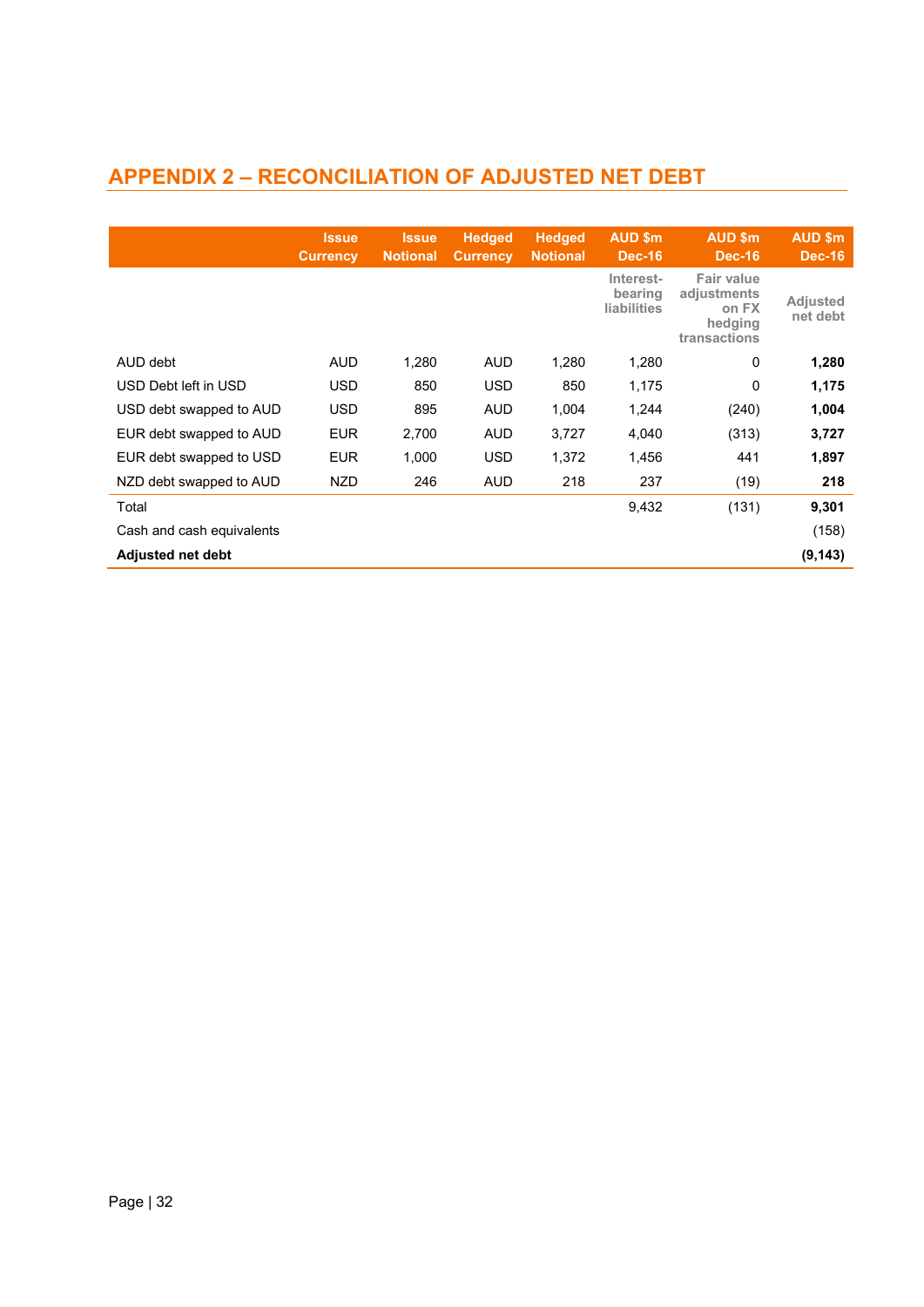# **APPENDIX 2 – RECONCILIATION OF ADJUSTED NET DEBT**

|                           | <b>Issue</b><br><b>Currency</b> | <b>Issue</b><br><b>Notional</b> | <b>Hedged</b><br><b>Currency</b> | <b>Hedged</b><br><b>Notional</b> | AUD \$m<br><b>Dec-16</b>                   | AUD \$m<br><b>Dec-16</b>                                      | <b>AUD \$m</b><br><b>Dec-16</b> |
|---------------------------|---------------------------------|---------------------------------|----------------------------------|----------------------------------|--------------------------------------------|---------------------------------------------------------------|---------------------------------|
|                           |                                 |                                 |                                  |                                  | Interest-<br>bearing<br><b>liabilities</b> | Fair value<br>adjustments<br>on FX<br>hedging<br>transactions | <b>Adjusted</b><br>net debt     |
| AUD debt                  | <b>AUD</b>                      | 1,280                           | <b>AUD</b>                       | 1,280                            | 1,280                                      | 0                                                             | 1,280                           |
| USD Debt left in USD      | USD                             | 850                             | <b>USD</b>                       | 850                              | 1,175                                      | 0                                                             | 1,175                           |
| USD debt swapped to AUD   | USD                             | 895                             | <b>AUD</b>                       | 1,004                            | 1,244                                      | (240)                                                         | 1,004                           |
| EUR debt swapped to AUD   | <b>EUR</b>                      | 2,700                           | <b>AUD</b>                       | 3,727                            | 4,040                                      | (313)                                                         | 3,727                           |
| EUR debt swapped to USD   | <b>EUR</b>                      | 1,000                           | <b>USD</b>                       | 1,372                            | 1.456                                      | 441                                                           | 1,897                           |
| NZD debt swapped to AUD   | <b>NZD</b>                      | 246                             | <b>AUD</b>                       | 218                              | 237                                        | (19)                                                          | 218                             |
| Total                     |                                 |                                 |                                  |                                  | 9,432                                      | (131)                                                         | 9,301                           |
| Cash and cash equivalents |                                 |                                 |                                  |                                  |                                            |                                                               | (158)                           |
| <b>Adjusted net debt</b>  |                                 |                                 |                                  |                                  |                                            |                                                               | (9, 143)                        |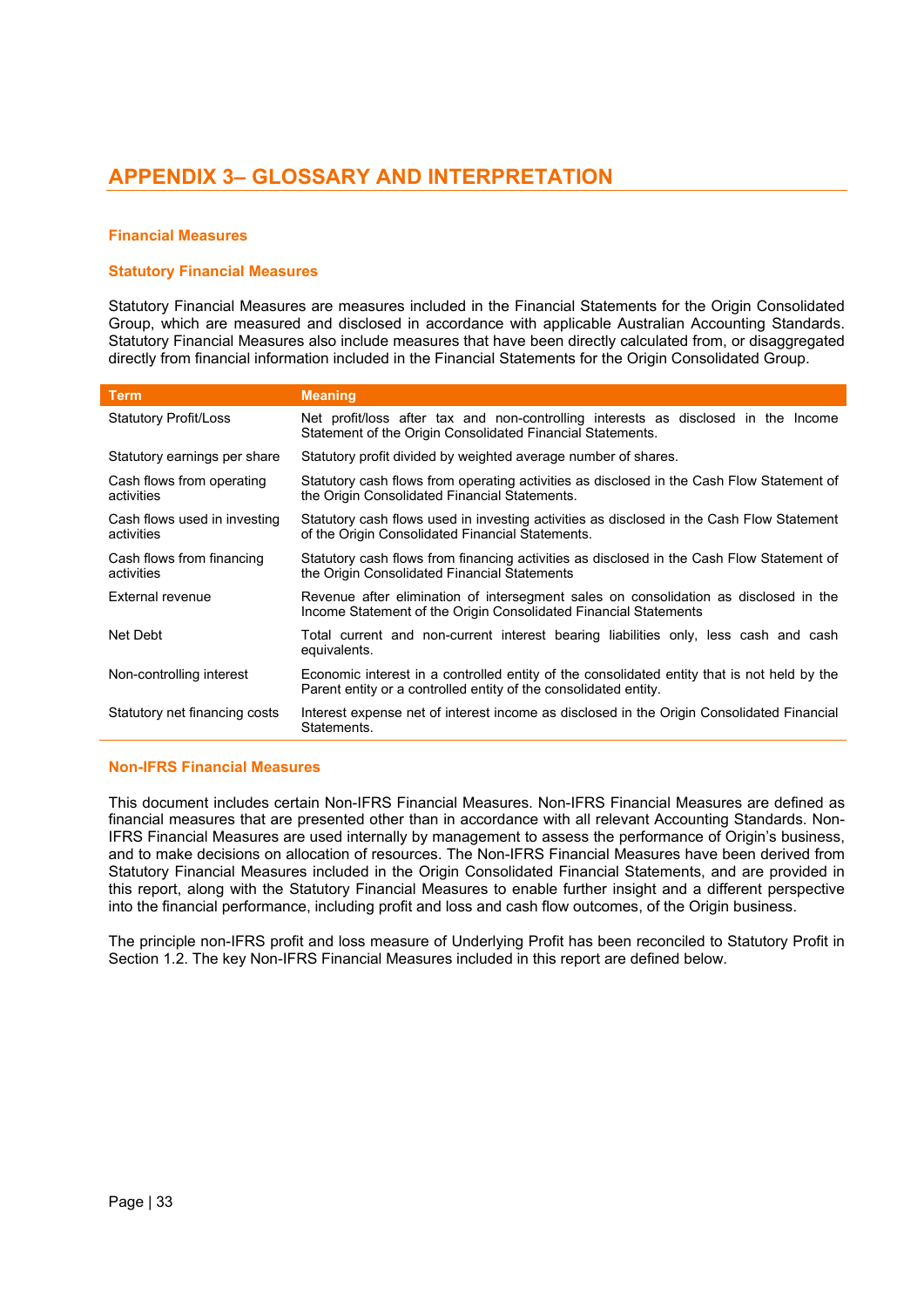# **APPENDIX 3– GLOSSARY AND INTERPRETATION**

# **Financial Measures**

# **Statutory Financial Measures**

Statutory Financial Measures are measures included in the Financial Statements for the Origin Consolidated Group, which are measured and disclosed in accordance with applicable Australian Accounting Standards. Statutory Financial Measures also include measures that have been directly calculated from, or disaggregated directly from financial information included in the Financial Statements for the Origin Consolidated Group.

| <b>Term</b>                                | <b>Meaning</b>                                                                                                                                                  |
|--------------------------------------------|-----------------------------------------------------------------------------------------------------------------------------------------------------------------|
| <b>Statutory Profit/Loss</b>               | Net profit/loss after tax and non-controlling interests as disclosed in the Income<br>Statement of the Origin Consolidated Financial Statements.                |
| Statutory earnings per share               | Statutory profit divided by weighted average number of shares.                                                                                                  |
| Cash flows from operating<br>activities    | Statutory cash flows from operating activities as disclosed in the Cash Flow Statement of<br>the Origin Consolidated Financial Statements.                      |
| Cash flows used in investing<br>activities | Statutory cash flows used in investing activities as disclosed in the Cash Flow Statement<br>of the Origin Consolidated Financial Statements.                   |
| Cash flows from financing<br>activities    | Statutory cash flows from financing activities as disclosed in the Cash Flow Statement of<br>the Origin Consolidated Financial Statements                       |
| External revenue                           | Revenue after elimination of intersegment sales on consolidation as disclosed in the<br>Income Statement of the Origin Consolidated Financial Statements        |
| Net Debt                                   | Total current and non-current interest bearing liabilities only, less cash and cash<br>equivalents.                                                             |
| Non-controlling interest                   | Economic interest in a controlled entity of the consolidated entity that is not held by the<br>Parent entity or a controlled entity of the consolidated entity. |
| Statutory net financing costs              | Interest expense net of interest income as disclosed in the Origin Consolidated Financial<br>Statements.                                                        |

# **Non-IFRS Financial Measures**

This document includes certain Non-IFRS Financial Measures. Non-IFRS Financial Measures are defined as financial measures that are presented other than in accordance with all relevant Accounting Standards. Non-IFRS Financial Measures are used internally by management to assess the performance of Origin's business, and to make decisions on allocation of resources. The Non-IFRS Financial Measures have been derived from Statutory Financial Measures included in the Origin Consolidated Financial Statements, and are provided in this report, along with the Statutory Financial Measures to enable further insight and a different perspective into the financial performance, including profit and loss and cash flow outcomes, of the Origin business.

The principle non-IFRS profit and loss measure of Underlying Profit has been reconciled to Statutory Profit in Section 1.2. The key Non-IFRS Financial Measures included in this report are defined below.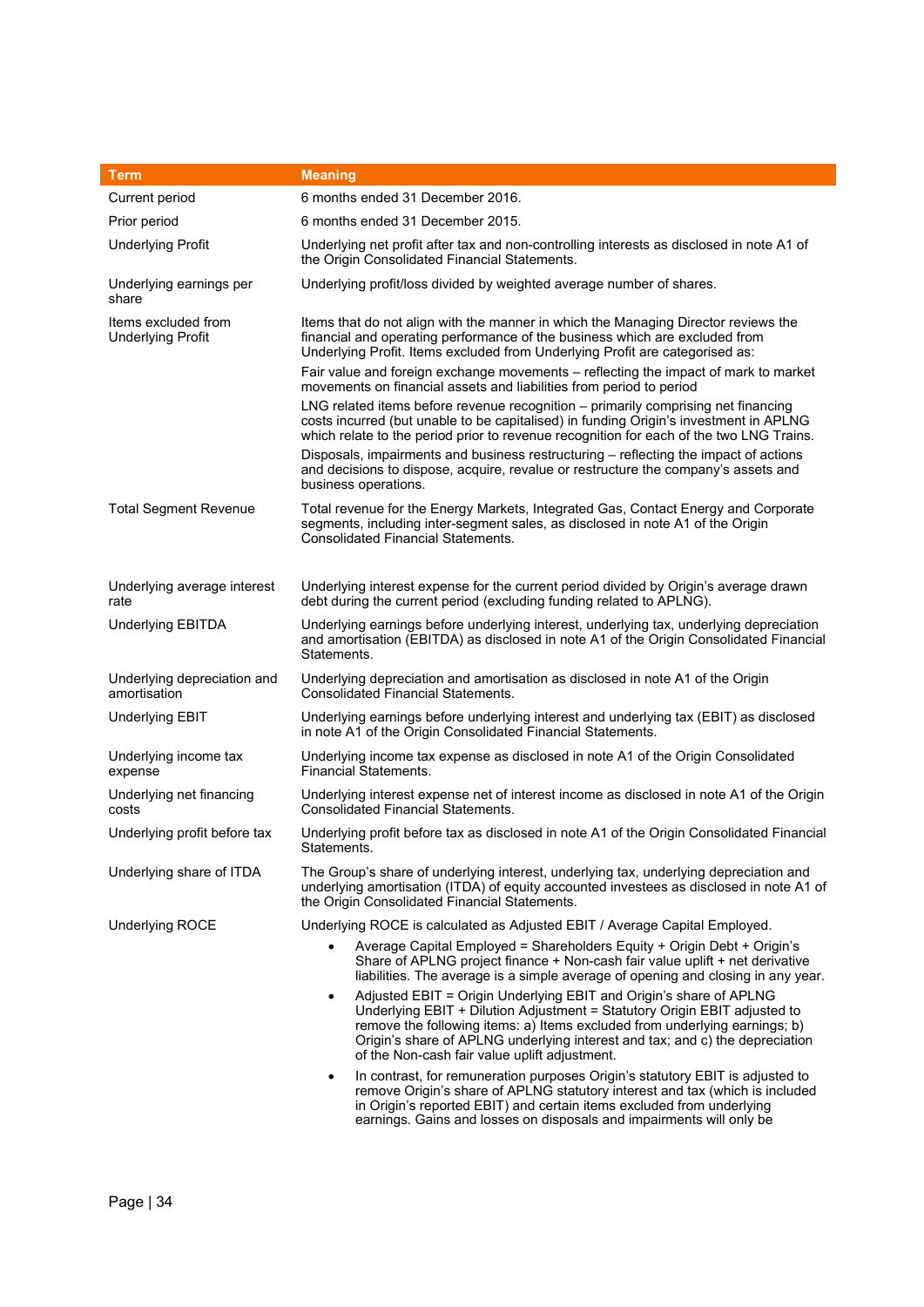| <b>Term</b>                                     | <b>Meaning</b>                                                                                                                                                                                                                                                                                                                                                              |
|-------------------------------------------------|-----------------------------------------------------------------------------------------------------------------------------------------------------------------------------------------------------------------------------------------------------------------------------------------------------------------------------------------------------------------------------|
| Current period                                  | 6 months ended 31 December 2016.                                                                                                                                                                                                                                                                                                                                            |
| Prior period                                    | 6 months ended 31 December 2015.                                                                                                                                                                                                                                                                                                                                            |
| <b>Underlying Profit</b>                        | Underlying net profit after tax and non-controlling interests as disclosed in note A1 of<br>the Origin Consolidated Financial Statements.                                                                                                                                                                                                                                   |
| Underlying earnings per<br>share                | Underlying profit/loss divided by weighted average number of shares.                                                                                                                                                                                                                                                                                                        |
| Items excluded from<br><b>Underlying Profit</b> | Items that do not align with the manner in which the Managing Director reviews the<br>financial and operating performance of the business which are excluded from<br>Underlying Profit. Items excluded from Underlying Profit are categorised as:<br>Fair value and foreign exchange movements - reflecting the impact of mark to market                                    |
|                                                 | movements on financial assets and liabilities from period to period                                                                                                                                                                                                                                                                                                         |
|                                                 | LNG related items before revenue recognition - primarily comprising net financing<br>costs incurred (but unable to be capitalised) in funding Origin's investment in APLNG<br>which relate to the period prior to revenue recognition for each of the two LNG Trains.                                                                                                       |
|                                                 | Disposals, impairments and business restructuring - reflecting the impact of actions<br>and decisions to dispose, acquire, revalue or restructure the company's assets and<br>business operations.                                                                                                                                                                          |
| <b>Total Segment Revenue</b>                    | Total revenue for the Energy Markets, Integrated Gas, Contact Energy and Corporate<br>segments, including inter-segment sales, as disclosed in note A1 of the Origin<br><b>Consolidated Financial Statements.</b>                                                                                                                                                           |
| Underlying average interest<br>rate             | Underlying interest expense for the current period divided by Origin's average drawn<br>debt during the current period (excluding funding related to APLNG).                                                                                                                                                                                                                |
| <b>Underlying EBITDA</b>                        | Underlying earnings before underlying interest, underlying tax, underlying depreciation<br>and amortisation (EBITDA) as disclosed in note A1 of the Origin Consolidated Financial<br>Statements.                                                                                                                                                                            |
| Underlying depreciation and<br>amortisation     | Underlying depreciation and amortisation as disclosed in note A1 of the Origin<br><b>Consolidated Financial Statements.</b>                                                                                                                                                                                                                                                 |
| <b>Underlying EBIT</b>                          | Underlying earnings before underlying interest and underlying tax (EBIT) as disclosed<br>in note A1 of the Origin Consolidated Financial Statements.                                                                                                                                                                                                                        |
| Underlying income tax<br>expense                | Underlying income tax expense as disclosed in note A1 of the Origin Consolidated<br><b>Financial Statements.</b>                                                                                                                                                                                                                                                            |
| Underlying net financing<br>costs               | Underlying interest expense net of interest income as disclosed in note A1 of the Origin<br><b>Consolidated Financial Statements.</b>                                                                                                                                                                                                                                       |
| Underlying profit before tax                    | Underlying profit before tax as disclosed in note A1 of the Origin Consolidated Financial<br>Statements.                                                                                                                                                                                                                                                                    |
| Underlying share of ITDA                        | The Group's share of underlying interest, underlying tax, underlying depreciation and<br>underlying amortisation (ITDA) of equity accounted investees as disclosed in note A1 of<br>the Origin Consolidated Financial Statements.                                                                                                                                           |
| Underlying ROCE                                 | Underlying ROCE is calculated as Adjusted EBIT / Average Capital Employed.                                                                                                                                                                                                                                                                                                  |
|                                                 | Average Capital Employed = Shareholders Equity + Origin Debt + Origin's<br>Share of APLNG project finance + Non-cash fair value uplift + net derivative<br>liabilities. The average is a simple average of opening and closing in any year.                                                                                                                                 |
|                                                 | Adjusted EBIT = Origin Underlying EBIT and Origin's share of APLNG<br>$\bullet$<br>Underlying EBIT + Dilution Adjustment = Statutory Origin EBIT adjusted to<br>remove the following items: a) Items excluded from underlying earnings; b)<br>Origin's share of APLNG underlying interest and tax; and c) the depreciation<br>of the Non-cash fair value uplift adjustment. |
|                                                 | In contrast, for remuneration purposes Origin's statutory EBIT is adjusted to<br>$\bullet$<br>remove Origin's share of APLNG statutory interest and tax (which is included<br>in Origin's reported EBIT) and certain items excluded from underlying<br>earnings. Gains and losses on disposals and impairments will only be                                                 |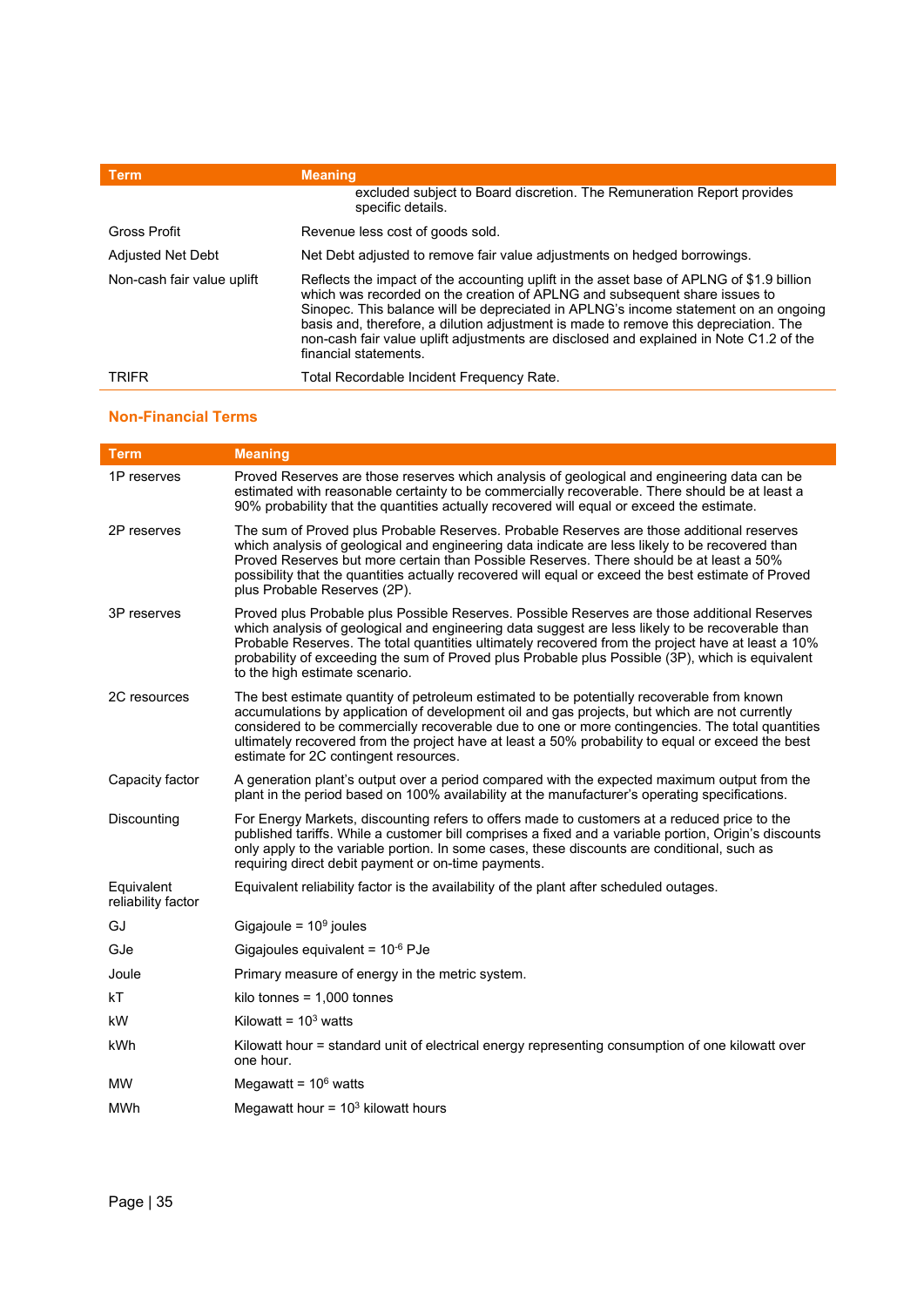| Term                       | <b>Meaning</b>                                                                                                                                                                                                                                                                                                                                                                                                                                                           |
|----------------------------|--------------------------------------------------------------------------------------------------------------------------------------------------------------------------------------------------------------------------------------------------------------------------------------------------------------------------------------------------------------------------------------------------------------------------------------------------------------------------|
|                            | excluded subject to Board discretion. The Remuneration Report provides<br>specific details.                                                                                                                                                                                                                                                                                                                                                                              |
| Gross Profit               | Revenue less cost of goods sold.                                                                                                                                                                                                                                                                                                                                                                                                                                         |
| <b>Adjusted Net Debt</b>   | Net Debt adjusted to remove fair value adjustments on hedged borrowings.                                                                                                                                                                                                                                                                                                                                                                                                 |
| Non-cash fair value uplift | Reflects the impact of the accounting uplift in the asset base of APLNG of \$1.9 billion<br>which was recorded on the creation of APLNG and subsequent share issues to<br>Sinopec. This balance will be depreciated in APLNG's income statement on an ongoing<br>basis and, therefore, a dilution adjustment is made to remove this depreciation. The<br>non-cash fair value uplift adjustments are disclosed and explained in Note C1.2 of the<br>financial statements. |
| <b>TRIFR</b>               | Total Recordable Incident Frequency Rate.                                                                                                                                                                                                                                                                                                                                                                                                                                |

# **Non-Financial Terms**

| <b>Term</b>                      | <b>Meaning</b>                                                                                                                                                                                                                                                                                                                                                                                                                                |
|----------------------------------|-----------------------------------------------------------------------------------------------------------------------------------------------------------------------------------------------------------------------------------------------------------------------------------------------------------------------------------------------------------------------------------------------------------------------------------------------|
| 1P reserves                      | Proved Reserves are those reserves which analysis of geological and engineering data can be<br>estimated with reasonable certainty to be commercially recoverable. There should be at least a<br>90% probability that the quantities actually recovered will equal or exceed the estimate.                                                                                                                                                    |
| 2P reserves                      | The sum of Proved plus Probable Reserves. Probable Reserves are those additional reserves<br>which analysis of geological and engineering data indicate are less likely to be recovered than<br>Proved Reserves but more certain than Possible Reserves. There should be at least a 50%<br>possibility that the quantities actually recovered will equal or exceed the best estimate of Proved<br>plus Probable Reserves (2P).                |
| 3P reserves                      | Proved plus Probable plus Possible Reserves. Possible Reserves are those additional Reserves<br>which analysis of geological and engineering data suggest are less likely to be recoverable than<br>Probable Reserves. The total quantities ultimately recovered from the project have at least a 10%<br>probability of exceeding the sum of Proved plus Probable plus Possible (3P), which is equivalent<br>to the high estimate scenario.   |
| 2C resources                     | The best estimate quantity of petroleum estimated to be potentially recoverable from known<br>accumulations by application of development oil and gas projects, but which are not currently<br>considered to be commercially recoverable due to one or more contingencies. The total quantities<br>ultimately recovered from the project have at least a 50% probability to equal or exceed the best<br>estimate for 2C contingent resources. |
| Capacity factor                  | A generation plant's output over a period compared with the expected maximum output from the<br>plant in the period based on 100% availability at the manufacturer's operating specifications.                                                                                                                                                                                                                                                |
| Discounting                      | For Energy Markets, discounting refers to offers made to customers at a reduced price to the<br>published tariffs. While a customer bill comprises a fixed and a variable portion, Origin's discounts<br>only apply to the variable portion. In some cases, these discounts are conditional, such as<br>requiring direct debit payment or on-time payments.                                                                                   |
| Equivalent<br>reliability factor | Equivalent reliability factor is the availability of the plant after scheduled outages.                                                                                                                                                                                                                                                                                                                                                       |
| GJ                               | Gigajoule = $109$ joules                                                                                                                                                                                                                                                                                                                                                                                                                      |
| GJe                              | Gigajoules equivalent = $10^{-6}$ PJe                                                                                                                                                                                                                                                                                                                                                                                                         |
| Joule                            | Primary measure of energy in the metric system.                                                                                                                                                                                                                                                                                                                                                                                               |
| kT                               | kilo tonnes = $1,000$ tonnes                                                                                                                                                                                                                                                                                                                                                                                                                  |
| kW                               | Kilowatt = $103$ watts                                                                                                                                                                                                                                                                                                                                                                                                                        |
| kWh                              | Kilowatt hour = standard unit of electrical energy representing consumption of one kilowatt over<br>one hour.                                                                                                                                                                                                                                                                                                                                 |
| MW                               | Megawatt = $106$ watts                                                                                                                                                                                                                                                                                                                                                                                                                        |
| MWh                              | Megawatt hour = $103$ kilowatt hours                                                                                                                                                                                                                                                                                                                                                                                                          |